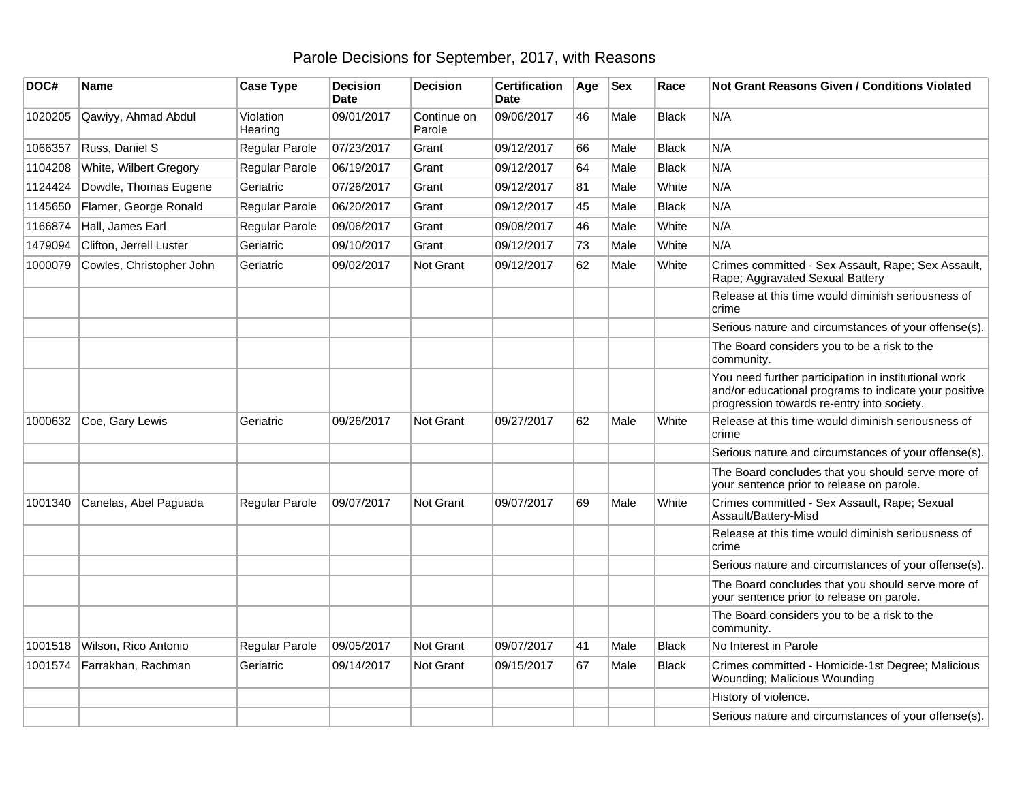## Parole Decisions for September, 2017, with Reasons

| DOC#    | Name                     | <b>Case Type</b>     | <b>Decision</b><br><b>Date</b> | <b>Decision</b>       | <b>Certification</b><br>Date | Age | <b>Sex</b> | Race         | <b>Not Grant Reasons Given / Conditions Violated</b>                                                                                                        |
|---------|--------------------------|----------------------|--------------------------------|-----------------------|------------------------------|-----|------------|--------------|-------------------------------------------------------------------------------------------------------------------------------------------------------------|
| 1020205 | Qawiyy, Ahmad Abdul      | Violation<br>Hearing | 09/01/2017                     | Continue on<br>Parole | 09/06/2017                   | 46  | Male       | <b>Black</b> | N/A                                                                                                                                                         |
| 1066357 | Russ, Daniel S           | Regular Parole       | 07/23/2017                     | Grant                 | 09/12/2017                   | 66  | Male       | <b>Black</b> | N/A                                                                                                                                                         |
| 1104208 | White, Wilbert Gregory   | Regular Parole       | 06/19/2017                     | Grant                 | 09/12/2017                   | 64  | Male       | <b>Black</b> | N/A                                                                                                                                                         |
| 1124424 | Dowdle, Thomas Eugene    | Geriatric            | 07/26/2017                     | Grant                 | 09/12/2017                   | 81  | Male       | White        | N/A                                                                                                                                                         |
| 1145650 | Flamer, George Ronald    | Regular Parole       | 06/20/2017                     | Grant                 | 09/12/2017                   | 45  | Male       | <b>Black</b> | N/A                                                                                                                                                         |
| 1166874 | Hall, James Earl         | Regular Parole       | 09/06/2017                     | Grant                 | 09/08/2017                   | 46  | Male       | White        | N/A                                                                                                                                                         |
| 1479094 | Clifton, Jerrell Luster  | Geriatric            | 09/10/2017                     | Grant                 | 09/12/2017                   | 73  | Male       | White        | N/A                                                                                                                                                         |
| 1000079 | Cowles, Christopher John | Geriatric            | 09/02/2017                     | Not Grant             | 09/12/2017                   | 62  | Male       | White        | Crimes committed - Sex Assault, Rape; Sex Assault,<br>Rape; Aggravated Sexual Battery                                                                       |
|         |                          |                      |                                |                       |                              |     |            |              | Release at this time would diminish seriousness of<br>crime                                                                                                 |
|         |                          |                      |                                |                       |                              |     |            |              | Serious nature and circumstances of your offense(s).                                                                                                        |
|         |                          |                      |                                |                       |                              |     |            |              | The Board considers you to be a risk to the<br>community.                                                                                                   |
|         |                          |                      |                                |                       |                              |     |            |              | You need further participation in institutional work<br>and/or educational programs to indicate your positive<br>progression towards re-entry into society. |
| 1000632 | Coe, Gary Lewis          | Geriatric            | 09/26/2017                     | Not Grant             | 09/27/2017                   | 62  | Male       | White        | Release at this time would diminish seriousness of<br>crime                                                                                                 |
|         |                          |                      |                                |                       |                              |     |            |              | Serious nature and circumstances of your offense(s).                                                                                                        |
|         |                          |                      |                                |                       |                              |     |            |              | The Board concludes that you should serve more of<br>your sentence prior to release on parole.                                                              |
| 1001340 | Canelas, Abel Paguada    | Regular Parole       | 09/07/2017                     | Not Grant             | 09/07/2017                   | 69  | Male       | White        | Crimes committed - Sex Assault, Rape; Sexual<br>Assault/Battery-Misd                                                                                        |
|         |                          |                      |                                |                       |                              |     |            |              | Release at this time would diminish seriousness of<br>crime                                                                                                 |
|         |                          |                      |                                |                       |                              |     |            |              | Serious nature and circumstances of your offense(s).                                                                                                        |
|         |                          |                      |                                |                       |                              |     |            |              | The Board concludes that you should serve more of<br>your sentence prior to release on parole.                                                              |
|         |                          |                      |                                |                       |                              |     |            |              | The Board considers you to be a risk to the<br>community.                                                                                                   |
| 1001518 | Wilson, Rico Antonio     | Regular Parole       | 09/05/2017                     | Not Grant             | 09/07/2017                   | 41  | Male       | <b>Black</b> | No Interest in Parole                                                                                                                                       |
| 1001574 | Farrakhan, Rachman       | Geriatric            | 09/14/2017                     | Not Grant             | 09/15/2017                   | 67  | Male       | Black        | Crimes committed - Homicide-1st Degree; Malicious<br>Wounding; Malicious Wounding                                                                           |
|         |                          |                      |                                |                       |                              |     |            |              | History of violence.                                                                                                                                        |
|         |                          |                      |                                |                       |                              |     |            |              | Serious nature and circumstances of your offense(s).                                                                                                        |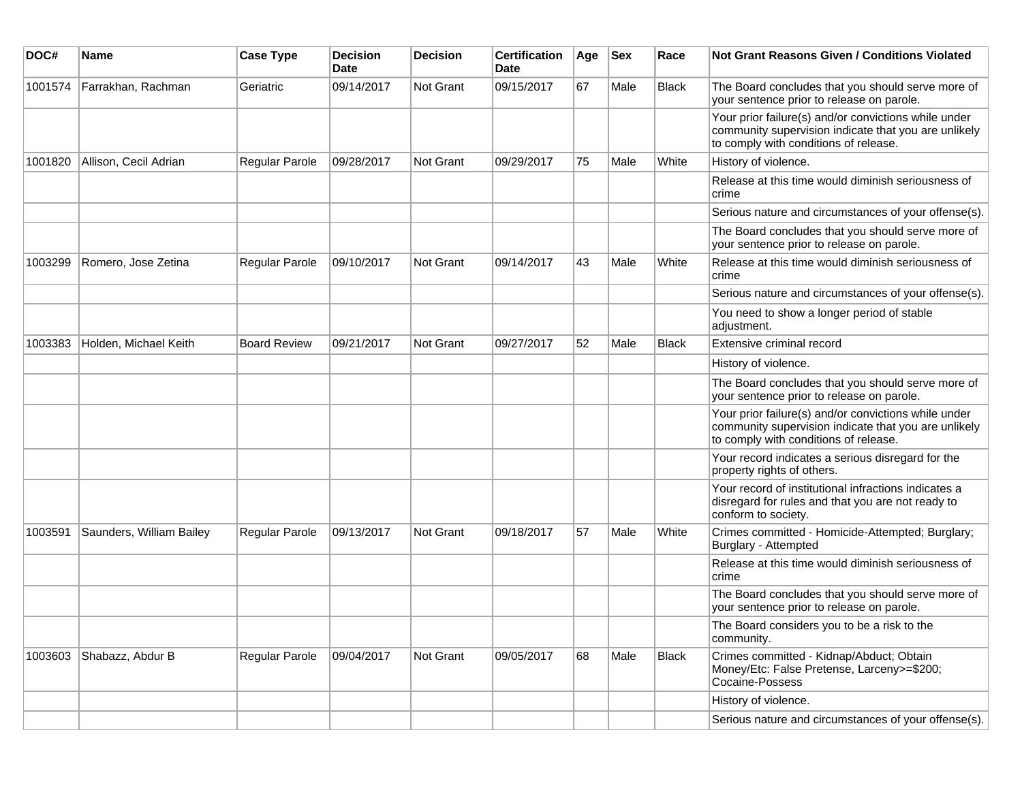| DOC#    | <b>Name</b>              | <b>Case Type</b>      | <b>Decision</b><br>Date | Decision  | <b>Certification</b><br>Date | Age | $ $ Sex | Race         | Not Grant Reasons Given / Conditions Violated                                                                                                         |
|---------|--------------------------|-----------------------|-------------------------|-----------|------------------------------|-----|---------|--------------|-------------------------------------------------------------------------------------------------------------------------------------------------------|
| 1001574 | Farrakhan, Rachman       | Geriatric             | 09/14/2017              | Not Grant | 09/15/2017                   | 67  | Male    | <b>Black</b> | The Board concludes that you should serve more of<br>your sentence prior to release on parole.                                                        |
|         |                          |                       |                         |           |                              |     |         |              | Your prior failure(s) and/or convictions while under<br>community supervision indicate that you are unlikely<br>to comply with conditions of release. |
| 1001820 | Allison, Cecil Adrian    | Regular Parole        | 09/28/2017              | Not Grant | 09/29/2017                   | 75  | Male    | White        | History of violence.                                                                                                                                  |
|         |                          |                       |                         |           |                              |     |         |              | Release at this time would diminish seriousness of<br>crime                                                                                           |
|         |                          |                       |                         |           |                              |     |         |              | Serious nature and circumstances of your offense(s).                                                                                                  |
|         |                          |                       |                         |           |                              |     |         |              | The Board concludes that you should serve more of<br>your sentence prior to release on parole.                                                        |
| 1003299 | Romero, Jose Zetina      | <b>Regular Parole</b> | 09/10/2017              | Not Grant | 09/14/2017                   | 43  | Male    | White        | Release at this time would diminish seriousness of<br>crime                                                                                           |
|         |                          |                       |                         |           |                              |     |         |              | Serious nature and circumstances of your offense(s).                                                                                                  |
|         |                          |                       |                         |           |                              |     |         |              | You need to show a longer period of stable<br>adjustment.                                                                                             |
| 1003383 | Holden, Michael Keith    | <b>Board Review</b>   | 09/21/2017              | Not Grant | 09/27/2017                   | 52  | Male    | <b>Black</b> | Extensive criminal record                                                                                                                             |
|         |                          |                       |                         |           |                              |     |         |              | History of violence.                                                                                                                                  |
|         |                          |                       |                         |           |                              |     |         |              | The Board concludes that you should serve more of<br>your sentence prior to release on parole.                                                        |
|         |                          |                       |                         |           |                              |     |         |              | Your prior failure(s) and/or convictions while under<br>community supervision indicate that you are unlikely<br>to comply with conditions of release. |
|         |                          |                       |                         |           |                              |     |         |              | Your record indicates a serious disregard for the<br>property rights of others.                                                                       |
|         |                          |                       |                         |           |                              |     |         |              | Your record of institutional infractions indicates a<br>disregard for rules and that you are not ready to<br>conform to society.                      |
| 1003591 | Saunders, William Bailey | <b>Regular Parole</b> | 09/13/2017              | Not Grant | 09/18/2017                   | 57  | Male    | White        | Crimes committed - Homicide-Attempted; Burglary;<br>Burglary - Attempted                                                                              |
|         |                          |                       |                         |           |                              |     |         |              | Release at this time would diminish seriousness of<br>crime                                                                                           |
|         |                          |                       |                         |           |                              |     |         |              | The Board concludes that you should serve more of<br>your sentence prior to release on parole.                                                        |
|         |                          |                       |                         |           |                              |     |         |              | The Board considers you to be a risk to the<br>community.                                                                                             |
| 1003603 | Shabazz, Abdur B         | Regular Parole        | 09/04/2017              | Not Grant | 09/05/2017                   | 68  | Male    | Black        | Crimes committed - Kidnap/Abduct; Obtain<br>Money/Etc: False Pretense, Larceny>=\$200;<br>Cocaine-Possess                                             |
|         |                          |                       |                         |           |                              |     |         |              | History of violence.                                                                                                                                  |
|         |                          |                       |                         |           |                              |     |         |              | Serious nature and circumstances of your offense(s).                                                                                                  |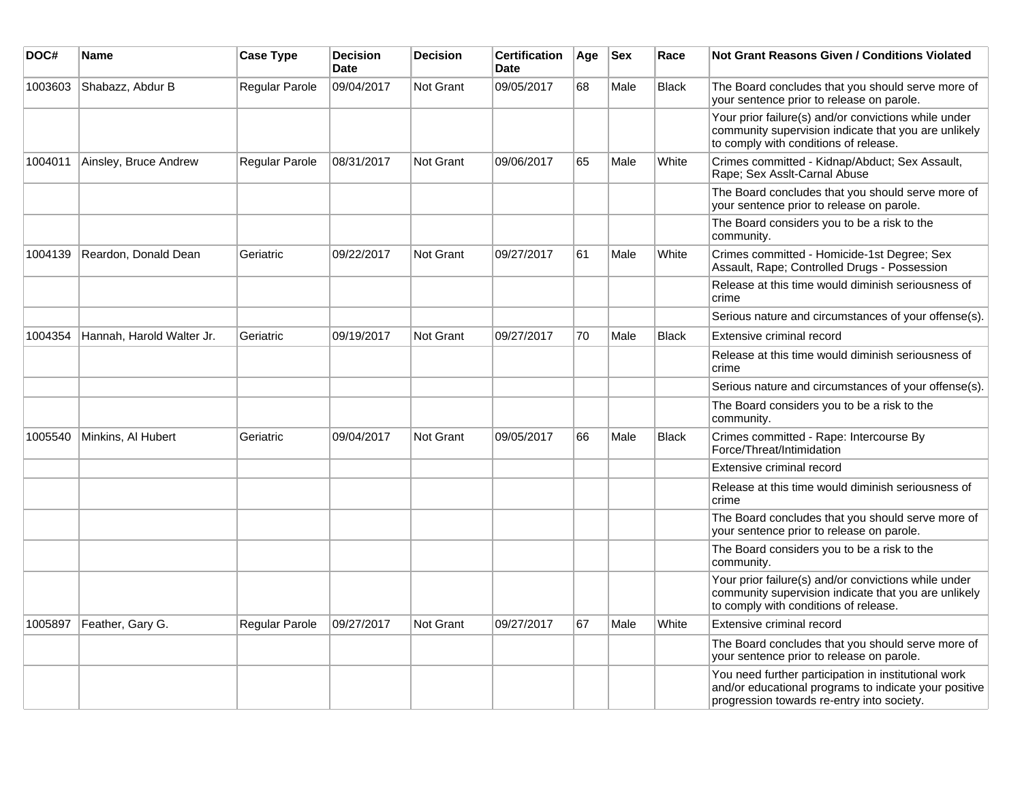| DOC#    | Name                      | <b>Case Type</b>      | <b>Decision</b><br>Date | <b>Decision</b> | <b>Certification</b><br>Date | Age | <b>Sex</b> | Race         | Not Grant Reasons Given / Conditions Violated                                                                                                               |
|---------|---------------------------|-----------------------|-------------------------|-----------------|------------------------------|-----|------------|--------------|-------------------------------------------------------------------------------------------------------------------------------------------------------------|
| 1003603 | Shabazz, Abdur B          | Regular Parole        | 09/04/2017              | Not Grant       | 09/05/2017                   | 68  | Male       | <b>Black</b> | The Board concludes that you should serve more of<br>your sentence prior to release on parole.                                                              |
|         |                           |                       |                         |                 |                              |     |            |              | Your prior failure(s) and/or convictions while under<br>community supervision indicate that you are unlikely<br>to comply with conditions of release.       |
| 1004011 | Ainsley, Bruce Andrew     | <b>Regular Parole</b> | 08/31/2017              | Not Grant       | 09/06/2017                   | 65  | Male       | White        | Crimes committed - Kidnap/Abduct; Sex Assault,<br>Rape; Sex Asslt-Carnal Abuse                                                                              |
|         |                           |                       |                         |                 |                              |     |            |              | The Board concludes that you should serve more of<br>your sentence prior to release on parole.                                                              |
|         |                           |                       |                         |                 |                              |     |            |              | The Board considers you to be a risk to the<br>community.                                                                                                   |
| 1004139 | Reardon, Donald Dean      | Geriatric             | 09/22/2017              | Not Grant       | 09/27/2017                   | 61  | Male       | White        | Crimes committed - Homicide-1st Degree; Sex<br>Assault, Rape; Controlled Drugs - Possession                                                                 |
|         |                           |                       |                         |                 |                              |     |            |              | Release at this time would diminish seriousness of<br>crime                                                                                                 |
|         |                           |                       |                         |                 |                              |     |            |              | Serious nature and circumstances of your offense(s).                                                                                                        |
| 1004354 | Hannah, Harold Walter Jr. | Geriatric             | 09/19/2017              | Not Grant       | 09/27/2017                   | 70  | Male       | <b>Black</b> | Extensive criminal record                                                                                                                                   |
|         |                           |                       |                         |                 |                              |     |            |              | Release at this time would diminish seriousness of<br>crime                                                                                                 |
|         |                           |                       |                         |                 |                              |     |            |              | Serious nature and circumstances of your offense(s).                                                                                                        |
|         |                           |                       |                         |                 |                              |     |            |              | The Board considers you to be a risk to the<br>community.                                                                                                   |
| 1005540 | Minkins, Al Hubert        | Geriatric             | 09/04/2017              | Not Grant       | 09/05/2017                   | 66  | Male       | <b>Black</b> | Crimes committed - Rape: Intercourse By<br>Force/Threat/Intimidation                                                                                        |
|         |                           |                       |                         |                 |                              |     |            |              | Extensive criminal record                                                                                                                                   |
|         |                           |                       |                         |                 |                              |     |            |              | Release at this time would diminish seriousness of<br>crime                                                                                                 |
|         |                           |                       |                         |                 |                              |     |            |              | The Board concludes that you should serve more of<br>your sentence prior to release on parole.                                                              |
|         |                           |                       |                         |                 |                              |     |            |              | The Board considers you to be a risk to the<br>community.                                                                                                   |
|         |                           |                       |                         |                 |                              |     |            |              | Your prior failure(s) and/or convictions while under<br>community supervision indicate that you are unlikely<br>to comply with conditions of release.       |
| 1005897 | Feather, Gary G.          | <b>Regular Parole</b> | 09/27/2017              | Not Grant       | 09/27/2017                   | 67  | Male       | White        | Extensive criminal record                                                                                                                                   |
|         |                           |                       |                         |                 |                              |     |            |              | The Board concludes that you should serve more of<br>your sentence prior to release on parole.                                                              |
|         |                           |                       |                         |                 |                              |     |            |              | You need further participation in institutional work<br>and/or educational programs to indicate your positive<br>progression towards re-entry into society. |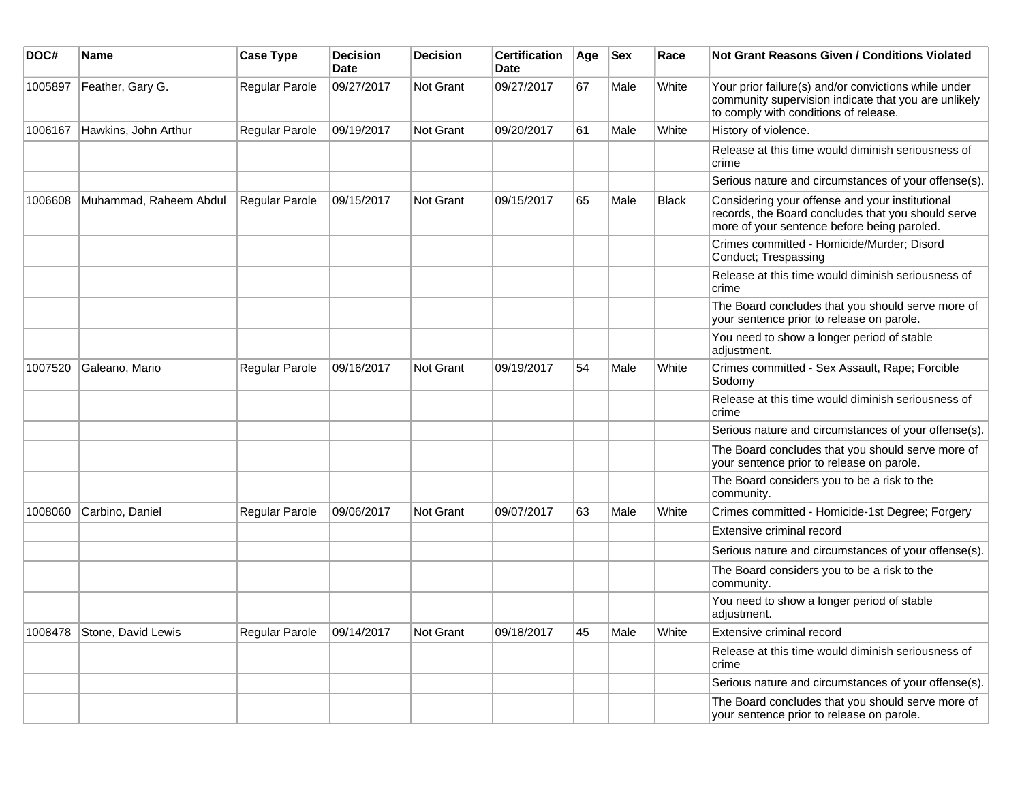| DOC#    | Name                       | <b>Case Type</b> | <b>Decision</b><br><b>Date</b> | <b>Decision</b> | <b>Certification</b><br>Date | Age | <b>Sex</b> | Race         | Not Grant Reasons Given / Conditions Violated                                                                                                         |
|---------|----------------------------|------------------|--------------------------------|-----------------|------------------------------|-----|------------|--------------|-------------------------------------------------------------------------------------------------------------------------------------------------------|
| 1005897 | Feather, Gary G.           | Regular Parole   | 09/27/2017                     | Not Grant       | 09/27/2017                   | 67  | Male       | White        | Your prior failure(s) and/or convictions while under<br>community supervision indicate that you are unlikely<br>to comply with conditions of release. |
| 1006167 | Hawkins, John Arthur       | Regular Parole   | 09/19/2017                     | Not Grant       | 09/20/2017                   | 61  | Male       | White        | History of violence.                                                                                                                                  |
|         |                            |                  |                                |                 |                              |     |            |              | Release at this time would diminish seriousness of<br>crime                                                                                           |
|         |                            |                  |                                |                 |                              |     |            |              | Serious nature and circumstances of your offense(s).                                                                                                  |
| 1006608 | Muhammad, Raheem Abdul     | Regular Parole   | 09/15/2017                     | Not Grant       | 09/15/2017                   | 65  | Male       | <b>Black</b> | Considering your offense and your institutional<br>records, the Board concludes that you should serve<br>more of your sentence before being paroled.  |
|         |                            |                  |                                |                 |                              |     |            |              | Crimes committed - Homicide/Murder; Disord<br>Conduct; Trespassing                                                                                    |
|         |                            |                  |                                |                 |                              |     |            |              | Release at this time would diminish seriousness of<br>crime                                                                                           |
|         |                            |                  |                                |                 |                              |     |            |              | The Board concludes that you should serve more of<br>your sentence prior to release on parole.                                                        |
|         |                            |                  |                                |                 |                              |     |            |              | You need to show a longer period of stable<br>adjustment.                                                                                             |
| 1007520 | Galeano, Mario             | Regular Parole   | 09/16/2017                     | Not Grant       | 09/19/2017                   | 54  | Male       | White        | Crimes committed - Sex Assault, Rape; Forcible<br>Sodomy                                                                                              |
|         |                            |                  |                                |                 |                              |     |            |              | Release at this time would diminish seriousness of<br>crime                                                                                           |
|         |                            |                  |                                |                 |                              |     |            |              | Serious nature and circumstances of your offense(s).                                                                                                  |
|         |                            |                  |                                |                 |                              |     |            |              | The Board concludes that you should serve more of<br>your sentence prior to release on parole.                                                        |
|         |                            |                  |                                |                 |                              |     |            |              | The Board considers you to be a risk to the<br>community.                                                                                             |
| 1008060 | Carbino, Daniel            | Regular Parole   | 09/06/2017                     | Not Grant       | 09/07/2017                   | 63  | Male       | White        | Crimes committed - Homicide-1st Degree; Forgery                                                                                                       |
|         |                            |                  |                                |                 |                              |     |            |              | Extensive criminal record                                                                                                                             |
|         |                            |                  |                                |                 |                              |     |            |              | Serious nature and circumstances of your offense(s).                                                                                                  |
|         |                            |                  |                                |                 |                              |     |            |              | The Board considers you to be a risk to the<br>community.                                                                                             |
|         |                            |                  |                                |                 |                              |     |            |              | You need to show a longer period of stable<br>adjustment.                                                                                             |
|         | 1008478 Stone, David Lewis | Regular Parole   | 09/14/2017                     | Not Grant       | 09/18/2017                   | 45  | Male       | White        | Extensive criminal record                                                                                                                             |
|         |                            |                  |                                |                 |                              |     |            |              | Release at this time would diminish seriousness of<br>crime                                                                                           |
|         |                            |                  |                                |                 |                              |     |            |              | Serious nature and circumstances of your offense(s).                                                                                                  |
|         |                            |                  |                                |                 |                              |     |            |              | The Board concludes that you should serve more of<br>your sentence prior to release on parole.                                                        |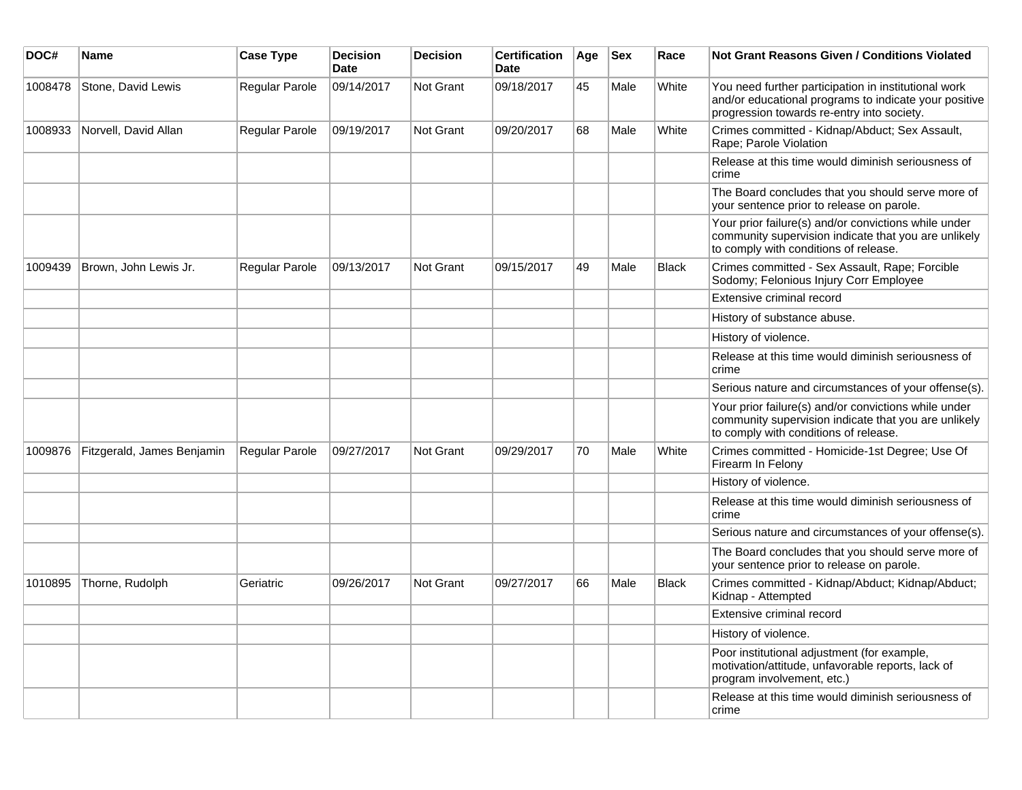| DOC#    | Name                       | <b>Case Type</b> | <b>Decision</b><br><b>Date</b> | <b>Decision</b> | Certification<br><b>Date</b> | Age | Sex  | Race         | <b>Not Grant Reasons Given / Conditions Violated</b>                                                                                                        |
|---------|----------------------------|------------------|--------------------------------|-----------------|------------------------------|-----|------|--------------|-------------------------------------------------------------------------------------------------------------------------------------------------------------|
| 1008478 | Stone, David Lewis         | Regular Parole   | 09/14/2017                     | Not Grant       | 09/18/2017                   | 45  | Male | White        | You need further participation in institutional work<br>and/or educational programs to indicate your positive<br>progression towards re-entry into society. |
| 1008933 | Norvell, David Allan       | Regular Parole   | 09/19/2017                     | Not Grant       | 09/20/2017                   | 68  | Male | White        | Crimes committed - Kidnap/Abduct; Sex Assault,<br>Rape; Parole Violation                                                                                    |
|         |                            |                  |                                |                 |                              |     |      |              | Release at this time would diminish seriousness of<br>crime                                                                                                 |
|         |                            |                  |                                |                 |                              |     |      |              | The Board concludes that you should serve more of<br>your sentence prior to release on parole.                                                              |
|         |                            |                  |                                |                 |                              |     |      |              | Your prior failure(s) and/or convictions while under<br>community supervision indicate that you are unlikely<br>to comply with conditions of release.       |
| 1009439 | Brown, John Lewis Jr.      | Regular Parole   | 09/13/2017                     | Not Grant       | 09/15/2017                   | 49  | Male | <b>Black</b> | Crimes committed - Sex Assault, Rape; Forcible<br>Sodomy; Felonious Injury Corr Employee                                                                    |
|         |                            |                  |                                |                 |                              |     |      |              | Extensive criminal record                                                                                                                                   |
|         |                            |                  |                                |                 |                              |     |      |              | History of substance abuse.                                                                                                                                 |
|         |                            |                  |                                |                 |                              |     |      |              | History of violence.                                                                                                                                        |
|         |                            |                  |                                |                 |                              |     |      |              | Release at this time would diminish seriousness of<br>crime                                                                                                 |
|         |                            |                  |                                |                 |                              |     |      |              | Serious nature and circumstances of your offense(s).                                                                                                        |
|         |                            |                  |                                |                 |                              |     |      |              | Your prior failure(s) and/or convictions while under<br>community supervision indicate that you are unlikely<br>to comply with conditions of release.       |
| 1009876 | Fitzgerald, James Benjamin | Regular Parole   | 09/27/2017                     | Not Grant       | 09/29/2017                   | 70  | Male | White        | Crimes committed - Homicide-1st Degree; Use Of<br>Firearm In Felony                                                                                         |
|         |                            |                  |                                |                 |                              |     |      |              | History of violence.                                                                                                                                        |
|         |                            |                  |                                |                 |                              |     |      |              | Release at this time would diminish seriousness of<br>crime                                                                                                 |
|         |                            |                  |                                |                 |                              |     |      |              | Serious nature and circumstances of your offense(s).                                                                                                        |
|         |                            |                  |                                |                 |                              |     |      |              | The Board concludes that you should serve more of<br>your sentence prior to release on parole.                                                              |
| 1010895 | Thorne, Rudolph            | Geriatric        | 09/26/2017                     | Not Grant       | 09/27/2017                   | 66  | Male | <b>Black</b> | Crimes committed - Kidnap/Abduct; Kidnap/Abduct;<br>Kidnap - Attempted                                                                                      |
|         |                            |                  |                                |                 |                              |     |      |              | Extensive criminal record                                                                                                                                   |
|         |                            |                  |                                |                 |                              |     |      |              | History of violence.                                                                                                                                        |
|         |                            |                  |                                |                 |                              |     |      |              | Poor institutional adjustment (for example,<br>motivation/attitude, unfavorable reports, lack of<br>program involvement, etc.)                              |
|         |                            |                  |                                |                 |                              |     |      |              | Release at this time would diminish seriousness of<br>crime                                                                                                 |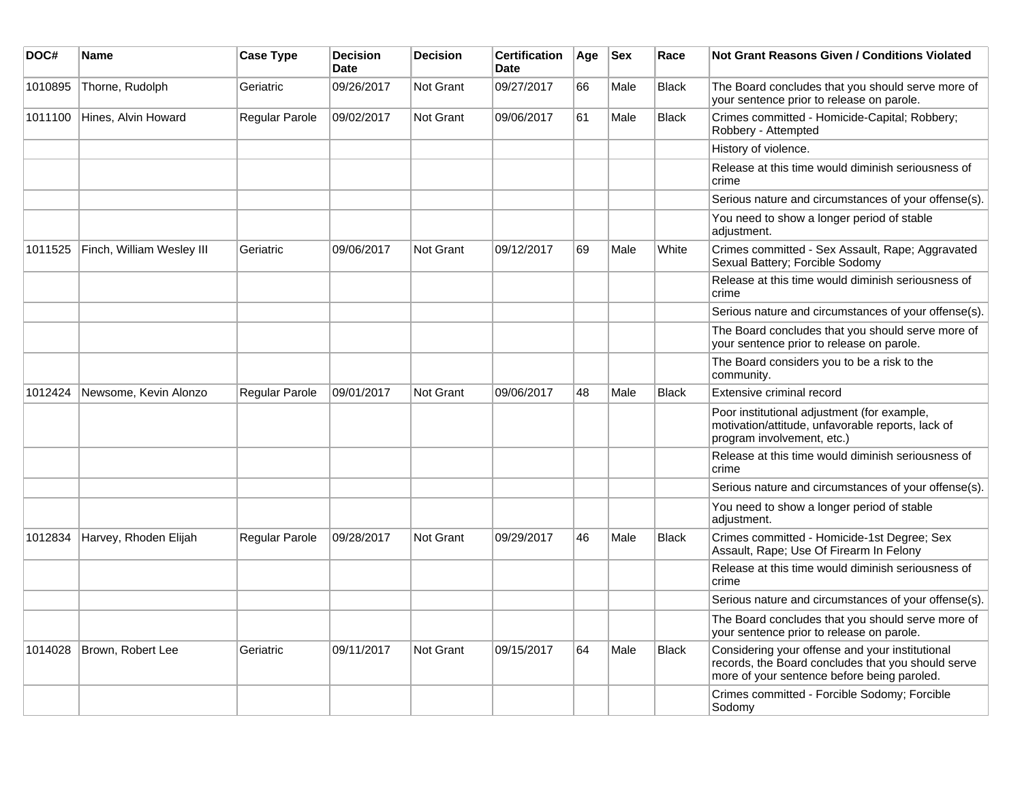| DOC#    | <b>Name</b>               | <b>Case Type</b> | <b>Decision</b><br><b>Date</b> | <b>Decision</b>  | <b>Certification</b><br>Date | Age | <b>Sex</b> | Race         | <b>Not Grant Reasons Given / Conditions Violated</b>                                                                                                 |
|---------|---------------------------|------------------|--------------------------------|------------------|------------------------------|-----|------------|--------------|------------------------------------------------------------------------------------------------------------------------------------------------------|
| 1010895 | Thorne, Rudolph           | Geriatric        | 09/26/2017                     | Not Grant        | 09/27/2017                   | 66  | Male       | <b>Black</b> | The Board concludes that you should serve more of<br>your sentence prior to release on parole.                                                       |
| 1011100 | Hines, Alvin Howard       | Regular Parole   | 09/02/2017                     | Not Grant        | 09/06/2017                   | 61  | Male       | <b>Black</b> | Crimes committed - Homicide-Capital; Robbery;<br>Robbery - Attempted                                                                                 |
|         |                           |                  |                                |                  |                              |     |            |              | History of violence.                                                                                                                                 |
|         |                           |                  |                                |                  |                              |     |            |              | Release at this time would diminish seriousness of<br>crime                                                                                          |
|         |                           |                  |                                |                  |                              |     |            |              | Serious nature and circumstances of your offense(s).                                                                                                 |
|         |                           |                  |                                |                  |                              |     |            |              | You need to show a longer period of stable<br>adjustment.                                                                                            |
| 1011525 | Finch, William Wesley III | Geriatric        | 09/06/2017                     | Not Grant        | 09/12/2017                   | 69  | Male       | White        | Crimes committed - Sex Assault, Rape; Aggravated<br>Sexual Battery; Forcible Sodomy                                                                  |
|         |                           |                  |                                |                  |                              |     |            |              | Release at this time would diminish seriousness of<br>crime                                                                                          |
|         |                           |                  |                                |                  |                              |     |            |              | Serious nature and circumstances of your offense(s).                                                                                                 |
|         |                           |                  |                                |                  |                              |     |            |              | The Board concludes that you should serve more of<br>your sentence prior to release on parole.                                                       |
|         |                           |                  |                                |                  |                              |     |            |              | The Board considers you to be a risk to the<br>community.                                                                                            |
| 1012424 | Newsome, Kevin Alonzo     | Regular Parole   | 09/01/2017                     | Not Grant        | 09/06/2017                   | 48  | Male       | <b>Black</b> | Extensive criminal record                                                                                                                            |
|         |                           |                  |                                |                  |                              |     |            |              | Poor institutional adjustment (for example,<br>motivation/attitude, unfavorable reports, lack of<br>program involvement, etc.)                       |
|         |                           |                  |                                |                  |                              |     |            |              | Release at this time would diminish seriousness of<br>crime                                                                                          |
|         |                           |                  |                                |                  |                              |     |            |              | Serious nature and circumstances of your offense(s).                                                                                                 |
|         |                           |                  |                                |                  |                              |     |            |              | You need to show a longer period of stable<br>adjustment.                                                                                            |
| 1012834 | Harvey, Rhoden Elijah     | Regular Parole   | 09/28/2017                     | Not Grant        | 09/29/2017                   | 46  | Male       | <b>Black</b> | Crimes committed - Homicide-1st Degree; Sex<br>Assault, Rape; Use Of Firearm In Felony                                                               |
|         |                           |                  |                                |                  |                              |     |            |              | Release at this time would diminish seriousness of<br>crime                                                                                          |
|         |                           |                  |                                |                  |                              |     |            |              | Serious nature and circumstances of your offense(s).                                                                                                 |
|         |                           |                  |                                |                  |                              |     |            |              | The Board concludes that you should serve more of<br>your sentence prior to release on parole.                                                       |
| 1014028 | Brown, Robert Lee         | Geriatric        | 09/11/2017                     | <b>Not Grant</b> | 09/15/2017                   | 64  | Male       | <b>Black</b> | Considering your offense and your institutional<br>records, the Board concludes that you should serve<br>more of your sentence before being paroled. |
|         |                           |                  |                                |                  |                              |     |            |              | Crimes committed - Forcible Sodomy; Forcible<br>Sodomy                                                                                               |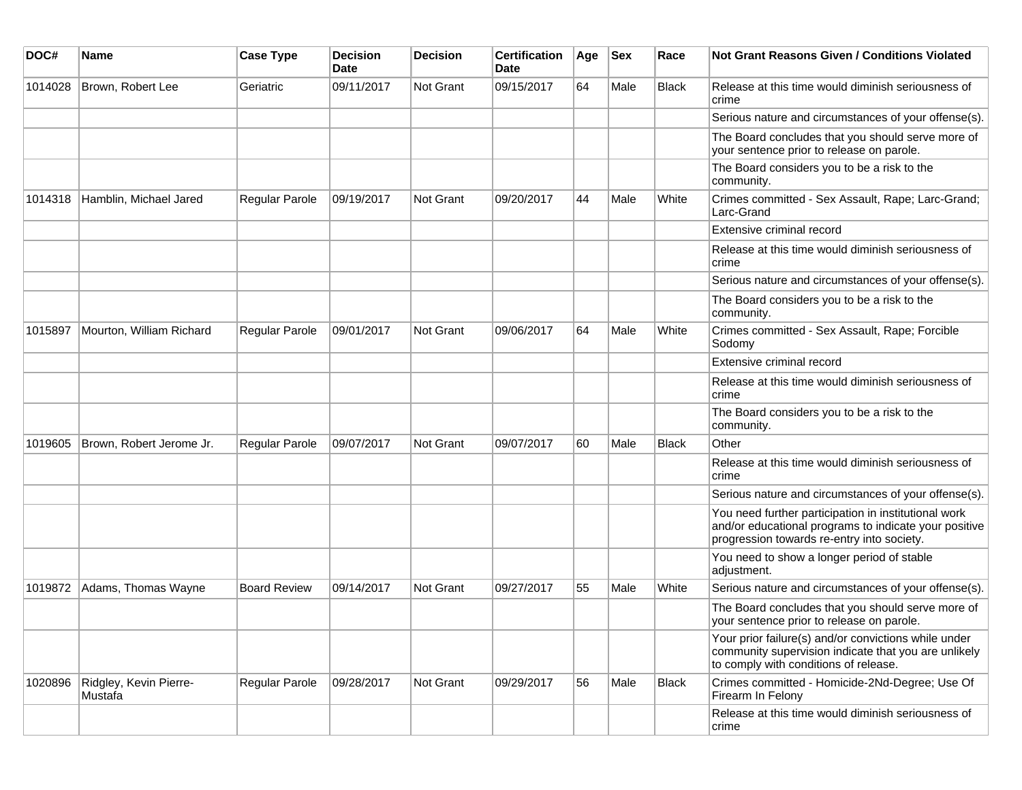| DOC#    | Name                              | <b>Case Type</b>    | <b>Decision</b><br>Date | <b>Decision</b> | <b>Certification</b><br><b>Date</b> | Age | <b>Sex</b> | Race         | <b>Not Grant Reasons Given / Conditions Violated</b>                                                                                                        |
|---------|-----------------------------------|---------------------|-------------------------|-----------------|-------------------------------------|-----|------------|--------------|-------------------------------------------------------------------------------------------------------------------------------------------------------------|
| 1014028 | Brown, Robert Lee                 | Geriatric           | 09/11/2017              | Not Grant       | 09/15/2017                          | 64  | Male       | Black        | Release at this time would diminish seriousness of<br>crime                                                                                                 |
|         |                                   |                     |                         |                 |                                     |     |            |              | Serious nature and circumstances of your offense(s).                                                                                                        |
|         |                                   |                     |                         |                 |                                     |     |            |              | The Board concludes that you should serve more of<br>your sentence prior to release on parole.                                                              |
|         |                                   |                     |                         |                 |                                     |     |            |              | The Board considers you to be a risk to the<br>community.                                                                                                   |
| 1014318 | Hamblin, Michael Jared            | Regular Parole      | 09/19/2017              | Not Grant       | 09/20/2017                          | 44  | Male       | White        | Crimes committed - Sex Assault, Rape; Larc-Grand;<br>Larc-Grand                                                                                             |
|         |                                   |                     |                         |                 |                                     |     |            |              | Extensive criminal record                                                                                                                                   |
|         |                                   |                     |                         |                 |                                     |     |            |              | Release at this time would diminish seriousness of<br>crime                                                                                                 |
|         |                                   |                     |                         |                 |                                     |     |            |              | Serious nature and circumstances of your offense(s).                                                                                                        |
|         |                                   |                     |                         |                 |                                     |     |            |              | The Board considers you to be a risk to the<br>community.                                                                                                   |
| 1015897 | Mourton, William Richard          | Regular Parole      | 09/01/2017              | Not Grant       | 09/06/2017                          | 64  | Male       | White        | Crimes committed - Sex Assault, Rape; Forcible<br>Sodomy                                                                                                    |
|         |                                   |                     |                         |                 |                                     |     |            |              | Extensive criminal record                                                                                                                                   |
|         |                                   |                     |                         |                 |                                     |     |            |              | Release at this time would diminish seriousness of<br>crime                                                                                                 |
|         |                                   |                     |                         |                 |                                     |     |            |              | The Board considers you to be a risk to the<br>community.                                                                                                   |
| 1019605 | Brown, Robert Jerome Jr.          | Regular Parole      | 09/07/2017              | Not Grant       | 09/07/2017                          | 60  | Male       | <b>Black</b> | Other                                                                                                                                                       |
|         |                                   |                     |                         |                 |                                     |     |            |              | Release at this time would diminish seriousness of<br>crime                                                                                                 |
|         |                                   |                     |                         |                 |                                     |     |            |              | Serious nature and circumstances of your offense(s).                                                                                                        |
|         |                                   |                     |                         |                 |                                     |     |            |              | You need further participation in institutional work<br>and/or educational programs to indicate your positive<br>progression towards re-entry into society. |
|         |                                   |                     |                         |                 |                                     |     |            |              | You need to show a longer period of stable<br>adjustment.                                                                                                   |
| 1019872 | Adams, Thomas Wayne               | <b>Board Review</b> | 09/14/2017              | Not Grant       | 09/27/2017                          | 55  | Male       | White        | Serious nature and circumstances of your offense(s).                                                                                                        |
|         |                                   |                     |                         |                 |                                     |     |            |              | The Board concludes that you should serve more of<br>your sentence prior to release on parole.                                                              |
|         |                                   |                     |                         |                 |                                     |     |            |              | Your prior failure(s) and/or convictions while under<br>community supervision indicate that you are unlikely<br>to comply with conditions of release.       |
| 1020896 | Ridgley, Kevin Pierre-<br>Mustafa | Regular Parole      | 09/28/2017              | Not Grant       | 09/29/2017                          | 56  | Male       | <b>Black</b> | Crimes committed - Homicide-2Nd-Degree; Use Of<br>Firearm In Felony                                                                                         |
|         |                                   |                     |                         |                 |                                     |     |            |              | Release at this time would diminish seriousness of<br>crime                                                                                                 |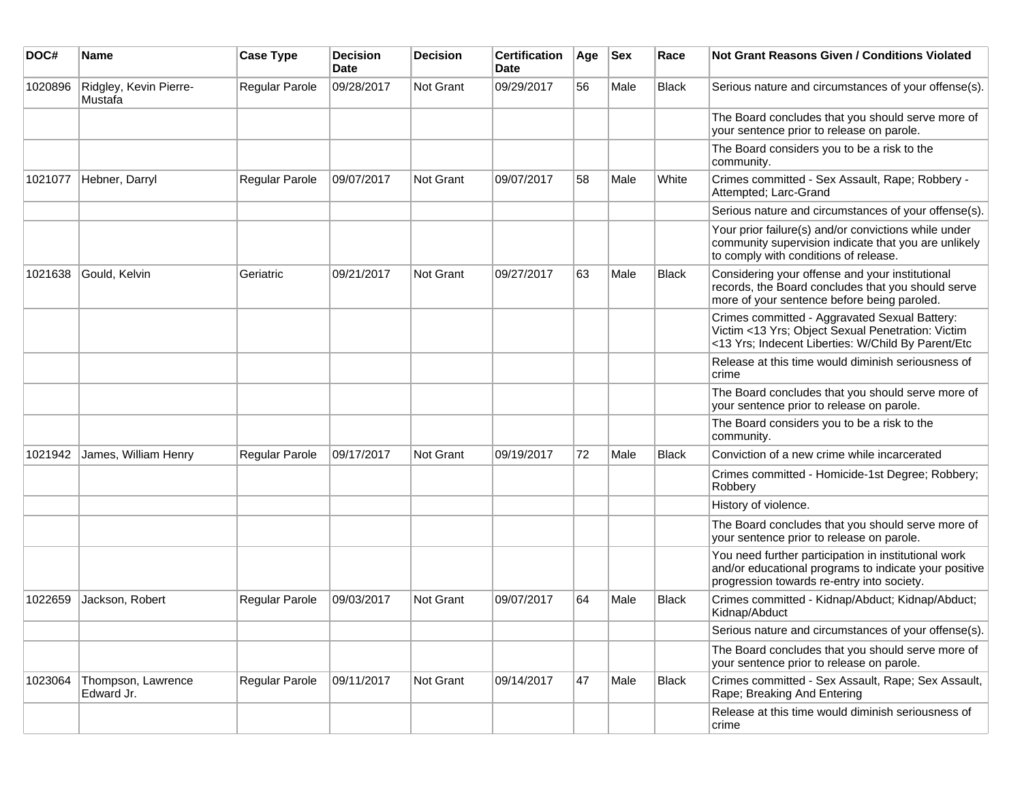| DOC#    | <b>Name</b>                       | <b>Case Type</b>      | <b>Decision</b><br><b>Date</b> | <b>Decision</b>  | <b>Certification</b><br>Date | Age | <b>Sex</b> | Race         | <b>Not Grant Reasons Given / Conditions Violated</b>                                                                                                        |
|---------|-----------------------------------|-----------------------|--------------------------------|------------------|------------------------------|-----|------------|--------------|-------------------------------------------------------------------------------------------------------------------------------------------------------------|
| 1020896 | Ridgley, Kevin Pierre-<br>Mustafa | Regular Parole        | 09/28/2017                     | <b>Not Grant</b> | 09/29/2017                   | 56  | Male       | <b>Black</b> | Serious nature and circumstances of your offense(s).                                                                                                        |
|         |                                   |                       |                                |                  |                              |     |            |              | The Board concludes that you should serve more of<br>your sentence prior to release on parole.                                                              |
|         |                                   |                       |                                |                  |                              |     |            |              | The Board considers you to be a risk to the<br>community.                                                                                                   |
| 1021077 | Hebner, Darryl                    | Regular Parole        | 09/07/2017                     | Not Grant        | 09/07/2017                   | 58  | Male       | White        | Crimes committed - Sex Assault, Rape; Robbery -<br>Attempted; Larc-Grand                                                                                    |
|         |                                   |                       |                                |                  |                              |     |            |              | Serious nature and circumstances of your offense(s).                                                                                                        |
|         |                                   |                       |                                |                  |                              |     |            |              | Your prior failure(s) and/or convictions while under<br>community supervision indicate that you are unlikely<br>to comply with conditions of release.       |
| 1021638 | Gould, Kelvin                     | Geriatric             | 09/21/2017                     | <b>Not Grant</b> | 09/27/2017                   | 63  | Male       | Black        | Considering your offense and your institutional<br>records, the Board concludes that you should serve<br>more of your sentence before being paroled.        |
|         |                                   |                       |                                |                  |                              |     |            |              | Crimes committed - Aggravated Sexual Battery:<br>Victim <13 Yrs; Object Sexual Penetration: Victim<br><13 Yrs; Indecent Liberties: W/Child By Parent/Etc    |
|         |                                   |                       |                                |                  |                              |     |            |              | Release at this time would diminish seriousness of<br>crime                                                                                                 |
|         |                                   |                       |                                |                  |                              |     |            |              | The Board concludes that you should serve more of<br>your sentence prior to release on parole.                                                              |
|         |                                   |                       |                                |                  |                              |     |            |              | The Board considers you to be a risk to the<br>community.                                                                                                   |
| 1021942 | James, William Henry              | <b>Regular Parole</b> | 09/17/2017                     | Not Grant        | 09/19/2017                   | 72  | Male       | <b>Black</b> | Conviction of a new crime while incarcerated                                                                                                                |
|         |                                   |                       |                                |                  |                              |     |            |              | Crimes committed - Homicide-1st Degree; Robbery;<br>Robbery                                                                                                 |
|         |                                   |                       |                                |                  |                              |     |            |              | History of violence.                                                                                                                                        |
|         |                                   |                       |                                |                  |                              |     |            |              | The Board concludes that you should serve more of<br>your sentence prior to release on parole.                                                              |
|         |                                   |                       |                                |                  |                              |     |            |              | You need further participation in institutional work<br>and/or educational programs to indicate your positive<br>progression towards re-entry into society. |
| 1022659 | Jackson, Robert                   | Regular Parole        | 09/03/2017                     | Not Grant        | 09/07/2017                   | 64  | Male       | <b>Black</b> | Crimes committed - Kidnap/Abduct; Kidnap/Abduct;<br>Kidnap/Abduct                                                                                           |
|         |                                   |                       |                                |                  |                              |     |            |              | Serious nature and circumstances of your offense(s).                                                                                                        |
|         |                                   |                       |                                |                  |                              |     |            |              | The Board concludes that you should serve more of<br>your sentence prior to release on parole.                                                              |
| 1023064 | Thompson, Lawrence<br>Edward Jr.  | Regular Parole        | 09/11/2017                     | <b>Not Grant</b> | 09/14/2017                   | 47  | Male       | <b>Black</b> | Crimes committed - Sex Assault, Rape; Sex Assault,<br>Rape; Breaking And Entering                                                                           |
|         |                                   |                       |                                |                  |                              |     |            |              | Release at this time would diminish seriousness of<br>crime                                                                                                 |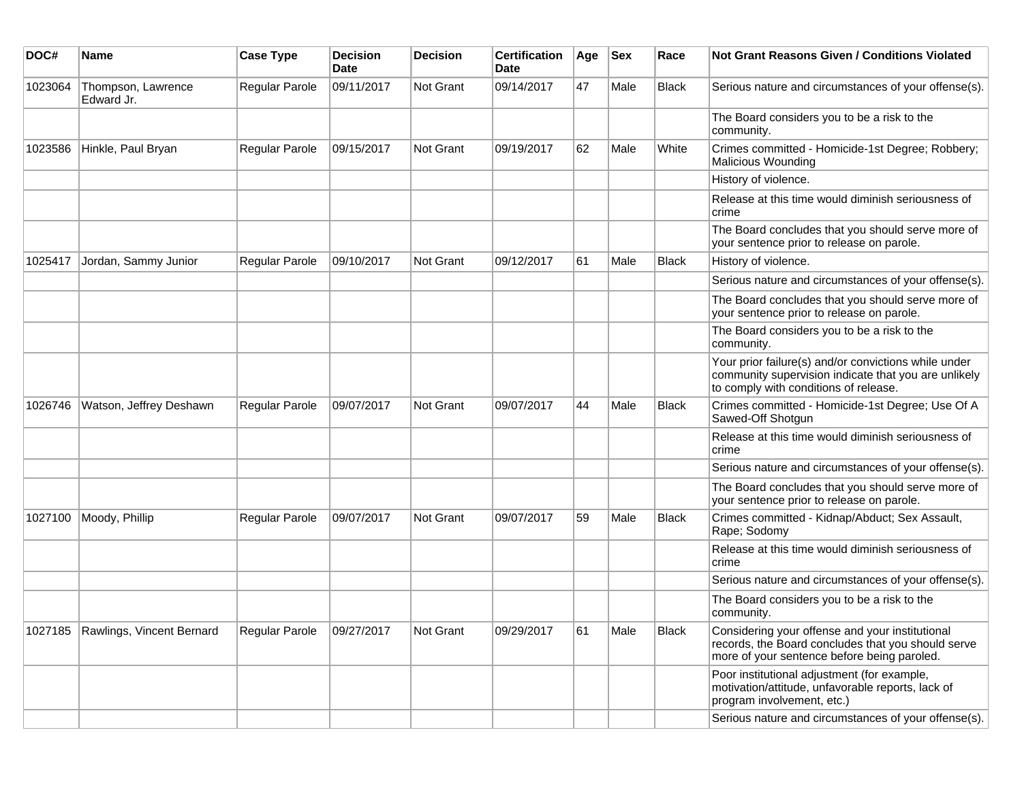| DOC#    | <b>Name</b>                       | <b>Case Type</b>      | <b>Decision</b><br>Date | <b>Decision</b>  | <b>Certification</b><br><b>Date</b> | Age | <b>Sex</b> | Race         | <b>Not Grant Reasons Given / Conditions Violated</b>                                                                                                  |
|---------|-----------------------------------|-----------------------|-------------------------|------------------|-------------------------------------|-----|------------|--------------|-------------------------------------------------------------------------------------------------------------------------------------------------------|
| 1023064 | Thompson, Lawrence<br>Edward Jr.  | Regular Parole        | 09/11/2017              | <b>Not Grant</b> | 09/14/2017                          | 47  | Male       | <b>Black</b> | Serious nature and circumstances of your offense(s).                                                                                                  |
|         |                                   |                       |                         |                  |                                     |     |            |              | The Board considers you to be a risk to the<br>community.                                                                                             |
| 1023586 | Hinkle, Paul Bryan                | Regular Parole        | 09/15/2017              | <b>Not Grant</b> | 09/19/2017                          | 62  | Male       | White        | Crimes committed - Homicide-1st Degree; Robbery;<br><b>Malicious Wounding</b>                                                                         |
|         |                                   |                       |                         |                  |                                     |     |            |              | History of violence.                                                                                                                                  |
|         |                                   |                       |                         |                  |                                     |     |            |              | Release at this time would diminish seriousness of<br>crime                                                                                           |
|         |                                   |                       |                         |                  |                                     |     |            |              | The Board concludes that you should serve more of<br>your sentence prior to release on parole.                                                        |
| 1025417 | Jordan, Sammy Junior              | <b>Regular Parole</b> | 09/10/2017              | <b>Not Grant</b> | 09/12/2017                          | 61  | Male       | <b>Black</b> | History of violence.                                                                                                                                  |
|         |                                   |                       |                         |                  |                                     |     |            |              | Serious nature and circumstances of your offense(s).                                                                                                  |
|         |                                   |                       |                         |                  |                                     |     |            |              | The Board concludes that you should serve more of<br>your sentence prior to release on parole.                                                        |
|         |                                   |                       |                         |                  |                                     |     |            |              | The Board considers you to be a risk to the<br>community.                                                                                             |
|         |                                   |                       |                         |                  |                                     |     |            |              | Your prior failure(s) and/or convictions while under<br>community supervision indicate that you are unlikely<br>to comply with conditions of release. |
| 1026746 | Watson, Jeffrey Deshawn           | <b>Regular Parole</b> | 09/07/2017              | <b>Not Grant</b> | 09/07/2017                          | 44  | Male       | <b>Black</b> | Crimes committed - Homicide-1st Degree; Use Of A<br>Sawed-Off Shotgun                                                                                 |
|         |                                   |                       |                         |                  |                                     |     |            |              | Release at this time would diminish seriousness of<br>crime                                                                                           |
|         |                                   |                       |                         |                  |                                     |     |            |              | Serious nature and circumstances of your offense(s).                                                                                                  |
|         |                                   |                       |                         |                  |                                     |     |            |              | The Board concludes that you should serve more of<br>your sentence prior to release on parole.                                                        |
| 1027100 | Moody, Phillip                    | Regular Parole        | 09/07/2017              | Not Grant        | 09/07/2017                          | 59  | Male       | <b>Black</b> | Crimes committed - Kidnap/Abduct; Sex Assault,<br>Rape; Sodomy                                                                                        |
|         |                                   |                       |                         |                  |                                     |     |            |              | Release at this time would diminish seriousness of<br>crime                                                                                           |
|         |                                   |                       |                         |                  |                                     |     |            |              | Serious nature and circumstances of your offense(s).                                                                                                  |
|         |                                   |                       |                         |                  |                                     |     |            |              | The Board considers you to be a risk to the<br>community.                                                                                             |
|         | 1027185 Rawlings, Vincent Bernard | Regular Parole        | 09/27/2017              | Not Grant        | 09/29/2017                          | 61  | Male       | Black        | Considering your offense and your institutional<br>records, the Board concludes that you should serve<br>more of your sentence before being paroled.  |
|         |                                   |                       |                         |                  |                                     |     |            |              | Poor institutional adjustment (for example,<br>motivation/attitude, unfavorable reports, lack of<br>program involvement, etc.)                        |
|         |                                   |                       |                         |                  |                                     |     |            |              | Serious nature and circumstances of your offense(s).                                                                                                  |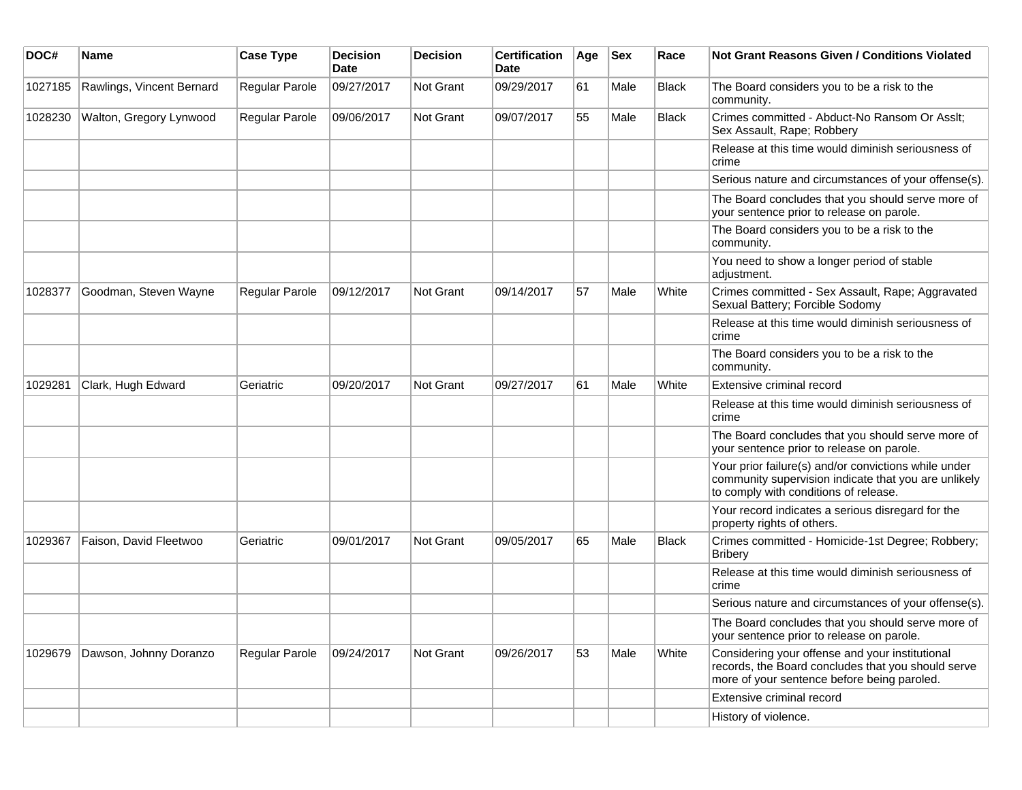| DOC#    | Name                      | <b>Case Type</b>      | <b>Decision</b><br><b>Date</b> | <b>Decision</b> | <b>Certification</b><br><b>Date</b> | Age | <b>Sex</b> | Race         | Not Grant Reasons Given / Conditions Violated                                                                                                         |
|---------|---------------------------|-----------------------|--------------------------------|-----------------|-------------------------------------|-----|------------|--------------|-------------------------------------------------------------------------------------------------------------------------------------------------------|
| 1027185 | Rawlings, Vincent Bernard | Regular Parole        | 09/27/2017                     | Not Grant       | 09/29/2017                          | 61  | Male       | <b>Black</b> | The Board considers you to be a risk to the<br>community.                                                                                             |
| 1028230 | Walton, Gregory Lynwood   | Regular Parole        | 09/06/2017                     | Not Grant       | 09/07/2017                          | 55  | Male       | <b>Black</b> | Crimes committed - Abduct-No Ransom Or Asslt;<br>Sex Assault, Rape; Robbery                                                                           |
|         |                           |                       |                                |                 |                                     |     |            |              | Release at this time would diminish seriousness of<br>crime                                                                                           |
|         |                           |                       |                                |                 |                                     |     |            |              | Serious nature and circumstances of your offense(s).                                                                                                  |
|         |                           |                       |                                |                 |                                     |     |            |              | The Board concludes that you should serve more of<br>your sentence prior to release on parole.                                                        |
|         |                           |                       |                                |                 |                                     |     |            |              | The Board considers you to be a risk to the<br>community.                                                                                             |
|         |                           |                       |                                |                 |                                     |     |            |              | You need to show a longer period of stable<br>adjustment.                                                                                             |
| 1028377 | Goodman, Steven Wayne     | <b>Regular Parole</b> | 09/12/2017                     | Not Grant       | 09/14/2017                          | 57  | Male       | White        | Crimes committed - Sex Assault, Rape; Aggravated<br>Sexual Battery; Forcible Sodomy                                                                   |
|         |                           |                       |                                |                 |                                     |     |            |              | Release at this time would diminish seriousness of<br>crime                                                                                           |
|         |                           |                       |                                |                 |                                     |     |            |              | The Board considers you to be a risk to the<br>community.                                                                                             |
| 1029281 | Clark, Hugh Edward        | Geriatric             | 09/20/2017                     | Not Grant       | 09/27/2017                          | 61  | Male       | White        | Extensive criminal record                                                                                                                             |
|         |                           |                       |                                |                 |                                     |     |            |              | Release at this time would diminish seriousness of<br>crime                                                                                           |
|         |                           |                       |                                |                 |                                     |     |            |              | The Board concludes that you should serve more of<br>your sentence prior to release on parole.                                                        |
|         |                           |                       |                                |                 |                                     |     |            |              | Your prior failure(s) and/or convictions while under<br>community supervision indicate that you are unlikely<br>to comply with conditions of release. |
|         |                           |                       |                                |                 |                                     |     |            |              | Your record indicates a serious disregard for the<br>property rights of others.                                                                       |
| 1029367 | Faison, David Fleetwoo    | Geriatric             | 09/01/2017                     | Not Grant       | 09/05/2017                          | 65  | Male       | Black        | Crimes committed - Homicide-1st Degree; Robbery;<br><b>Bribery</b>                                                                                    |
|         |                           |                       |                                |                 |                                     |     |            |              | Release at this time would diminish seriousness of<br>crime                                                                                           |
|         |                           |                       |                                |                 |                                     |     |            |              | Serious nature and circumstances of your offense(s).                                                                                                  |
|         |                           |                       |                                |                 |                                     |     |            |              | The Board concludes that you should serve more of<br>your sentence prior to release on parole.                                                        |
| 1029679 | Dawson, Johnny Doranzo    | Regular Parole        | 09/24/2017                     | Not Grant       | 09/26/2017                          | 53  | Male       | White        | Considering your offense and your institutional<br>records, the Board concludes that you should serve<br>more of your sentence before being paroled.  |
|         |                           |                       |                                |                 |                                     |     |            |              | Extensive criminal record                                                                                                                             |
|         |                           |                       |                                |                 |                                     |     |            |              | History of violence.                                                                                                                                  |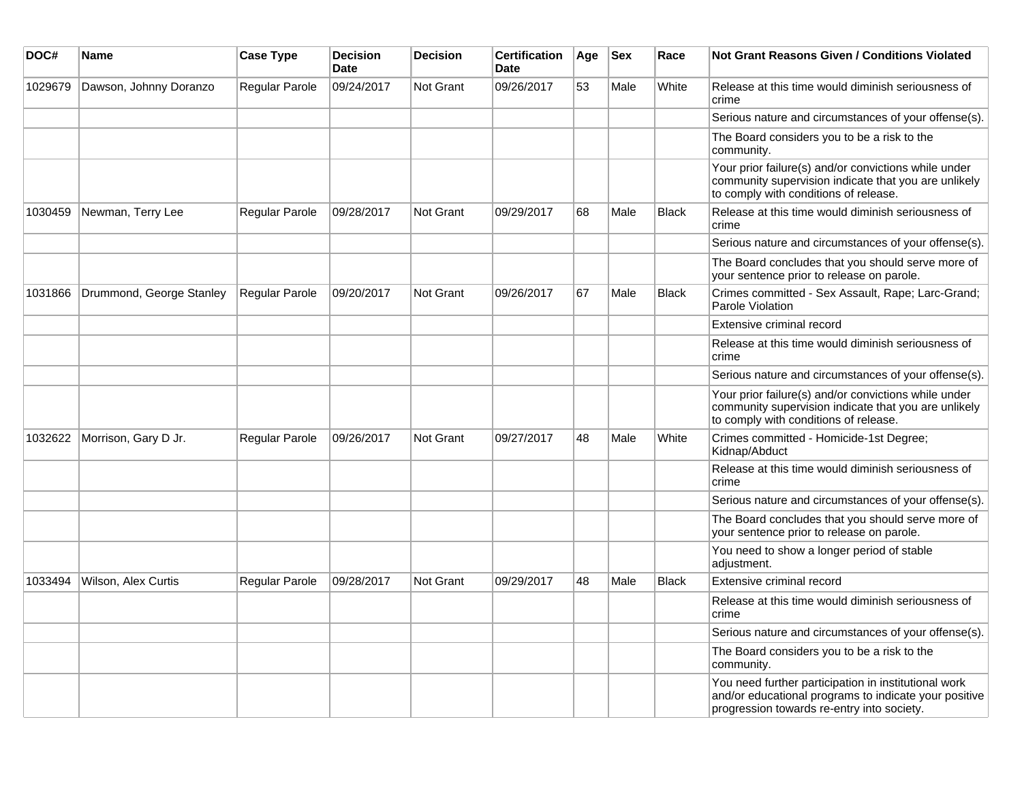| DOC#    | <b>Name</b>              | <b>Case Type</b> | <b>Decision</b><br><b>Date</b> | <b>Decision</b>  | <b>Certification</b><br><b>Date</b> | Age | <b>Sex</b> | Race         | <b>Not Grant Reasons Given / Conditions Violated</b>                                                                                                        |
|---------|--------------------------|------------------|--------------------------------|------------------|-------------------------------------|-----|------------|--------------|-------------------------------------------------------------------------------------------------------------------------------------------------------------|
| 1029679 | Dawson, Johnny Doranzo   | Regular Parole   | 09/24/2017                     | Not Grant        | 09/26/2017                          | 53  | Male       | White        | Release at this time would diminish seriousness of<br>crime                                                                                                 |
|         |                          |                  |                                |                  |                                     |     |            |              | Serious nature and circumstances of your offense(s).                                                                                                        |
|         |                          |                  |                                |                  |                                     |     |            |              | The Board considers you to be a risk to the<br>community.                                                                                                   |
|         |                          |                  |                                |                  |                                     |     |            |              | Your prior failure(s) and/or convictions while under<br>community supervision indicate that you are unlikely<br>to comply with conditions of release.       |
| 1030459 | Newman, Terry Lee        | Regular Parole   | 09/28/2017                     | <b>Not Grant</b> | 09/29/2017                          | 68  | Male       | <b>Black</b> | Release at this time would diminish seriousness of<br>crime                                                                                                 |
|         |                          |                  |                                |                  |                                     |     |            |              | Serious nature and circumstances of your offense(s).                                                                                                        |
|         |                          |                  |                                |                  |                                     |     |            |              | The Board concludes that you should serve more of<br>your sentence prior to release on parole.                                                              |
| 1031866 | Drummond, George Stanley | Regular Parole   | 09/20/2017                     | <b>Not Grant</b> | 09/26/2017                          | 67  | Male       | <b>Black</b> | Crimes committed - Sex Assault, Rape; Larc-Grand;<br>Parole Violation                                                                                       |
|         |                          |                  |                                |                  |                                     |     |            |              | Extensive criminal record                                                                                                                                   |
|         |                          |                  |                                |                  |                                     |     |            |              | Release at this time would diminish seriousness of<br>crime                                                                                                 |
|         |                          |                  |                                |                  |                                     |     |            |              | Serious nature and circumstances of your offense(s).                                                                                                        |
|         |                          |                  |                                |                  |                                     |     |            |              | Your prior failure(s) and/or convictions while under<br>community supervision indicate that you are unlikely<br>to comply with conditions of release.       |
| 1032622 | Morrison, Gary D Jr.     | Regular Parole   | 09/26/2017                     | <b>Not Grant</b> | 09/27/2017                          | 48  | Male       | White        | Crimes committed - Homicide-1st Degree;<br>Kidnap/Abduct                                                                                                    |
|         |                          |                  |                                |                  |                                     |     |            |              | Release at this time would diminish seriousness of<br>crime                                                                                                 |
|         |                          |                  |                                |                  |                                     |     |            |              | Serious nature and circumstances of your offense(s).                                                                                                        |
|         |                          |                  |                                |                  |                                     |     |            |              | The Board concludes that you should serve more of<br>your sentence prior to release on parole.                                                              |
|         |                          |                  |                                |                  |                                     |     |            |              | You need to show a longer period of stable<br>adjustment.                                                                                                   |
| 1033494 | Wilson, Alex Curtis      | Regular Parole   | 09/28/2017                     | Not Grant        | 09/29/2017                          | 48  | Male       | <b>Black</b> | Extensive criminal record                                                                                                                                   |
|         |                          |                  |                                |                  |                                     |     |            |              | Release at this time would diminish seriousness of<br>crime                                                                                                 |
|         |                          |                  |                                |                  |                                     |     |            |              | Serious nature and circumstances of your offense(s).                                                                                                        |
|         |                          |                  |                                |                  |                                     |     |            |              | The Board considers you to be a risk to the<br>community.                                                                                                   |
|         |                          |                  |                                |                  |                                     |     |            |              | You need further participation in institutional work<br>and/or educational programs to indicate your positive<br>progression towards re-entry into society. |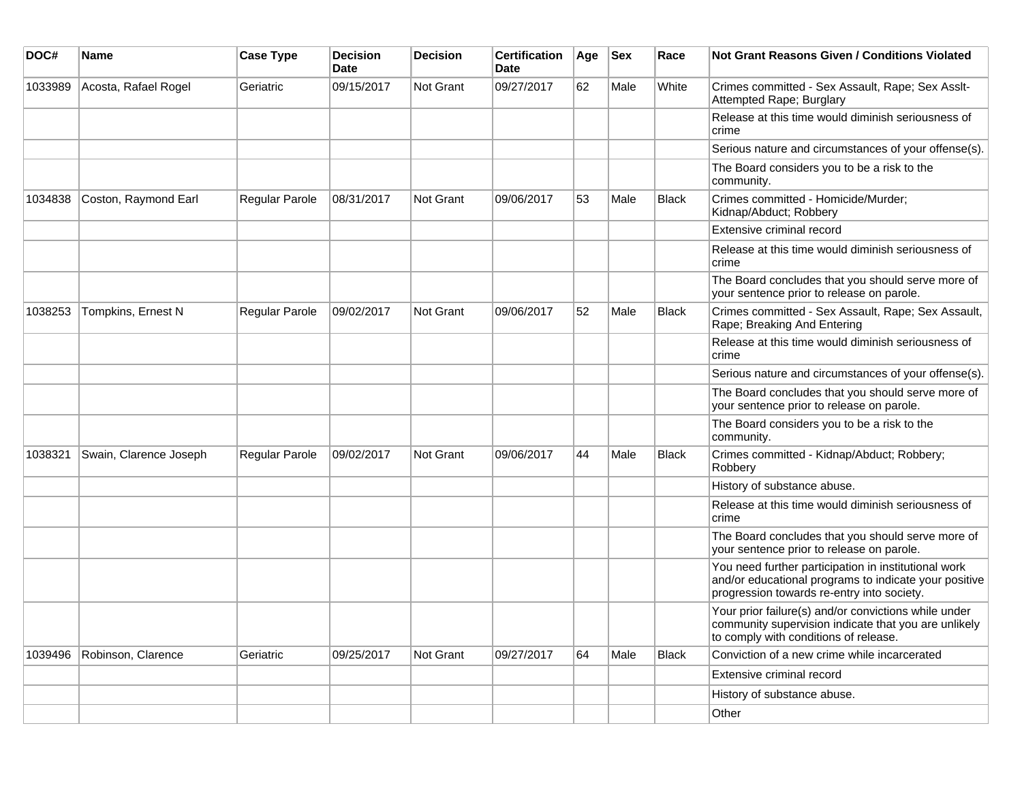| DOC#    | <b>Name</b>            | <b>Case Type</b> | <b>Decision</b><br><b>Date</b> | <b>Decision</b> | <b>Certification</b><br>Date | Age | <b>Sex</b> | Race         | Not Grant Reasons Given / Conditions Violated                                                                                                               |
|---------|------------------------|------------------|--------------------------------|-----------------|------------------------------|-----|------------|--------------|-------------------------------------------------------------------------------------------------------------------------------------------------------------|
| 1033989 | Acosta, Rafael Rogel   | Geriatric        | 09/15/2017                     | Not Grant       | 09/27/2017                   | 62  | Male       | White        | Crimes committed - Sex Assault, Rape; Sex Asslt-<br>Attempted Rape; Burglary                                                                                |
|         |                        |                  |                                |                 |                              |     |            |              | Release at this time would diminish seriousness of<br>crime                                                                                                 |
|         |                        |                  |                                |                 |                              |     |            |              | Serious nature and circumstances of your offense(s).                                                                                                        |
|         |                        |                  |                                |                 |                              |     |            |              | The Board considers you to be a risk to the<br>community.                                                                                                   |
| 1034838 | Coston, Raymond Earl   | Regular Parole   | 08/31/2017                     | Not Grant       | 09/06/2017                   | 53  | Male       | <b>Black</b> | Crimes committed - Homicide/Murder;<br>Kidnap/Abduct; Robbery                                                                                               |
|         |                        |                  |                                |                 |                              |     |            |              | Extensive criminal record                                                                                                                                   |
|         |                        |                  |                                |                 |                              |     |            |              | Release at this time would diminish seriousness of<br>crime                                                                                                 |
|         |                        |                  |                                |                 |                              |     |            |              | The Board concludes that you should serve more of<br>your sentence prior to release on parole.                                                              |
| 1038253 | Tompkins, Ernest N     | Regular Parole   | 09/02/2017                     | Not Grant       | 09/06/2017                   | 52  | Male       | <b>Black</b> | Crimes committed - Sex Assault, Rape; Sex Assault,<br>Rape; Breaking And Entering                                                                           |
|         |                        |                  |                                |                 |                              |     |            |              | Release at this time would diminish seriousness of<br>crime                                                                                                 |
|         |                        |                  |                                |                 |                              |     |            |              | Serious nature and circumstances of your offense(s).                                                                                                        |
|         |                        |                  |                                |                 |                              |     |            |              | The Board concludes that you should serve more of<br>your sentence prior to release on parole.                                                              |
|         |                        |                  |                                |                 |                              |     |            |              | The Board considers you to be a risk to the<br>community.                                                                                                   |
| 1038321 | Swain, Clarence Joseph | Regular Parole   | 09/02/2017                     | Not Grant       | 09/06/2017                   | 44  | Male       | Black        | Crimes committed - Kidnap/Abduct; Robbery;<br>Robbery                                                                                                       |
|         |                        |                  |                                |                 |                              |     |            |              | History of substance abuse.                                                                                                                                 |
|         |                        |                  |                                |                 |                              |     |            |              | Release at this time would diminish seriousness of<br>crime                                                                                                 |
|         |                        |                  |                                |                 |                              |     |            |              | The Board concludes that you should serve more of<br>your sentence prior to release on parole.                                                              |
|         |                        |                  |                                |                 |                              |     |            |              | You need further participation in institutional work<br>and/or educational programs to indicate your positive<br>progression towards re-entry into society. |
|         |                        |                  |                                |                 |                              |     |            |              | Your prior failure(s) and/or convictions while under<br>community supervision indicate that you are unlikely<br>to comply with conditions of release.       |
| 1039496 | Robinson, Clarence     | Geriatric        | 09/25/2017                     | Not Grant       | 09/27/2017                   | 64  | Male       | <b>Black</b> | Conviction of a new crime while incarcerated                                                                                                                |
|         |                        |                  |                                |                 |                              |     |            |              | Extensive criminal record                                                                                                                                   |
|         |                        |                  |                                |                 |                              |     |            |              | History of substance abuse.                                                                                                                                 |
|         |                        |                  |                                |                 |                              |     |            |              | Other                                                                                                                                                       |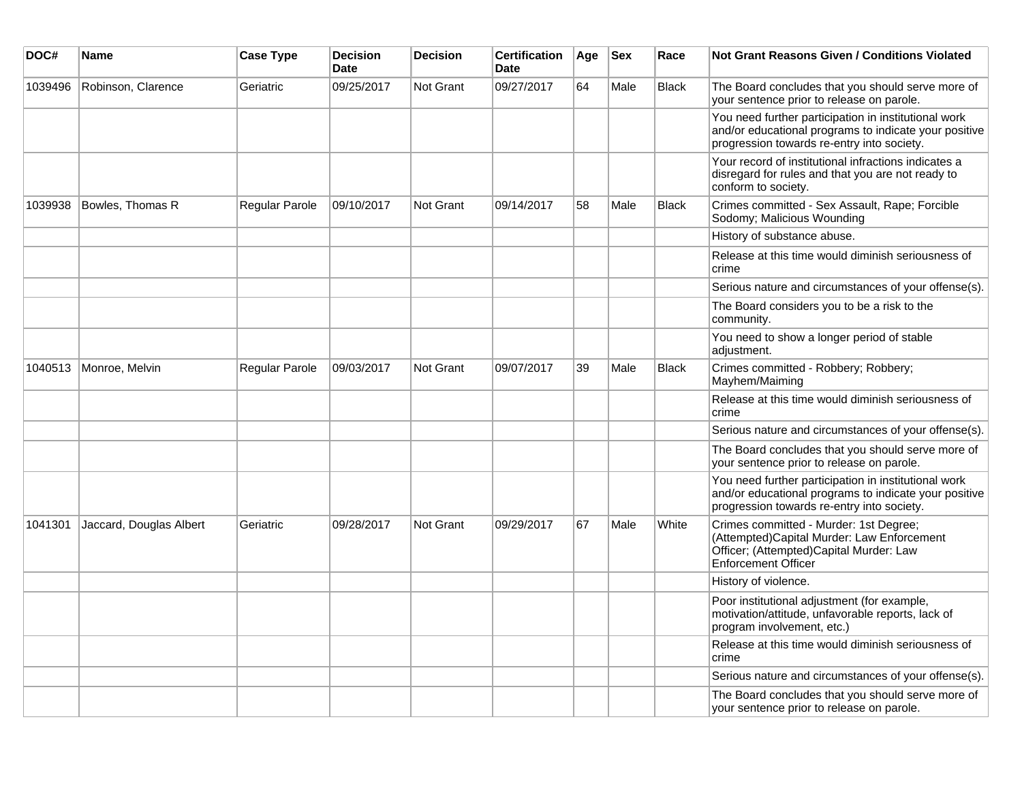| DOC#    | Name                    | <b>Case Type</b> | <b>Decision</b><br><b>Date</b> | <b>Decision</b>  | <b>Certification</b><br><b>Date</b> | Age | <b>Sex</b> | Race         | <b>Not Grant Reasons Given / Conditions Violated</b>                                                                                                        |
|---------|-------------------------|------------------|--------------------------------|------------------|-------------------------------------|-----|------------|--------------|-------------------------------------------------------------------------------------------------------------------------------------------------------------|
| 1039496 | Robinson, Clarence      | Geriatric        | 09/25/2017                     | Not Grant        | 09/27/2017                          | 64  | Male       | <b>Black</b> | The Board concludes that you should serve more of<br>your sentence prior to release on parole.                                                              |
|         |                         |                  |                                |                  |                                     |     |            |              | You need further participation in institutional work<br>and/or educational programs to indicate your positive<br>progression towards re-entry into society. |
|         |                         |                  |                                |                  |                                     |     |            |              | Your record of institutional infractions indicates a<br>disregard for rules and that you are not ready to<br>conform to society.                            |
| 1039938 | Bowles, Thomas R        | Regular Parole   | 09/10/2017                     | Not Grant        | 09/14/2017                          | 58  | Male       | <b>Black</b> | Crimes committed - Sex Assault, Rape; Forcible<br>Sodomy; Malicious Wounding                                                                                |
|         |                         |                  |                                |                  |                                     |     |            |              | History of substance abuse.                                                                                                                                 |
|         |                         |                  |                                |                  |                                     |     |            |              | Release at this time would diminish seriousness of<br>crime                                                                                                 |
|         |                         |                  |                                |                  |                                     |     |            |              | Serious nature and circumstances of your offense(s).                                                                                                        |
|         |                         |                  |                                |                  |                                     |     |            |              | The Board considers you to be a risk to the<br>community.                                                                                                   |
|         |                         |                  |                                |                  |                                     |     |            |              | You need to show a longer period of stable<br>adjustment.                                                                                                   |
| 1040513 | Monroe, Melvin          | Regular Parole   | 09/03/2017                     | Not Grant        | 09/07/2017                          | 39  | Male       | <b>Black</b> | Crimes committed - Robbery; Robbery;<br>Mayhem/Maiming                                                                                                      |
|         |                         |                  |                                |                  |                                     |     |            |              | Release at this time would diminish seriousness of<br>crime                                                                                                 |
|         |                         |                  |                                |                  |                                     |     |            |              | Serious nature and circumstances of your offense(s).                                                                                                        |
|         |                         |                  |                                |                  |                                     |     |            |              | The Board concludes that you should serve more of<br>your sentence prior to release on parole.                                                              |
|         |                         |                  |                                |                  |                                     |     |            |              | You need further participation in institutional work<br>and/or educational programs to indicate your positive<br>progression towards re-entry into society. |
| 1041301 | Jaccard, Douglas Albert | Geriatric        | 09/28/2017                     | <b>Not Grant</b> | 09/29/2017                          | 67  | Male       | White        | Crimes committed - Murder: 1st Degree;<br>(Attempted)Capital Murder: Law Enforcement<br>Officer; (Attempted)Capital Murder: Law<br>Enforcement Officer      |
|         |                         |                  |                                |                  |                                     |     |            |              | History of violence.                                                                                                                                        |
|         |                         |                  |                                |                  |                                     |     |            |              | Poor institutional adjustment (for example,<br>motivation/attitude, unfavorable reports, lack of<br>program involvement, etc.)                              |
|         |                         |                  |                                |                  |                                     |     |            |              | Release at this time would diminish seriousness of<br>crime                                                                                                 |
|         |                         |                  |                                |                  |                                     |     |            |              | Serious nature and circumstances of your offense(s).                                                                                                        |
|         |                         |                  |                                |                  |                                     |     |            |              | The Board concludes that you should serve more of<br>your sentence prior to release on parole.                                                              |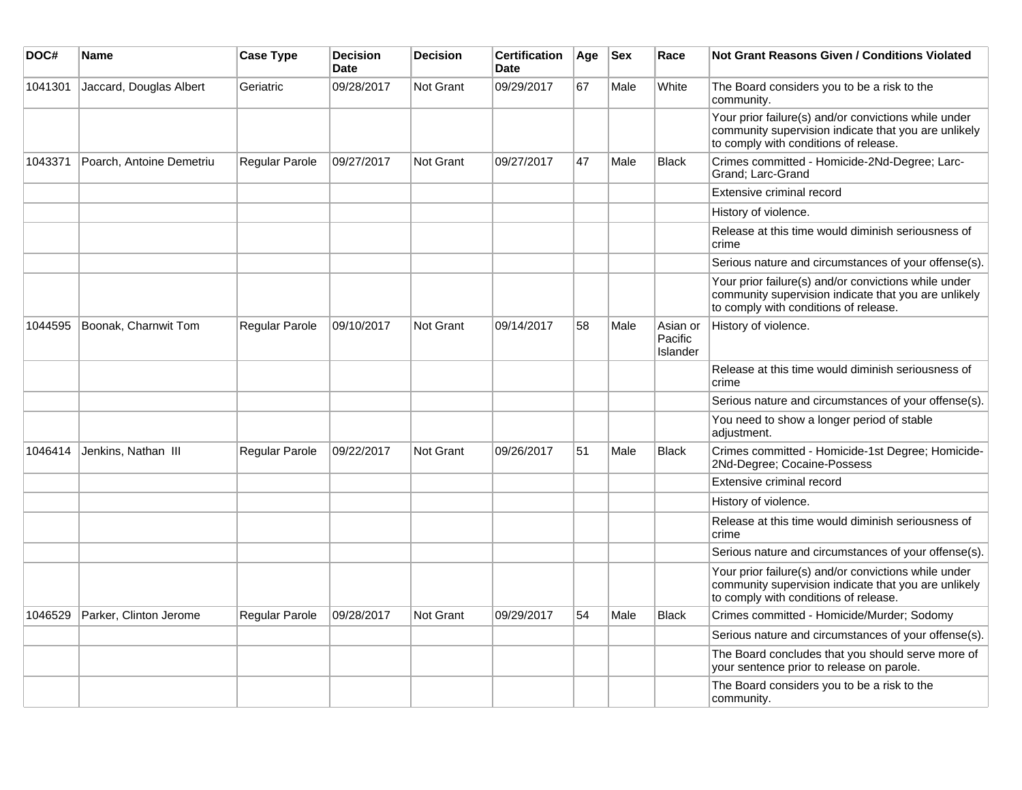| DOC#    | <b>Name</b>              | <b>Case Type</b>      | <b>Decision</b><br><b>Date</b> | <b>Decision</b>  | <b>Certification</b><br><b>Date</b> | Age | <b>Sex</b> | Race                            | <b>Not Grant Reasons Given / Conditions Violated</b>                                                                                                  |
|---------|--------------------------|-----------------------|--------------------------------|------------------|-------------------------------------|-----|------------|---------------------------------|-------------------------------------------------------------------------------------------------------------------------------------------------------|
| 1041301 | Jaccard, Douglas Albert  | Geriatric             | 09/28/2017                     | <b>Not Grant</b> | 09/29/2017                          | 67  | Male       | White                           | The Board considers you to be a risk to the<br>community.                                                                                             |
|         |                          |                       |                                |                  |                                     |     |            |                                 | Your prior failure(s) and/or convictions while under<br>community supervision indicate that you are unlikely<br>to comply with conditions of release. |
| 1043371 | Poarch, Antoine Demetriu | Regular Parole        | 09/27/2017                     | <b>Not Grant</b> | 09/27/2017                          | 47  | Male       | Black                           | Crimes committed - Homicide-2Nd-Degree; Larc-<br>Grand; Larc-Grand                                                                                    |
|         |                          |                       |                                |                  |                                     |     |            |                                 | Extensive criminal record                                                                                                                             |
|         |                          |                       |                                |                  |                                     |     |            |                                 | History of violence.                                                                                                                                  |
|         |                          |                       |                                |                  |                                     |     |            |                                 | Release at this time would diminish seriousness of<br>crime                                                                                           |
|         |                          |                       |                                |                  |                                     |     |            |                                 | Serious nature and circumstances of your offense(s).                                                                                                  |
|         |                          |                       |                                |                  |                                     |     |            |                                 | Your prior failure(s) and/or convictions while under<br>community supervision indicate that you are unlikely<br>to comply with conditions of release. |
| 1044595 | Boonak, Charnwit Tom     | <b>Regular Parole</b> | 09/10/2017                     | <b>Not Grant</b> | 09/14/2017                          | 58  | Male       | Asian or<br>Pacific<br>Islander | History of violence.                                                                                                                                  |
|         |                          |                       |                                |                  |                                     |     |            |                                 | Release at this time would diminish seriousness of<br>crime                                                                                           |
|         |                          |                       |                                |                  |                                     |     |            |                                 | Serious nature and circumstances of your offense(s).                                                                                                  |
|         |                          |                       |                                |                  |                                     |     |            |                                 | You need to show a longer period of stable<br>adjustment.                                                                                             |
| 1046414 | Jenkins, Nathan III      | <b>Regular Parole</b> | 09/22/2017                     | <b>Not Grant</b> | 09/26/2017                          | 51  | Male       | Black                           | Crimes committed - Homicide-1st Degree; Homicide-<br>2Nd-Degree; Cocaine-Possess                                                                      |
|         |                          |                       |                                |                  |                                     |     |            |                                 | Extensive criminal record                                                                                                                             |
|         |                          |                       |                                |                  |                                     |     |            |                                 | History of violence.                                                                                                                                  |
|         |                          |                       |                                |                  |                                     |     |            |                                 | Release at this time would diminish seriousness of<br>crime                                                                                           |
|         |                          |                       |                                |                  |                                     |     |            |                                 | Serious nature and circumstances of your offense(s).                                                                                                  |
|         |                          |                       |                                |                  |                                     |     |            |                                 | Your prior failure(s) and/or convictions while under<br>community supervision indicate that you are unlikely<br>to comply with conditions of release. |
| 1046529 | Parker, Clinton Jerome   | Regular Parole        | 09/28/2017                     | <b>Not Grant</b> | 09/29/2017                          | 54  | Male       | <b>Black</b>                    | Crimes committed - Homicide/Murder; Sodomy                                                                                                            |
|         |                          |                       |                                |                  |                                     |     |            |                                 | Serious nature and circumstances of your offense(s).                                                                                                  |
|         |                          |                       |                                |                  |                                     |     |            |                                 | The Board concludes that you should serve more of<br>your sentence prior to release on parole.                                                        |
|         |                          |                       |                                |                  |                                     |     |            |                                 | The Board considers you to be a risk to the<br>community.                                                                                             |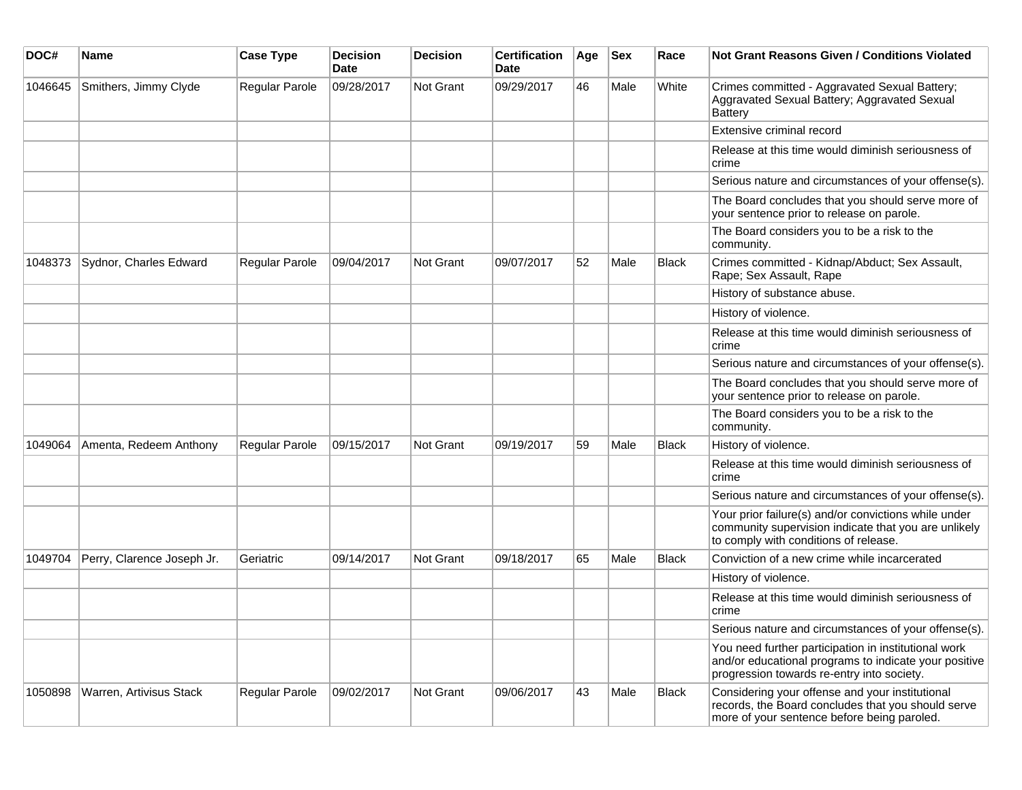| DOC#    | <b>Name</b>                | <b>Case Type</b> | <b>Decision</b><br><b>Date</b> | <b>Decision</b>  | <b>Certification</b><br>Date | Age | <b>Sex</b> | Race         | <b>Not Grant Reasons Given / Conditions Violated</b>                                                                                                        |
|---------|----------------------------|------------------|--------------------------------|------------------|------------------------------|-----|------------|--------------|-------------------------------------------------------------------------------------------------------------------------------------------------------------|
| 1046645 | Smithers, Jimmy Clyde      | Regular Parole   | 09/28/2017                     | <b>Not Grant</b> | 09/29/2017                   | 46  | Male       | White        | Crimes committed - Aggravated Sexual Battery;<br>Aggravated Sexual Battery; Aggravated Sexual<br><b>Battery</b>                                             |
|         |                            |                  |                                |                  |                              |     |            |              | Extensive criminal record                                                                                                                                   |
|         |                            |                  |                                |                  |                              |     |            |              | Release at this time would diminish seriousness of<br>crime                                                                                                 |
|         |                            |                  |                                |                  |                              |     |            |              | Serious nature and circumstances of your offense(s).                                                                                                        |
|         |                            |                  |                                |                  |                              |     |            |              | The Board concludes that you should serve more of<br>your sentence prior to release on parole.                                                              |
|         |                            |                  |                                |                  |                              |     |            |              | The Board considers you to be a risk to the<br>community.                                                                                                   |
| 1048373 | Sydnor, Charles Edward     | Regular Parole   | 09/04/2017                     | <b>Not Grant</b> | 09/07/2017                   | 52  | Male       | <b>Black</b> | Crimes committed - Kidnap/Abduct; Sex Assault,<br>Rape; Sex Assault, Rape                                                                                   |
|         |                            |                  |                                |                  |                              |     |            |              | History of substance abuse.                                                                                                                                 |
|         |                            |                  |                                |                  |                              |     |            |              | History of violence.                                                                                                                                        |
|         |                            |                  |                                |                  |                              |     |            |              | Release at this time would diminish seriousness of<br>crime                                                                                                 |
|         |                            |                  |                                |                  |                              |     |            |              | Serious nature and circumstances of your offense(s).                                                                                                        |
|         |                            |                  |                                |                  |                              |     |            |              | The Board concludes that you should serve more of<br>your sentence prior to release on parole.                                                              |
|         |                            |                  |                                |                  |                              |     |            |              | The Board considers you to be a risk to the<br>community.                                                                                                   |
| 1049064 | Amenta, Redeem Anthony     | Regular Parole   | 09/15/2017                     | <b>Not Grant</b> | 09/19/2017                   | 59  | Male       | <b>Black</b> | History of violence.                                                                                                                                        |
|         |                            |                  |                                |                  |                              |     |            |              | Release at this time would diminish seriousness of<br>crime                                                                                                 |
|         |                            |                  |                                |                  |                              |     |            |              | Serious nature and circumstances of your offense(s).                                                                                                        |
|         |                            |                  |                                |                  |                              |     |            |              | Your prior failure(s) and/or convictions while under<br>community supervision indicate that you are unlikely<br>to comply with conditions of release.       |
| 1049704 | Perry, Clarence Joseph Jr. | Geriatric        | 09/14/2017                     | <b>Not Grant</b> | 09/18/2017                   | 65  | Male       | Black        | Conviction of a new crime while incarcerated                                                                                                                |
|         |                            |                  |                                |                  |                              |     |            |              | History of violence.                                                                                                                                        |
|         |                            |                  |                                |                  |                              |     |            |              | Release at this time would diminish seriousness of<br>crime                                                                                                 |
|         |                            |                  |                                |                  |                              |     |            |              | Serious nature and circumstances of your offense(s).                                                                                                        |
|         |                            |                  |                                |                  |                              |     |            |              | You need further participation in institutional work<br>and/or educational programs to indicate your positive<br>progression towards re-entry into society. |
| 1050898 | Warren, Artivisus Stack    | Regular Parole   | 09/02/2017                     | Not Grant        | 09/06/2017                   | 43  | Male       | <b>Black</b> | Considering your offense and your institutional<br>records, the Board concludes that you should serve<br>more of your sentence before being paroled.        |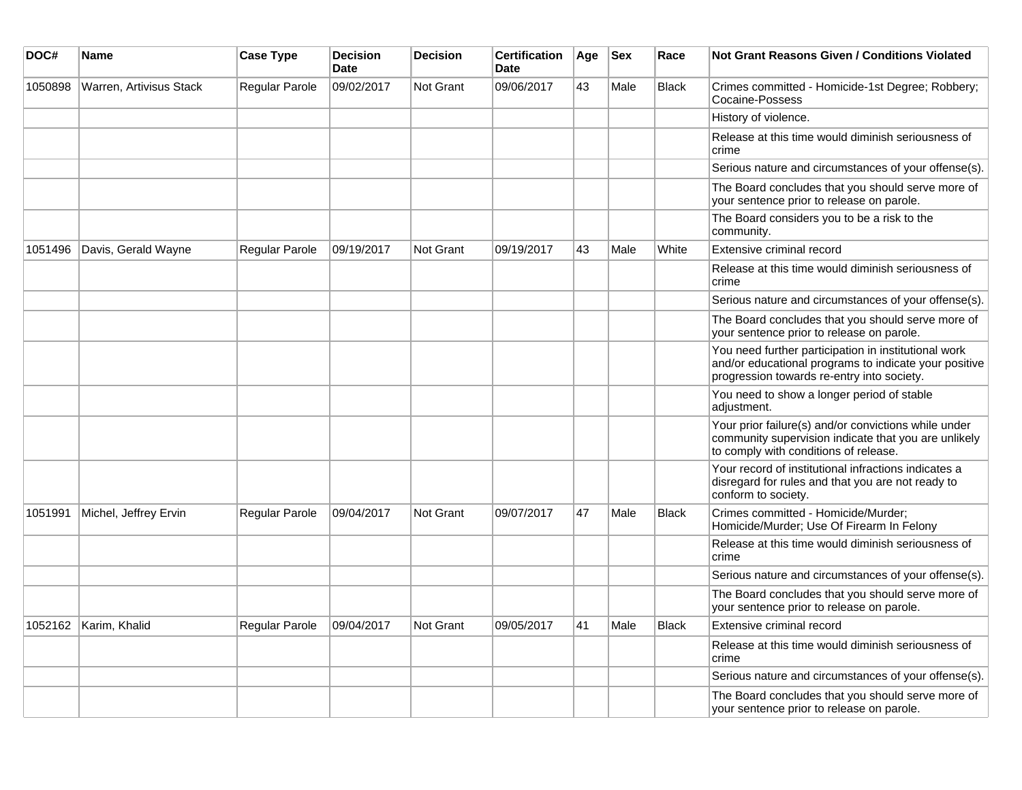| DOC#    | Name                    | <b>Case Type</b>      | <b>Decision</b><br><b>Date</b> | <b>Decision</b>  | <b>Certification</b><br><b>Date</b> | Age | <b>Sex</b> | Race         | <b>Not Grant Reasons Given / Conditions Violated</b>                                                                                                        |
|---------|-------------------------|-----------------------|--------------------------------|------------------|-------------------------------------|-----|------------|--------------|-------------------------------------------------------------------------------------------------------------------------------------------------------------|
| 1050898 | Warren, Artivisus Stack | Regular Parole        | 09/02/2017                     | <b>Not Grant</b> | 09/06/2017                          | 43  | Male       | <b>Black</b> | Crimes committed - Homicide-1st Degree; Robbery;<br>Cocaine-Possess                                                                                         |
|         |                         |                       |                                |                  |                                     |     |            |              | History of violence.                                                                                                                                        |
|         |                         |                       |                                |                  |                                     |     |            |              | Release at this time would diminish seriousness of<br>crime                                                                                                 |
|         |                         |                       |                                |                  |                                     |     |            |              | Serious nature and circumstances of your offense(s).                                                                                                        |
|         |                         |                       |                                |                  |                                     |     |            |              | The Board concludes that you should serve more of<br>your sentence prior to release on parole.                                                              |
|         |                         |                       |                                |                  |                                     |     |            |              | The Board considers you to be a risk to the<br>community.                                                                                                   |
| 1051496 | Davis, Gerald Wayne     | <b>Regular Parole</b> | 09/19/2017                     | Not Grant        | 09/19/2017                          | 43  | Male       | White        | Extensive criminal record                                                                                                                                   |
|         |                         |                       |                                |                  |                                     |     |            |              | Release at this time would diminish seriousness of<br>crime                                                                                                 |
|         |                         |                       |                                |                  |                                     |     |            |              | Serious nature and circumstances of your offense(s).                                                                                                        |
|         |                         |                       |                                |                  |                                     |     |            |              | The Board concludes that you should serve more of<br>your sentence prior to release on parole.                                                              |
|         |                         |                       |                                |                  |                                     |     |            |              | You need further participation in institutional work<br>and/or educational programs to indicate your positive<br>progression towards re-entry into society. |
|         |                         |                       |                                |                  |                                     |     |            |              | You need to show a longer period of stable<br>adjustment.                                                                                                   |
|         |                         |                       |                                |                  |                                     |     |            |              | Your prior failure(s) and/or convictions while under<br>community supervision indicate that you are unlikely<br>to comply with conditions of release.       |
|         |                         |                       |                                |                  |                                     |     |            |              | Your record of institutional infractions indicates a<br>disregard for rules and that you are not ready to<br>conform to society.                            |
| 1051991 | Michel, Jeffrey Ervin   | Regular Parole        | 09/04/2017                     | <b>Not Grant</b> | 09/07/2017                          | 47  | Male       | <b>Black</b> | Crimes committed - Homicide/Murder;<br>Homicide/Murder; Use Of Firearm In Felony                                                                            |
|         |                         |                       |                                |                  |                                     |     |            |              | Release at this time would diminish seriousness of<br>crime                                                                                                 |
|         |                         |                       |                                |                  |                                     |     |            |              | Serious nature and circumstances of your offense(s).                                                                                                        |
|         |                         |                       |                                |                  |                                     |     |            |              | The Board concludes that you should serve more of<br>your sentence prior to release on parole.                                                              |
| 1052162 | Karim, Khalid           | <b>Regular Parole</b> | 09/04/2017                     | Not Grant        | 09/05/2017                          | 41  | Male       | <b>Black</b> | Extensive criminal record                                                                                                                                   |
|         |                         |                       |                                |                  |                                     |     |            |              | Release at this time would diminish seriousness of<br>crime                                                                                                 |
|         |                         |                       |                                |                  |                                     |     |            |              | Serious nature and circumstances of your offense(s).                                                                                                        |
|         |                         |                       |                                |                  |                                     |     |            |              | The Board concludes that you should serve more of<br>your sentence prior to release on parole.                                                              |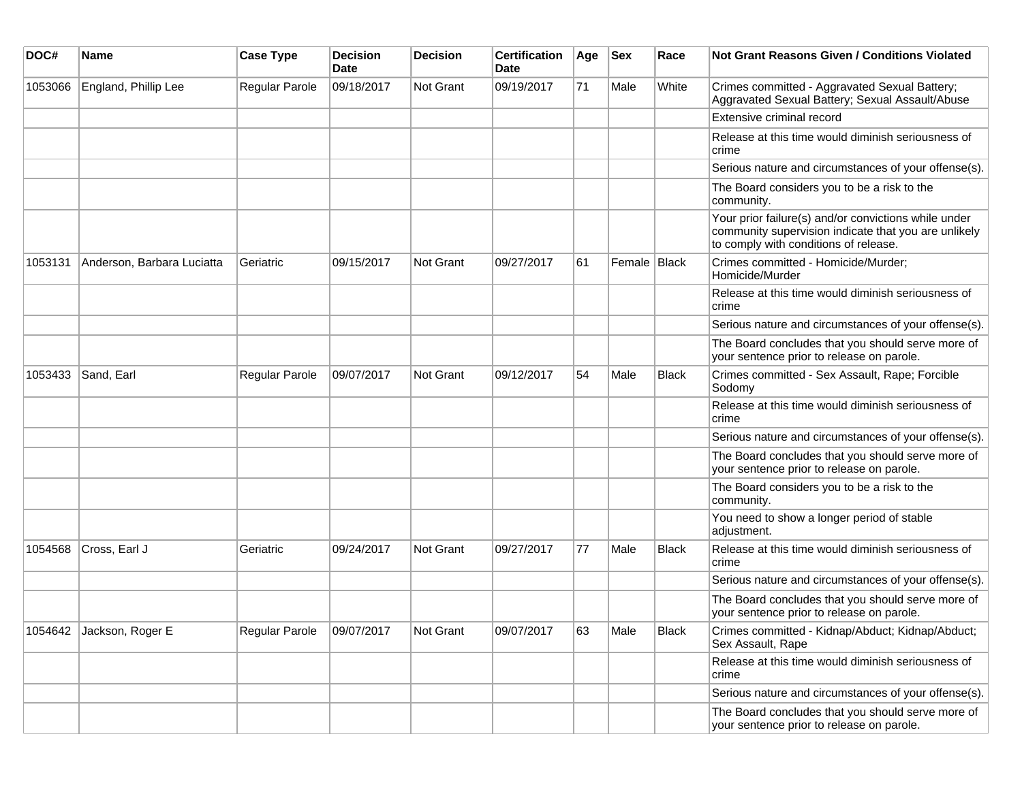| DOC#    | <b>Name</b>                | <b>Case Type</b> | <b>Decision</b><br><b>Date</b> | <b>Decision</b>  | <b>Certification</b><br>Date | Age | <b>Sex</b>   | Race         | <b>Not Grant Reasons Given / Conditions Violated</b>                                                                                                  |
|---------|----------------------------|------------------|--------------------------------|------------------|------------------------------|-----|--------------|--------------|-------------------------------------------------------------------------------------------------------------------------------------------------------|
| 1053066 | England, Phillip Lee       | Regular Parole   | 09/18/2017                     | <b>Not Grant</b> | 09/19/2017                   | 71  | Male         | White        | Crimes committed - Aggravated Sexual Battery;<br>Aggravated Sexual Battery; Sexual Assault/Abuse                                                      |
|         |                            |                  |                                |                  |                              |     |              |              | Extensive criminal record                                                                                                                             |
|         |                            |                  |                                |                  |                              |     |              |              | Release at this time would diminish seriousness of<br>crime                                                                                           |
|         |                            |                  |                                |                  |                              |     |              |              | Serious nature and circumstances of your offense(s).                                                                                                  |
|         |                            |                  |                                |                  |                              |     |              |              | The Board considers you to be a risk to the<br>community.                                                                                             |
|         |                            |                  |                                |                  |                              |     |              |              | Your prior failure(s) and/or convictions while under<br>community supervision indicate that you are unlikely<br>to comply with conditions of release. |
| 1053131 | Anderson, Barbara Luciatta | Geriatric        | 09/15/2017                     | <b>Not Grant</b> | 09/27/2017                   | 61  | Female Black |              | Crimes committed - Homicide/Murder;<br>Homicide/Murder                                                                                                |
|         |                            |                  |                                |                  |                              |     |              |              | Release at this time would diminish seriousness of<br>crime                                                                                           |
|         |                            |                  |                                |                  |                              |     |              |              | Serious nature and circumstances of your offense(s).                                                                                                  |
|         |                            |                  |                                |                  |                              |     |              |              | The Board concludes that you should serve more of<br>your sentence prior to release on parole.                                                        |
| 1053433 | Sand, Earl                 | Regular Parole   | 09/07/2017                     | <b>Not Grant</b> | 09/12/2017                   | 54  | Male         | <b>Black</b> | Crimes committed - Sex Assault, Rape; Forcible<br>Sodomy                                                                                              |
|         |                            |                  |                                |                  |                              |     |              |              | Release at this time would diminish seriousness of<br>crime                                                                                           |
|         |                            |                  |                                |                  |                              |     |              |              | Serious nature and circumstances of your offense(s).                                                                                                  |
|         |                            |                  |                                |                  |                              |     |              |              | The Board concludes that you should serve more of<br>your sentence prior to release on parole.                                                        |
|         |                            |                  |                                |                  |                              |     |              |              | The Board considers you to be a risk to the<br>community.                                                                                             |
|         |                            |                  |                                |                  |                              |     |              |              | You need to show a longer period of stable<br>adjustment.                                                                                             |
| 1054568 | Cross, Earl J              | Geriatric        | 09/24/2017                     | Not Grant        | 09/27/2017                   | 77  | Male         | <b>Black</b> | Release at this time would diminish seriousness of<br>crime                                                                                           |
|         |                            |                  |                                |                  |                              |     |              |              | Serious nature and circumstances of your offense(s).                                                                                                  |
|         |                            |                  |                                |                  |                              |     |              |              | The Board concludes that you should serve more of<br>your sentence prior to release on parole.                                                        |
|         | 1054642 Jackson, Roger E   | Regular Parole   | 09/07/2017                     | Not Grant        | 09/07/2017                   | 63  | Male         | Black        | Crimes committed - Kidnap/Abduct; Kidnap/Abduct;<br>Sex Assault, Rape                                                                                 |
|         |                            |                  |                                |                  |                              |     |              |              | Release at this time would diminish seriousness of<br>crime                                                                                           |
|         |                            |                  |                                |                  |                              |     |              |              | Serious nature and circumstances of your offense(s).                                                                                                  |
|         |                            |                  |                                |                  |                              |     |              |              | The Board concludes that you should serve more of<br>your sentence prior to release on parole.                                                        |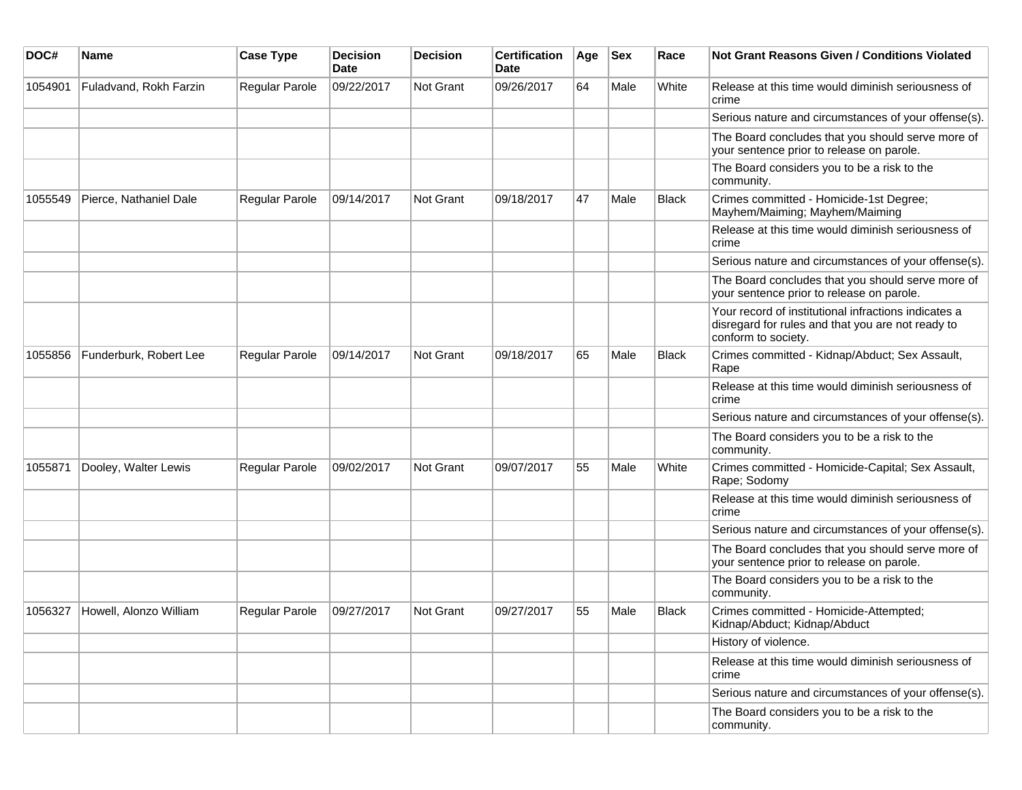| DOC#    | <b>Name</b>            | <b>Case Type</b>      | <b>Decision</b><br>Date | <b>Decision</b> | <b>Certification</b><br>Date | Age | <b>Sex</b> | Race         | Not Grant Reasons Given / Conditions Violated                                                                                    |
|---------|------------------------|-----------------------|-------------------------|-----------------|------------------------------|-----|------------|--------------|----------------------------------------------------------------------------------------------------------------------------------|
| 1054901 | Fuladvand, Rokh Farzin | Regular Parole        | 09/22/2017              | Not Grant       | 09/26/2017                   | 64  | Male       | White        | Release at this time would diminish seriousness of<br>crime                                                                      |
|         |                        |                       |                         |                 |                              |     |            |              | Serious nature and circumstances of your offense(s).                                                                             |
|         |                        |                       |                         |                 |                              |     |            |              | The Board concludes that you should serve more of<br>your sentence prior to release on parole.                                   |
|         |                        |                       |                         |                 |                              |     |            |              | The Board considers you to be a risk to the<br>community.                                                                        |
| 1055549 | Pierce, Nathaniel Dale | Regular Parole        | 09/14/2017              | Not Grant       | 09/18/2017                   | 47  | Male       | <b>Black</b> | Crimes committed - Homicide-1st Degree;<br>Mayhem/Maiming; Mayhem/Maiming                                                        |
|         |                        |                       |                         |                 |                              |     |            |              | Release at this time would diminish seriousness of<br>crime                                                                      |
|         |                        |                       |                         |                 |                              |     |            |              | Serious nature and circumstances of your offense(s).                                                                             |
|         |                        |                       |                         |                 |                              |     |            |              | The Board concludes that you should serve more of<br>your sentence prior to release on parole.                                   |
|         |                        |                       |                         |                 |                              |     |            |              | Your record of institutional infractions indicates a<br>disregard for rules and that you are not ready to<br>conform to society. |
| 1055856 | Funderburk, Robert Lee | Regular Parole        | 09/14/2017              | Not Grant       | 09/18/2017                   | 65  | Male       | <b>Black</b> | Crimes committed - Kidnap/Abduct; Sex Assault,<br>Rape                                                                           |
|         |                        |                       |                         |                 |                              |     |            |              | Release at this time would diminish seriousness of<br>crime                                                                      |
|         |                        |                       |                         |                 |                              |     |            |              | Serious nature and circumstances of your offense(s).                                                                             |
|         |                        |                       |                         |                 |                              |     |            |              | The Board considers you to be a risk to the<br>community.                                                                        |
| 1055871 | Dooley, Walter Lewis   | <b>Regular Parole</b> | 09/02/2017              | Not Grant       | 09/07/2017                   | 55  | Male       | White        | Crimes committed - Homicide-Capital; Sex Assault,<br>Rape; Sodomy                                                                |
|         |                        |                       |                         |                 |                              |     |            |              | Release at this time would diminish seriousness of<br>crime                                                                      |
|         |                        |                       |                         |                 |                              |     |            |              | Serious nature and circumstances of your offense(s).                                                                             |
|         |                        |                       |                         |                 |                              |     |            |              | The Board concludes that you should serve more of<br>your sentence prior to release on parole.                                   |
|         |                        |                       |                         |                 |                              |     |            |              | The Board considers you to be a risk to the<br>community.                                                                        |
| 1056327 | Howell, Alonzo William | Regular Parole        | 09/27/2017              | Not Grant       | 09/27/2017                   | 55  | Male       | Black        | Crimes committed - Homicide-Attempted;<br>Kidnap/Abduct; Kidnap/Abduct                                                           |
|         |                        |                       |                         |                 |                              |     |            |              | History of violence.                                                                                                             |
|         |                        |                       |                         |                 |                              |     |            |              | Release at this time would diminish seriousness of<br>crime                                                                      |
|         |                        |                       |                         |                 |                              |     |            |              | Serious nature and circumstances of your offense(s).                                                                             |
|         |                        |                       |                         |                 |                              |     |            |              | The Board considers you to be a risk to the<br>community.                                                                        |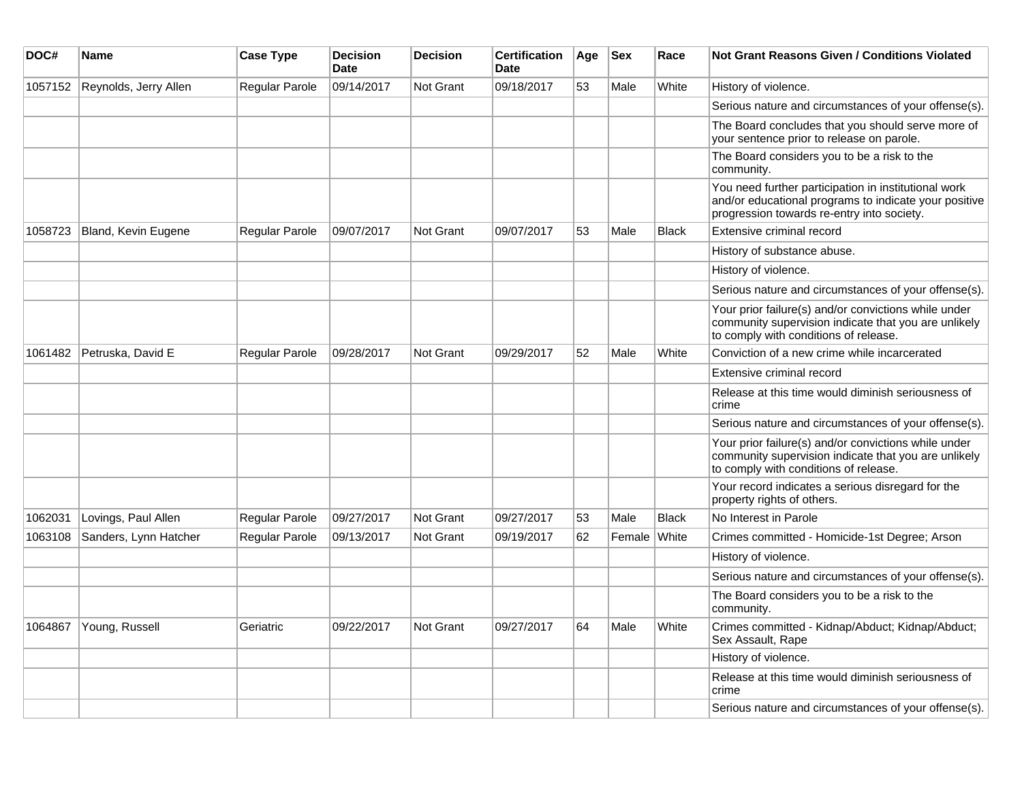| DOC#    | Name                  | <b>Case Type</b>      | <b>Decision</b><br><b>Date</b> | <b>Decision</b>  | <b>Certification</b><br><b>Date</b> | Age | <b>Sex</b> | Race         | <b>Not Grant Reasons Given / Conditions Violated</b>                                                                                                        |
|---------|-----------------------|-----------------------|--------------------------------|------------------|-------------------------------------|-----|------------|--------------|-------------------------------------------------------------------------------------------------------------------------------------------------------------|
| 1057152 | Reynolds, Jerry Allen | Regular Parole        | 09/14/2017                     | <b>Not Grant</b> | 09/18/2017                          | 53  | Male       | White        | History of violence.                                                                                                                                        |
|         |                       |                       |                                |                  |                                     |     |            |              | Serious nature and circumstances of your offense(s).                                                                                                        |
|         |                       |                       |                                |                  |                                     |     |            |              | The Board concludes that you should serve more of<br>your sentence prior to release on parole.                                                              |
|         |                       |                       |                                |                  |                                     |     |            |              | The Board considers you to be a risk to the<br>community.                                                                                                   |
|         |                       |                       |                                |                  |                                     |     |            |              | You need further participation in institutional work<br>and/or educational programs to indicate your positive<br>progression towards re-entry into society. |
| 1058723 | Bland, Kevin Eugene   | <b>Regular Parole</b> | 09/07/2017                     | <b>Not Grant</b> | 09/07/2017                          | 53  | Male       | <b>Black</b> | Extensive criminal record                                                                                                                                   |
|         |                       |                       |                                |                  |                                     |     |            |              | History of substance abuse.                                                                                                                                 |
|         |                       |                       |                                |                  |                                     |     |            |              | History of violence.                                                                                                                                        |
|         |                       |                       |                                |                  |                                     |     |            |              | Serious nature and circumstances of your offense(s).                                                                                                        |
|         |                       |                       |                                |                  |                                     |     |            |              | Your prior failure(s) and/or convictions while under<br>community supervision indicate that you are unlikely<br>to comply with conditions of release.       |
| 1061482 | Petruska, David E     | <b>Regular Parole</b> | 09/28/2017                     | Not Grant        | 09/29/2017                          | 52  | Male       | White        | Conviction of a new crime while incarcerated                                                                                                                |
|         |                       |                       |                                |                  |                                     |     |            |              | Extensive criminal record                                                                                                                                   |
|         |                       |                       |                                |                  |                                     |     |            |              | Release at this time would diminish seriousness of<br>crime                                                                                                 |
|         |                       |                       |                                |                  |                                     |     |            |              | Serious nature and circumstances of your offense(s).                                                                                                        |
|         |                       |                       |                                |                  |                                     |     |            |              | Your prior failure(s) and/or convictions while under<br>community supervision indicate that you are unlikely<br>to comply with conditions of release.       |
|         |                       |                       |                                |                  |                                     |     |            |              | Your record indicates a serious disregard for the<br>property rights of others.                                                                             |
| 1062031 | Lovings, Paul Allen   | Regular Parole        | 09/27/2017                     | Not Grant        | 09/27/2017                          | 53  | Male       | <b>Black</b> | No Interest in Parole                                                                                                                                       |
| 1063108 | Sanders, Lynn Hatcher | <b>Regular Parole</b> | 09/13/2017                     | <b>Not Grant</b> | 09/19/2017                          | 62  | Female     | White        | Crimes committed - Homicide-1st Degree; Arson                                                                                                               |
|         |                       |                       |                                |                  |                                     |     |            |              | History of violence.                                                                                                                                        |
|         |                       |                       |                                |                  |                                     |     |            |              | Serious nature and circumstances of your offense(s).                                                                                                        |
|         |                       |                       |                                |                  |                                     |     |            |              | The Board considers you to be a risk to the<br>community.                                                                                                   |
| 1064867 | Young, Russell        | Geriatric             | 09/22/2017                     | <b>Not Grant</b> | 09/27/2017                          | 64  | Male       | White        | Crimes committed - Kidnap/Abduct; Kidnap/Abduct;<br>Sex Assault, Rape                                                                                       |
|         |                       |                       |                                |                  |                                     |     |            |              | History of violence.                                                                                                                                        |
|         |                       |                       |                                |                  |                                     |     |            |              | Release at this time would diminish seriousness of<br>crime                                                                                                 |
|         |                       |                       |                                |                  |                                     |     |            |              | Serious nature and circumstances of your offense(s).                                                                                                        |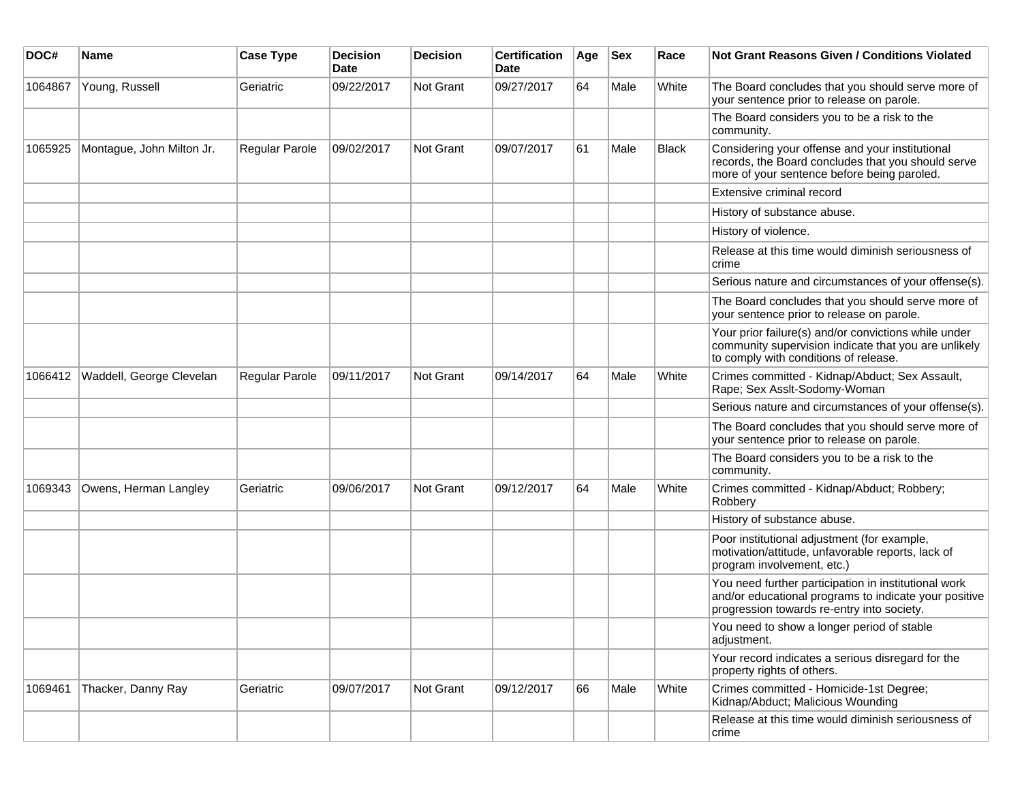| DOC#    | <b>Name</b>               | <b>Case Type</b> | <b>Decision</b><br><b>Date</b> | <b>Decision</b> | <b>Certification</b><br>Date | Age | <b>Sex</b> | Race  | <b>Not Grant Reasons Given / Conditions Violated</b>                                                                                                        |
|---------|---------------------------|------------------|--------------------------------|-----------------|------------------------------|-----|------------|-------|-------------------------------------------------------------------------------------------------------------------------------------------------------------|
| 1064867 | Young, Russell            | Geriatric        | 09/22/2017                     | Not Grant       | 09/27/2017                   | 64  | Male       | White | The Board concludes that you should serve more of<br>your sentence prior to release on parole.                                                              |
|         |                           |                  |                                |                 |                              |     |            |       | The Board considers you to be a risk to the<br>community.                                                                                                   |
| 1065925 | Montague, John Milton Jr. | Regular Parole   | 09/02/2017                     | Not Grant       | 09/07/2017                   | 61  | Male       | Black | Considering your offense and your institutional<br>records, the Board concludes that you should serve<br>more of your sentence before being paroled.        |
|         |                           |                  |                                |                 |                              |     |            |       | Extensive criminal record                                                                                                                                   |
|         |                           |                  |                                |                 |                              |     |            |       | History of substance abuse.                                                                                                                                 |
|         |                           |                  |                                |                 |                              |     |            |       | History of violence.                                                                                                                                        |
|         |                           |                  |                                |                 |                              |     |            |       | Release at this time would diminish seriousness of<br>crime                                                                                                 |
|         |                           |                  |                                |                 |                              |     |            |       | Serious nature and circumstances of your offense(s).                                                                                                        |
|         |                           |                  |                                |                 |                              |     |            |       | The Board concludes that you should serve more of<br>your sentence prior to release on parole.                                                              |
|         |                           |                  |                                |                 |                              |     |            |       | Your prior failure(s) and/or convictions while under<br>community supervision indicate that you are unlikely<br>to comply with conditions of release.       |
| 1066412 | Waddell, George Clevelan  | Regular Parole   | 09/11/2017                     | Not Grant       | 09/14/2017                   | 64  | Male       | White | Crimes committed - Kidnap/Abduct; Sex Assault,<br>Rape; Sex Asslt-Sodomy-Woman                                                                              |
|         |                           |                  |                                |                 |                              |     |            |       | Serious nature and circumstances of your offense(s).                                                                                                        |
|         |                           |                  |                                |                 |                              |     |            |       | The Board concludes that you should serve more of<br>your sentence prior to release on parole.                                                              |
|         |                           |                  |                                |                 |                              |     |            |       | The Board considers you to be a risk to the<br>community.                                                                                                   |
| 1069343 | Owens, Herman Langley     | Geriatric        | 09/06/2017                     | Not Grant       | 09/12/2017                   | 64  | Male       | White | Crimes committed - Kidnap/Abduct; Robbery;<br>Robbery                                                                                                       |
|         |                           |                  |                                |                 |                              |     |            |       | History of substance abuse.                                                                                                                                 |
|         |                           |                  |                                |                 |                              |     |            |       | Poor institutional adjustment (for example,<br>motivation/attitude, unfavorable reports, lack of<br>program involvement, etc.)                              |
|         |                           |                  |                                |                 |                              |     |            |       | You need further participation in institutional work<br>and/or educational programs to indicate your positive<br>progression towards re-entry into society. |
|         |                           |                  |                                |                 |                              |     |            |       | You need to show a longer period of stable<br>adjustment.                                                                                                   |
|         |                           |                  |                                |                 |                              |     |            |       | Your record indicates a serious disregard for the<br>property rights of others.                                                                             |
| 1069461 | Thacker, Danny Ray        | Geriatric        | 09/07/2017                     | Not Grant       | 09/12/2017                   | 66  | Male       | White | Crimes committed - Homicide-1st Degree;<br>Kidnap/Abduct; Malicious Wounding                                                                                |
|         |                           |                  |                                |                 |                              |     |            |       | Release at this time would diminish seriousness of<br>crime                                                                                                 |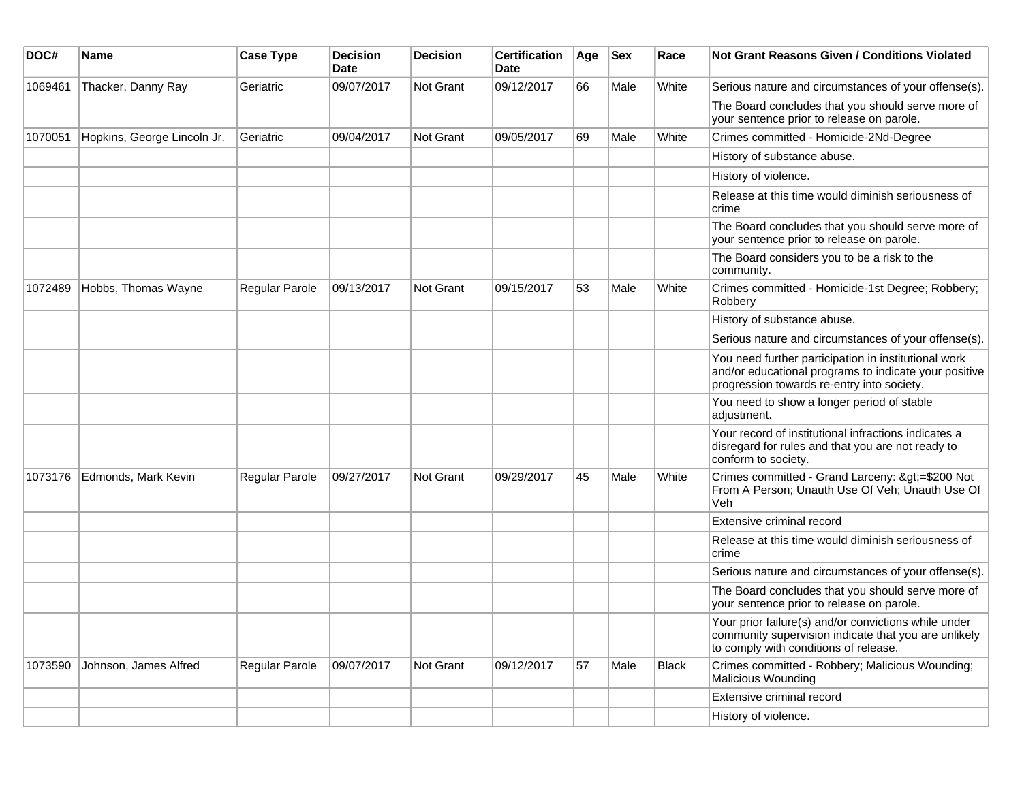| DOC#    | <b>Name</b>                 | <b>Case Type</b>      | <b>Decision</b><br><b>Date</b> | <b>Decision</b> | <b>Certification</b><br>Date | Age | <b>Sex</b> | Race         | Not Grant Reasons Given / Conditions Violated                                                                                                               |
|---------|-----------------------------|-----------------------|--------------------------------|-----------------|------------------------------|-----|------------|--------------|-------------------------------------------------------------------------------------------------------------------------------------------------------------|
| 1069461 | Thacker, Danny Ray          | Geriatric             | 09/07/2017                     | Not Grant       | 09/12/2017                   | 66  | Male       | White        | Serious nature and circumstances of your offense(s).                                                                                                        |
|         |                             |                       |                                |                 |                              |     |            |              | The Board concludes that you should serve more of<br>your sentence prior to release on parole.                                                              |
| 1070051 | Hopkins, George Lincoln Jr. | Geriatric             | 09/04/2017                     | Not Grant       | 09/05/2017                   | 69  | Male       | White        | Crimes committed - Homicide-2Nd-Degree                                                                                                                      |
|         |                             |                       |                                |                 |                              |     |            |              | History of substance abuse.                                                                                                                                 |
|         |                             |                       |                                |                 |                              |     |            |              | History of violence.                                                                                                                                        |
|         |                             |                       |                                |                 |                              |     |            |              | Release at this time would diminish seriousness of<br>crime                                                                                                 |
|         |                             |                       |                                |                 |                              |     |            |              | The Board concludes that you should serve more of<br>your sentence prior to release on parole.                                                              |
|         |                             |                       |                                |                 |                              |     |            |              | The Board considers you to be a risk to the<br>community.                                                                                                   |
| 1072489 | Hobbs, Thomas Wayne         | <b>Regular Parole</b> | 09/13/2017                     | Not Grant       | 09/15/2017                   | 53  | Male       | White        | Crimes committed - Homicide-1st Degree; Robbery;<br>Robbery                                                                                                 |
|         |                             |                       |                                |                 |                              |     |            |              | History of substance abuse.                                                                                                                                 |
|         |                             |                       |                                |                 |                              |     |            |              | Serious nature and circumstances of your offense(s).                                                                                                        |
|         |                             |                       |                                |                 |                              |     |            |              | You need further participation in institutional work<br>and/or educational programs to indicate your positive<br>progression towards re-entry into society. |
|         |                             |                       |                                |                 |                              |     |            |              | You need to show a longer period of stable<br>adjustment.                                                                                                   |
|         |                             |                       |                                |                 |                              |     |            |              | Your record of institutional infractions indicates a<br>disregard for rules and that you are not ready to<br>conform to society.                            |
| 1073176 | Edmonds, Mark Kevin         | Regular Parole        | 09/27/2017                     | Not Grant       | 09/29/2017                   | 45  | Male       | White        | Crimes committed - Grand Larceny: >=\$200 Not<br>From A Person; Unauth Use Of Veh; Unauth Use Of<br>Veh                                                     |
|         |                             |                       |                                |                 |                              |     |            |              | Extensive criminal record                                                                                                                                   |
|         |                             |                       |                                |                 |                              |     |            |              | Release at this time would diminish seriousness of<br>crime                                                                                                 |
|         |                             |                       |                                |                 |                              |     |            |              | Serious nature and circumstances of your offense(s).                                                                                                        |
|         |                             |                       |                                |                 |                              |     |            |              | The Board concludes that you should serve more of<br>your sentence prior to release on parole.                                                              |
|         |                             |                       |                                |                 |                              |     |            |              | Your prior failure(s) and/or convictions while under<br>community supervision indicate that you are unlikely<br>to comply with conditions of release.       |
| 1073590 | Johnson, James Alfred       | Regular Parole        | 09/07/2017                     | Not Grant       | 09/12/2017                   | 57  | Male       | <b>Black</b> | Crimes committed - Robbery; Malicious Wounding;<br><b>Malicious Wounding</b>                                                                                |
|         |                             |                       |                                |                 |                              |     |            |              | Extensive criminal record                                                                                                                                   |
|         |                             |                       |                                |                 |                              |     |            |              | History of violence.                                                                                                                                        |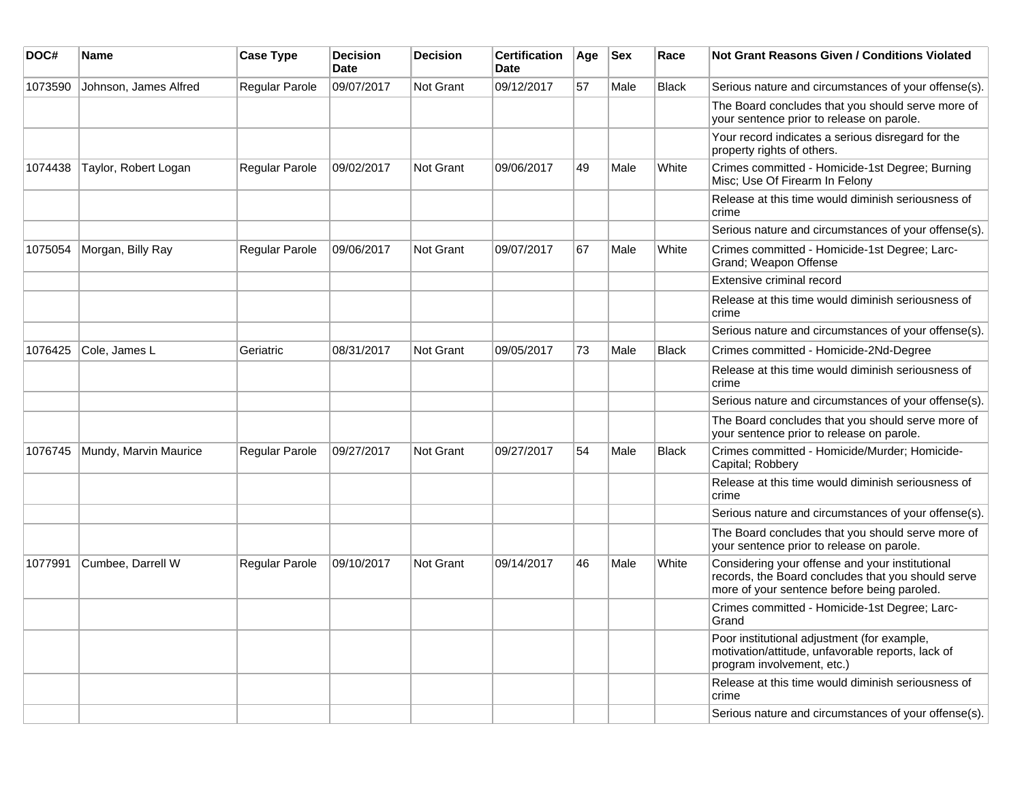| DOC#    | <b>Name</b>           | <b>Case Type</b>      | <b>Decision</b><br><b>Date</b> | <b>Decision</b>  | <b>Certification</b><br>Date | Age | $ $ Sex | Race         | <b>Not Grant Reasons Given / Conditions Violated</b>                                                                                                 |
|---------|-----------------------|-----------------------|--------------------------------|------------------|------------------------------|-----|---------|--------------|------------------------------------------------------------------------------------------------------------------------------------------------------|
| 1073590 | Johnson, James Alfred | Regular Parole        | 09/07/2017                     | <b>Not Grant</b> | 09/12/2017                   | 57  | Male    | Black        | Serious nature and circumstances of your offense(s).                                                                                                 |
|         |                       |                       |                                |                  |                              |     |         |              | The Board concludes that you should serve more of<br>your sentence prior to release on parole.                                                       |
|         |                       |                       |                                |                  |                              |     |         |              | Your record indicates a serious disregard for the<br>property rights of others.                                                                      |
| 1074438 | Taylor, Robert Logan  | Regular Parole        | 09/02/2017                     | <b>Not Grant</b> | 09/06/2017                   | 49  | Male    | White        | Crimes committed - Homicide-1st Degree; Burning<br>Misc; Use Of Firearm In Felony                                                                    |
|         |                       |                       |                                |                  |                              |     |         |              | Release at this time would diminish seriousness of<br>crime                                                                                          |
|         |                       |                       |                                |                  |                              |     |         |              | Serious nature and circumstances of your offense(s).                                                                                                 |
| 1075054 | Morgan, Billy Ray     | <b>Regular Parole</b> | 09/06/2017                     | <b>Not Grant</b> | 09/07/2017                   | 67  | Male    | White        | Crimes committed - Homicide-1st Degree; Larc-<br>Grand; Weapon Offense                                                                               |
|         |                       |                       |                                |                  |                              |     |         |              | Extensive criminal record                                                                                                                            |
|         |                       |                       |                                |                  |                              |     |         |              | Release at this time would diminish seriousness of<br>crime                                                                                          |
|         |                       |                       |                                |                  |                              |     |         |              | Serious nature and circumstances of your offense(s).                                                                                                 |
| 1076425 | Cole, James L         | Geriatric             | 08/31/2017                     | Not Grant        | 09/05/2017                   | 73  | Male    | <b>Black</b> | Crimes committed - Homicide-2Nd-Degree                                                                                                               |
|         |                       |                       |                                |                  |                              |     |         |              | Release at this time would diminish seriousness of<br>crime                                                                                          |
|         |                       |                       |                                |                  |                              |     |         |              | Serious nature and circumstances of your offense(s).                                                                                                 |
|         |                       |                       |                                |                  |                              |     |         |              | The Board concludes that you should serve more of<br>your sentence prior to release on parole.                                                       |
| 1076745 | Mundy, Marvin Maurice | <b>Regular Parole</b> | 09/27/2017                     | <b>Not Grant</b> | 09/27/2017                   | 54  | Male    | <b>Black</b> | Crimes committed - Homicide/Murder; Homicide-<br>Capital; Robbery                                                                                    |
|         |                       |                       |                                |                  |                              |     |         |              | Release at this time would diminish seriousness of<br>crime                                                                                          |
|         |                       |                       |                                |                  |                              |     |         |              | Serious nature and circumstances of your offense(s).                                                                                                 |
|         |                       |                       |                                |                  |                              |     |         |              | The Board concludes that you should serve more of<br>your sentence prior to release on parole.                                                       |
| 1077991 | Cumbee, Darrell W     | Regular Parole        | 09/10/2017                     | <b>Not Grant</b> | 09/14/2017                   | 46  | Male    | White        | Considering your offense and your institutional<br>records, the Board concludes that you should serve<br>more of your sentence before being paroled. |
|         |                       |                       |                                |                  |                              |     |         |              | Crimes committed - Homicide-1st Degree; Larc-<br>Grand                                                                                               |
|         |                       |                       |                                |                  |                              |     |         |              | Poor institutional adjustment (for example,<br>motivation/attitude, unfavorable reports, lack of<br>program involvement, etc.)                       |
|         |                       |                       |                                |                  |                              |     |         |              | Release at this time would diminish seriousness of<br>crime                                                                                          |
|         |                       |                       |                                |                  |                              |     |         |              | Serious nature and circumstances of your offense(s).                                                                                                 |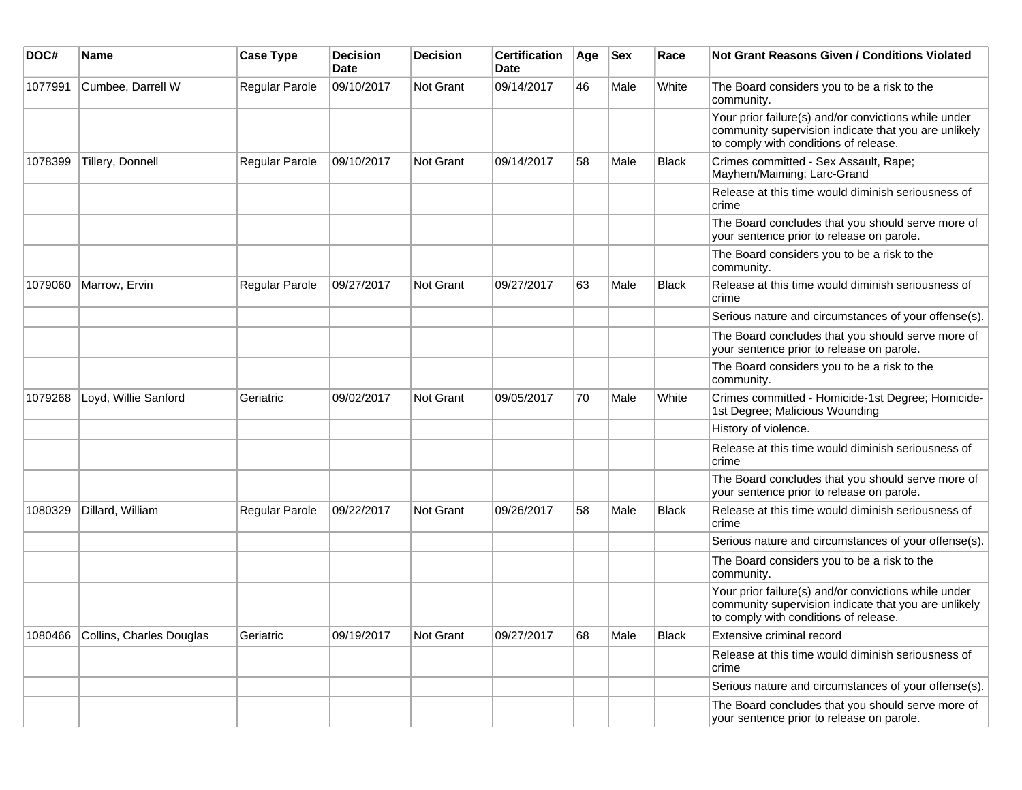| DOC#    | <b>Name</b>              | <b>Case Type</b> | <b>Decision</b><br><b>Date</b> | <b>Decision</b>  | <b>Certification</b><br>Date | Age | <b>Sex</b> | Race         | Not Grant Reasons Given / Conditions Violated                                                                                                         |
|---------|--------------------------|------------------|--------------------------------|------------------|------------------------------|-----|------------|--------------|-------------------------------------------------------------------------------------------------------------------------------------------------------|
| 1077991 | Cumbee, Darrell W        | Regular Parole   | 09/10/2017                     | Not Grant        | 09/14/2017                   | 46  | Male       | White        | The Board considers you to be a risk to the<br>community.                                                                                             |
|         |                          |                  |                                |                  |                              |     |            |              | Your prior failure(s) and/or convictions while under<br>community supervision indicate that you are unlikely<br>to comply with conditions of release. |
| 1078399 | Tillery, Donnell         | Regular Parole   | 09/10/2017                     | Not Grant        | 09/14/2017                   | 58  | Male       | Black        | Crimes committed - Sex Assault, Rape;<br>Mayhem/Maiming; Larc-Grand                                                                                   |
|         |                          |                  |                                |                  |                              |     |            |              | Release at this time would diminish seriousness of<br>crime                                                                                           |
|         |                          |                  |                                |                  |                              |     |            |              | The Board concludes that you should serve more of<br>your sentence prior to release on parole.                                                        |
|         |                          |                  |                                |                  |                              |     |            |              | The Board considers you to be a risk to the<br>community.                                                                                             |
| 1079060 | Marrow, Ervin            | Regular Parole   | 09/27/2017                     | Not Grant        | 09/27/2017                   | 63  | Male       | Black        | Release at this time would diminish seriousness of<br>crime                                                                                           |
|         |                          |                  |                                |                  |                              |     |            |              | Serious nature and circumstances of your offense(s).                                                                                                  |
|         |                          |                  |                                |                  |                              |     |            |              | The Board concludes that you should serve more of<br>your sentence prior to release on parole.                                                        |
|         |                          |                  |                                |                  |                              |     |            |              | The Board considers you to be a risk to the<br>community.                                                                                             |
| 1079268 | Loyd, Willie Sanford     | Geriatric        | 09/02/2017                     | <b>Not Grant</b> | 09/05/2017                   | 70  | Male       | White        | Crimes committed - Homicide-1st Degree; Homicide-<br>1st Degree; Malicious Wounding                                                                   |
|         |                          |                  |                                |                  |                              |     |            |              | History of violence.                                                                                                                                  |
|         |                          |                  |                                |                  |                              |     |            |              | Release at this time would diminish seriousness of<br>crime                                                                                           |
|         |                          |                  |                                |                  |                              |     |            |              | The Board concludes that you should serve more of<br>your sentence prior to release on parole.                                                        |
| 1080329 | Dillard, William         | Regular Parole   | 09/22/2017                     | <b>Not Grant</b> | 09/26/2017                   | 58  | Male       | Black        | Release at this time would diminish seriousness of<br>crime                                                                                           |
|         |                          |                  |                                |                  |                              |     |            |              | Serious nature and circumstances of your offense(s).                                                                                                  |
|         |                          |                  |                                |                  |                              |     |            |              | The Board considers you to be a risk to the<br>community.                                                                                             |
|         |                          |                  |                                |                  |                              |     |            |              | Your prior failure(s) and/or convictions while under<br>community supervision indicate that you are unlikely<br>to comply with conditions of release. |
| 1080466 | Collins, Charles Douglas | Geriatric        | 09/19/2017                     | Not Grant        | 09/27/2017                   | 68  | Male       | <b>Black</b> | Extensive criminal record                                                                                                                             |
|         |                          |                  |                                |                  |                              |     |            |              | Release at this time would diminish seriousness of<br>crime                                                                                           |
|         |                          |                  |                                |                  |                              |     |            |              | Serious nature and circumstances of your offense(s).                                                                                                  |
|         |                          |                  |                                |                  |                              |     |            |              | The Board concludes that you should serve more of<br>your sentence prior to release on parole.                                                        |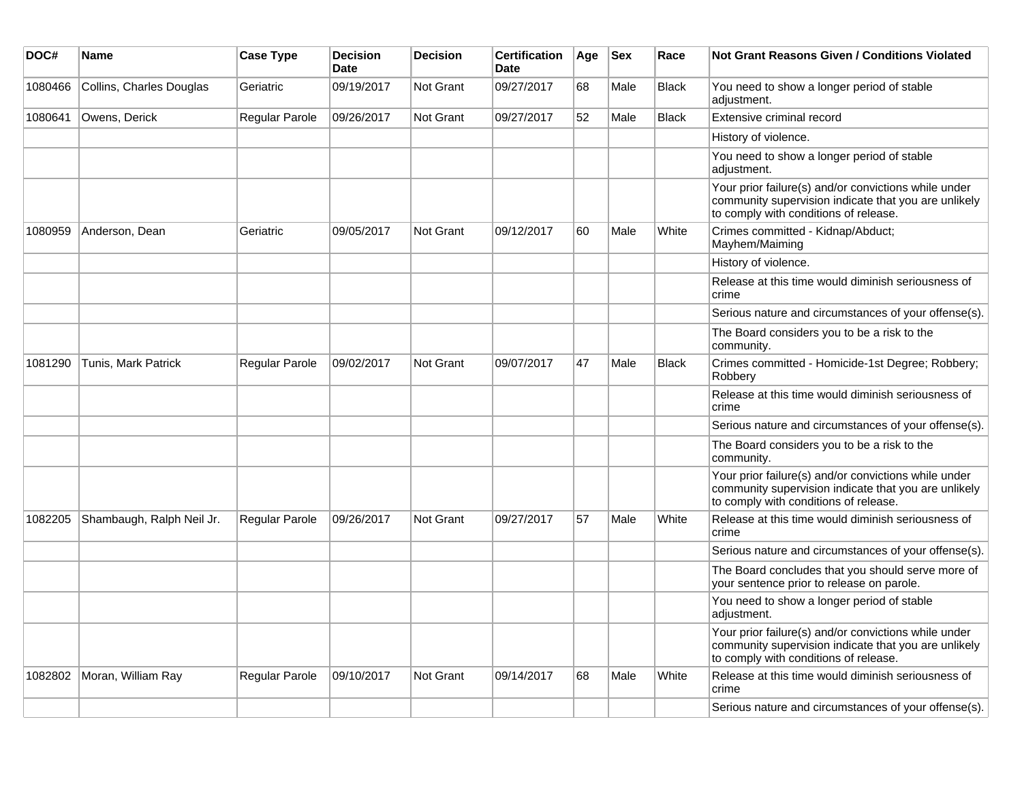| DOC#    | Name                       | <b>Case Type</b>      | <b>Decision</b><br><b>Date</b> | <b>Decision</b>  | <b>Certification</b><br><b>Date</b> | Age | $ $ Sex | Race         | <b>Not Grant Reasons Given / Conditions Violated</b>                                                                                                  |
|---------|----------------------------|-----------------------|--------------------------------|------------------|-------------------------------------|-----|---------|--------------|-------------------------------------------------------------------------------------------------------------------------------------------------------|
| 1080466 | Collins, Charles Douglas   | Geriatric             | 09/19/2017                     | <b>Not Grant</b> | 09/27/2017                          | 68  | Male    | <b>Black</b> | You need to show a longer period of stable<br>adjustment.                                                                                             |
| 1080641 | Owens, Derick              | Regular Parole        | 09/26/2017                     | <b>Not Grant</b> | 09/27/2017                          | 52  | Male    | <b>Black</b> | Extensive criminal record                                                                                                                             |
|         |                            |                       |                                |                  |                                     |     |         |              | History of violence.                                                                                                                                  |
|         |                            |                       |                                |                  |                                     |     |         |              | You need to show a longer period of stable<br>adjustment.                                                                                             |
|         |                            |                       |                                |                  |                                     |     |         |              | Your prior failure(s) and/or convictions while under<br>community supervision indicate that you are unlikely<br>to comply with conditions of release. |
| 1080959 | Anderson, Dean             | Geriatric             | 09/05/2017                     | Not Grant        | 09/12/2017                          | 60  | Male    | White        | Crimes committed - Kidnap/Abduct;<br>Mayhem/Maiming                                                                                                   |
|         |                            |                       |                                |                  |                                     |     |         |              | History of violence.                                                                                                                                  |
|         |                            |                       |                                |                  |                                     |     |         |              | Release at this time would diminish seriousness of<br>crime                                                                                           |
|         |                            |                       |                                |                  |                                     |     |         |              | Serious nature and circumstances of your offense(s).                                                                                                  |
|         |                            |                       |                                |                  |                                     |     |         |              | The Board considers you to be a risk to the<br>community.                                                                                             |
| 1081290 | <b>Tunis, Mark Patrick</b> | <b>Regular Parole</b> | 09/02/2017                     | <b>Not Grant</b> | 09/07/2017                          | 47  | Male    | <b>Black</b> | Crimes committed - Homicide-1st Degree; Robbery;<br>Robbery                                                                                           |
|         |                            |                       |                                |                  |                                     |     |         |              | Release at this time would diminish seriousness of<br>crime                                                                                           |
|         |                            |                       |                                |                  |                                     |     |         |              | Serious nature and circumstances of your offense(s).                                                                                                  |
|         |                            |                       |                                |                  |                                     |     |         |              | The Board considers you to be a risk to the<br>community.                                                                                             |
|         |                            |                       |                                |                  |                                     |     |         |              | Your prior failure(s) and/or convictions while under<br>community supervision indicate that you are unlikely<br>to comply with conditions of release. |
| 1082205 | Shambaugh, Ralph Neil Jr.  | <b>Regular Parole</b> | 09/26/2017                     | <b>Not Grant</b> | 09/27/2017                          | 57  | Male    | White        | Release at this time would diminish seriousness of<br>crime                                                                                           |
|         |                            |                       |                                |                  |                                     |     |         |              | Serious nature and circumstances of your offense(s).                                                                                                  |
|         |                            |                       |                                |                  |                                     |     |         |              | The Board concludes that you should serve more of<br>your sentence prior to release on parole.                                                        |
|         |                            |                       |                                |                  |                                     |     |         |              | You need to show a longer period of stable<br>adjustment.                                                                                             |
|         |                            |                       |                                |                  |                                     |     |         |              | Your prior failure(s) and/or convictions while under<br>community supervision indicate that you are unlikely<br>to comply with conditions of release. |
| 1082802 | Moran, William Ray         | <b>Regular Parole</b> | 09/10/2017                     | <b>Not Grant</b> | 09/14/2017                          | 68  | Male    | White        | Release at this time would diminish seriousness of<br>crime                                                                                           |
|         |                            |                       |                                |                  |                                     |     |         |              | Serious nature and circumstances of your offense(s).                                                                                                  |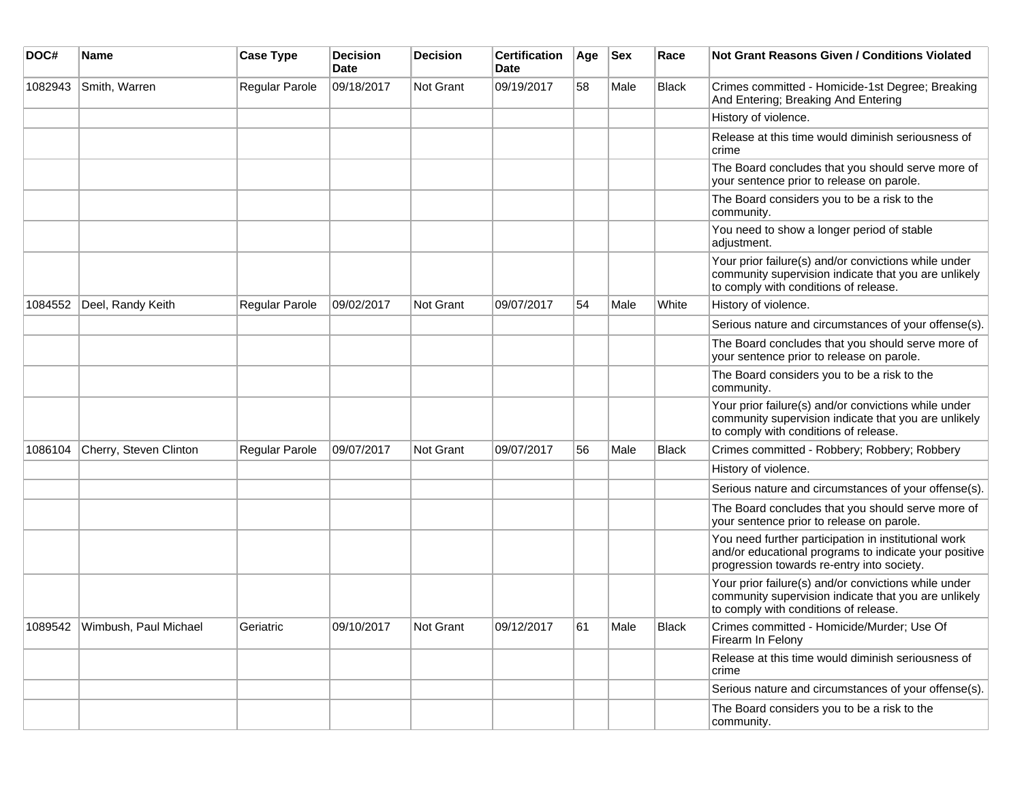| DOC#    | Name                          | <b>Case Type</b> | <b>Decision</b><br><b>Date</b> | Decision  | <b>Certification</b><br><b>Date</b> | Age | <b>Sex</b> | Race         | <b>Not Grant Reasons Given / Conditions Violated</b>                                                                                                        |
|---------|-------------------------------|------------------|--------------------------------|-----------|-------------------------------------|-----|------------|--------------|-------------------------------------------------------------------------------------------------------------------------------------------------------------|
| 1082943 | Smith, Warren                 | Regular Parole   | 09/18/2017                     | Not Grant | 09/19/2017                          | 58  | Male       | <b>Black</b> | Crimes committed - Homicide-1st Degree; Breaking<br>And Entering; Breaking And Entering                                                                     |
|         |                               |                  |                                |           |                                     |     |            |              | History of violence.                                                                                                                                        |
|         |                               |                  |                                |           |                                     |     |            |              | Release at this time would diminish seriousness of<br>crime                                                                                                 |
|         |                               |                  |                                |           |                                     |     |            |              | The Board concludes that you should serve more of<br>your sentence prior to release on parole.                                                              |
|         |                               |                  |                                |           |                                     |     |            |              | The Board considers you to be a risk to the<br>community.                                                                                                   |
|         |                               |                  |                                |           |                                     |     |            |              | You need to show a longer period of stable<br>adjustment.                                                                                                   |
|         |                               |                  |                                |           |                                     |     |            |              | Your prior failure(s) and/or convictions while under<br>community supervision indicate that you are unlikely<br>to comply with conditions of release.       |
| 1084552 | Deel, Randy Keith             | Regular Parole   | 09/02/2017                     | Not Grant | 09/07/2017                          | 54  | Male       | White        | History of violence.                                                                                                                                        |
|         |                               |                  |                                |           |                                     |     |            |              | Serious nature and circumstances of your offense(s).                                                                                                        |
|         |                               |                  |                                |           |                                     |     |            |              | The Board concludes that you should serve more of<br>your sentence prior to release on parole.                                                              |
|         |                               |                  |                                |           |                                     |     |            |              | The Board considers you to be a risk to the<br>community.                                                                                                   |
|         |                               |                  |                                |           |                                     |     |            |              | Your prior failure(s) and/or convictions while under<br>community supervision indicate that you are unlikely<br>to comply with conditions of release.       |
| 1086104 | Cherry, Steven Clinton        | Regular Parole   | 09/07/2017                     | Not Grant | 09/07/2017                          | 56  | Male       | Black        | Crimes committed - Robbery; Robbery; Robbery                                                                                                                |
|         |                               |                  |                                |           |                                     |     |            |              | History of violence.                                                                                                                                        |
|         |                               |                  |                                |           |                                     |     |            |              | Serious nature and circumstances of your offense(s).                                                                                                        |
|         |                               |                  |                                |           |                                     |     |            |              | The Board concludes that you should serve more of<br>your sentence prior to release on parole.                                                              |
|         |                               |                  |                                |           |                                     |     |            |              | You need further participation in institutional work<br>and/or educational programs to indicate your positive<br>progression towards re-entry into society. |
|         |                               |                  |                                |           |                                     |     |            |              | Your prior failure(s) and/or convictions while under<br>community supervision indicate that you are unlikely<br>to comply with conditions of release.       |
|         | 1089542 Wimbush, Paul Michael | Geriatric        | 09/10/2017                     | Not Grant | 09/12/2017                          | 61  | Male       | <b>Black</b> | Crimes committed - Homicide/Murder; Use Of<br>Firearm In Felony                                                                                             |
|         |                               |                  |                                |           |                                     |     |            |              | Release at this time would diminish seriousness of<br>crime                                                                                                 |
|         |                               |                  |                                |           |                                     |     |            |              | Serious nature and circumstances of your offense(s).                                                                                                        |
|         |                               |                  |                                |           |                                     |     |            |              | The Board considers you to be a risk to the<br>community.                                                                                                   |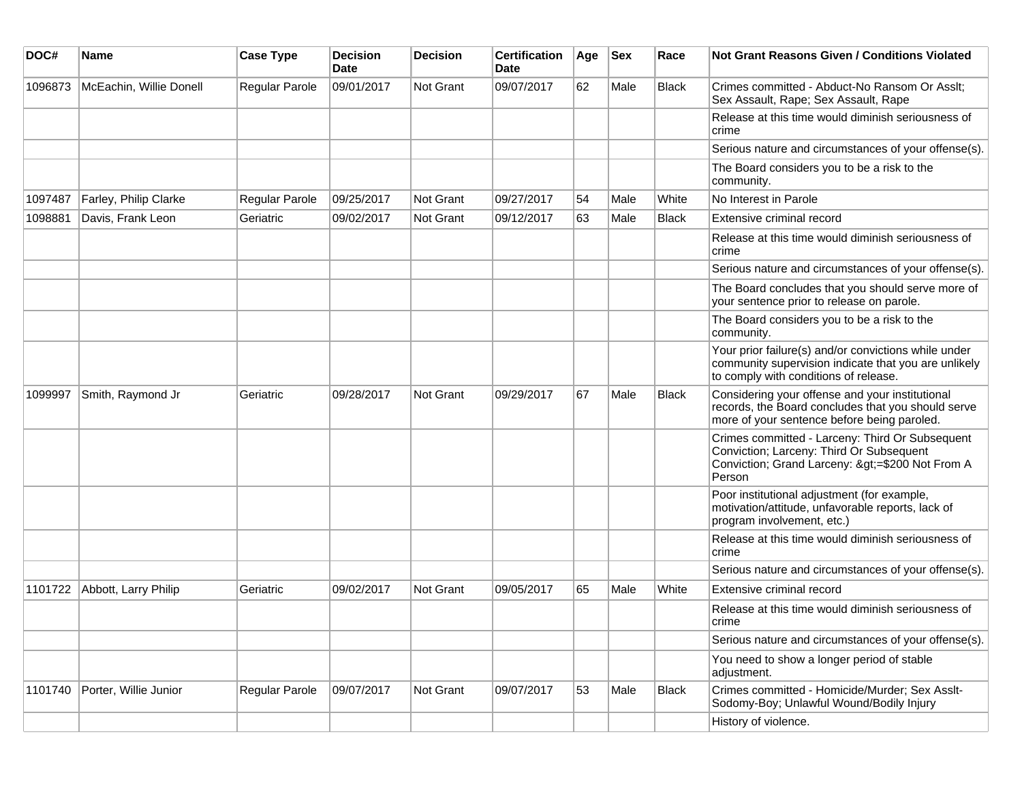| DOC#    | Name                    | <b>Case Type</b>      | <b>Decision</b><br>Date | <b>Decision</b>  | <b>Certification</b><br>Date | Age | <b>Sex</b> | Race         | Not Grant Reasons Given / Conditions Violated                                                                                                          |
|---------|-------------------------|-----------------------|-------------------------|------------------|------------------------------|-----|------------|--------------|--------------------------------------------------------------------------------------------------------------------------------------------------------|
| 1096873 | McEachin, Willie Donell | Regular Parole        | 09/01/2017              | Not Grant        | 09/07/2017                   | 62  | Male       | Black        | Crimes committed - Abduct-No Ransom Or Asslt;<br>Sex Assault, Rape; Sex Assault, Rape                                                                  |
|         |                         |                       |                         |                  |                              |     |            |              | Release at this time would diminish seriousness of<br>crime                                                                                            |
|         |                         |                       |                         |                  |                              |     |            |              | Serious nature and circumstances of your offense(s).                                                                                                   |
|         |                         |                       |                         |                  |                              |     |            |              | The Board considers you to be a risk to the<br>community.                                                                                              |
| 1097487 | Farley, Philip Clarke   | <b>Regular Parole</b> | 09/25/2017              | Not Grant        | 09/27/2017                   | 54  | Male       | White        | No Interest in Parole                                                                                                                                  |
| 1098881 | Davis, Frank Leon       | Geriatric             | 09/02/2017              | Not Grant        | 09/12/2017                   | 63  | Male       | <b>Black</b> | Extensive criminal record                                                                                                                              |
|         |                         |                       |                         |                  |                              |     |            |              | Release at this time would diminish seriousness of<br>crime                                                                                            |
|         |                         |                       |                         |                  |                              |     |            |              | Serious nature and circumstances of your offense(s).                                                                                                   |
|         |                         |                       |                         |                  |                              |     |            |              | The Board concludes that you should serve more of<br>your sentence prior to release on parole.                                                         |
|         |                         |                       |                         |                  |                              |     |            |              | The Board considers you to be a risk to the<br>community.                                                                                              |
|         |                         |                       |                         |                  |                              |     |            |              | Your prior failure(s) and/or convictions while under<br>community supervision indicate that you are unlikely<br>to comply with conditions of release.  |
| 1099997 | Smith, Raymond Jr       | Geriatric             | 09/28/2017              | Not Grant        | 09/29/2017                   | 67  | Male       | <b>Black</b> | Considering your offense and your institutional<br>records, the Board concludes that you should serve<br>more of your sentence before being paroled.   |
|         |                         |                       |                         |                  |                              |     |            |              | Crimes committed - Larceny: Third Or Subsequent<br>Conviction; Larceny: Third Or Subsequent<br>Conviction; Grand Larceny: >=\$200 Not From A<br>Person |
|         |                         |                       |                         |                  |                              |     |            |              | Poor institutional adjustment (for example,<br>motivation/attitude, unfavorable reports, lack of<br>program involvement, etc.)                         |
|         |                         |                       |                         |                  |                              |     |            |              | Release at this time would diminish seriousness of<br>crime                                                                                            |
|         |                         |                       |                         |                  |                              |     |            |              | Serious nature and circumstances of your offense(s).                                                                                                   |
| 1101722 | Abbott, Larry Philip    | Geriatric             | 09/02/2017              | <b>Not Grant</b> | 09/05/2017                   | 65  | Male       | White        | Extensive criminal record                                                                                                                              |
|         |                         |                       |                         |                  |                              |     |            |              | Release at this time would diminish seriousness of<br>crime                                                                                            |
|         |                         |                       |                         |                  |                              |     |            |              | Serious nature and circumstances of your offense(s).                                                                                                   |
|         |                         |                       |                         |                  |                              |     |            |              | You need to show a longer period of stable<br>adjustment.                                                                                              |
| 1101740 | Porter, Willie Junior   | <b>Regular Parole</b> | 09/07/2017              | Not Grant        | 09/07/2017                   | 53  | Male       | <b>Black</b> | Crimes committed - Homicide/Murder; Sex Asslt-<br>Sodomy-Boy; Unlawful Wound/Bodily Injury                                                             |
|         |                         |                       |                         |                  |                              |     |            |              | History of violence.                                                                                                                                   |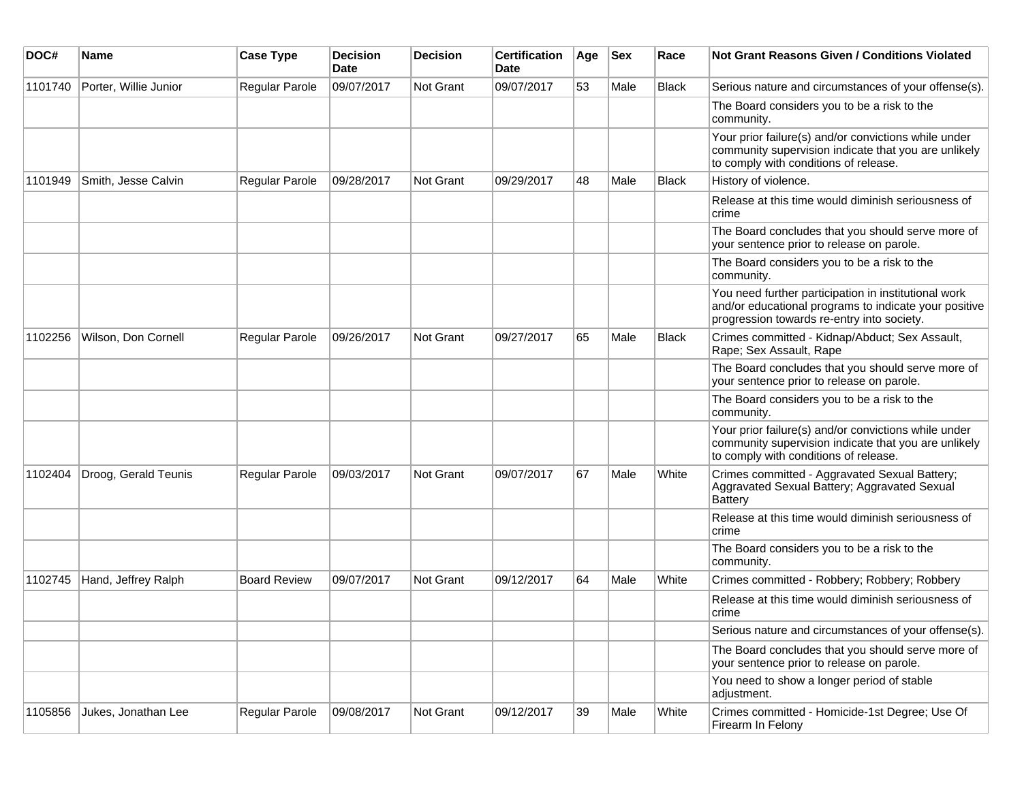| DOC#    | Name                  | <b>Case Type</b>    | <b>Decision</b><br><b>Date</b> | <b>Decision</b> | <b>Certification</b><br>Date | Age | <b>Sex</b> | Race         | <b>Not Grant Reasons Given / Conditions Violated</b>                                                                                                        |
|---------|-----------------------|---------------------|--------------------------------|-----------------|------------------------------|-----|------------|--------------|-------------------------------------------------------------------------------------------------------------------------------------------------------------|
| 1101740 | Porter, Willie Junior | Regular Parole      | 09/07/2017                     | Not Grant       | 09/07/2017                   | 53  | Male       | Black        | Serious nature and circumstances of your offense(s).                                                                                                        |
|         |                       |                     |                                |                 |                              |     |            |              | The Board considers you to be a risk to the<br>community.                                                                                                   |
|         |                       |                     |                                |                 |                              |     |            |              | Your prior failure(s) and/or convictions while under<br>community supervision indicate that you are unlikely<br>to comply with conditions of release.       |
| 1101949 | Smith, Jesse Calvin   | Regular Parole      | 09/28/2017                     | Not Grant       | 09/29/2017                   | 48  | Male       | <b>Black</b> | History of violence.                                                                                                                                        |
|         |                       |                     |                                |                 |                              |     |            |              | Release at this time would diminish seriousness of<br>crime                                                                                                 |
|         |                       |                     |                                |                 |                              |     |            |              | The Board concludes that you should serve more of<br>your sentence prior to release on parole.                                                              |
|         |                       |                     |                                |                 |                              |     |            |              | The Board considers you to be a risk to the<br>community.                                                                                                   |
|         |                       |                     |                                |                 |                              |     |            |              | You need further participation in institutional work<br>and/or educational programs to indicate your positive<br>progression towards re-entry into society. |
| 1102256 | Wilson, Don Cornell   | Regular Parole      | 09/26/2017                     | Not Grant       | 09/27/2017                   | 65  | Male       | <b>Black</b> | Crimes committed - Kidnap/Abduct; Sex Assault,<br>Rape; Sex Assault, Rape                                                                                   |
|         |                       |                     |                                |                 |                              |     |            |              | The Board concludes that you should serve more of<br>your sentence prior to release on parole.                                                              |
|         |                       |                     |                                |                 |                              |     |            |              | The Board considers you to be a risk to the<br>community.                                                                                                   |
|         |                       |                     |                                |                 |                              |     |            |              | Your prior failure(s) and/or convictions while under<br>community supervision indicate that you are unlikely<br>to comply with conditions of release.       |
| 1102404 | Droog, Gerald Teunis  | Regular Parole      | 09/03/2017                     | Not Grant       | 09/07/2017                   | 67  | Male       | White        | Crimes committed - Aggravated Sexual Battery;<br>Aggravated Sexual Battery; Aggravated Sexual<br><b>Battery</b>                                             |
|         |                       |                     |                                |                 |                              |     |            |              | Release at this time would diminish seriousness of<br>crime                                                                                                 |
|         |                       |                     |                                |                 |                              |     |            |              | The Board considers you to be a risk to the<br>community.                                                                                                   |
| 1102745 | Hand, Jeffrey Ralph   | <b>Board Review</b> | 09/07/2017                     | Not Grant       | 09/12/2017                   | 64  | Male       | White        | Crimes committed - Robbery; Robbery; Robbery                                                                                                                |
|         |                       |                     |                                |                 |                              |     |            |              | Release at this time would diminish seriousness of<br>crime                                                                                                 |
|         |                       |                     |                                |                 |                              |     |            |              | Serious nature and circumstances of your offense(s).                                                                                                        |
|         |                       |                     |                                |                 |                              |     |            |              | The Board concludes that you should serve more of<br>your sentence prior to release on parole.                                                              |
|         |                       |                     |                                |                 |                              |     |            |              | You need to show a longer period of stable<br>adjustment.                                                                                                   |
| 1105856 | Jukes, Jonathan Lee   | Regular Parole      | 09/08/2017                     | Not Grant       | 09/12/2017                   | 39  | Male       | White        | Crimes committed - Homicide-1st Degree; Use Of<br>Firearm In Felony                                                                                         |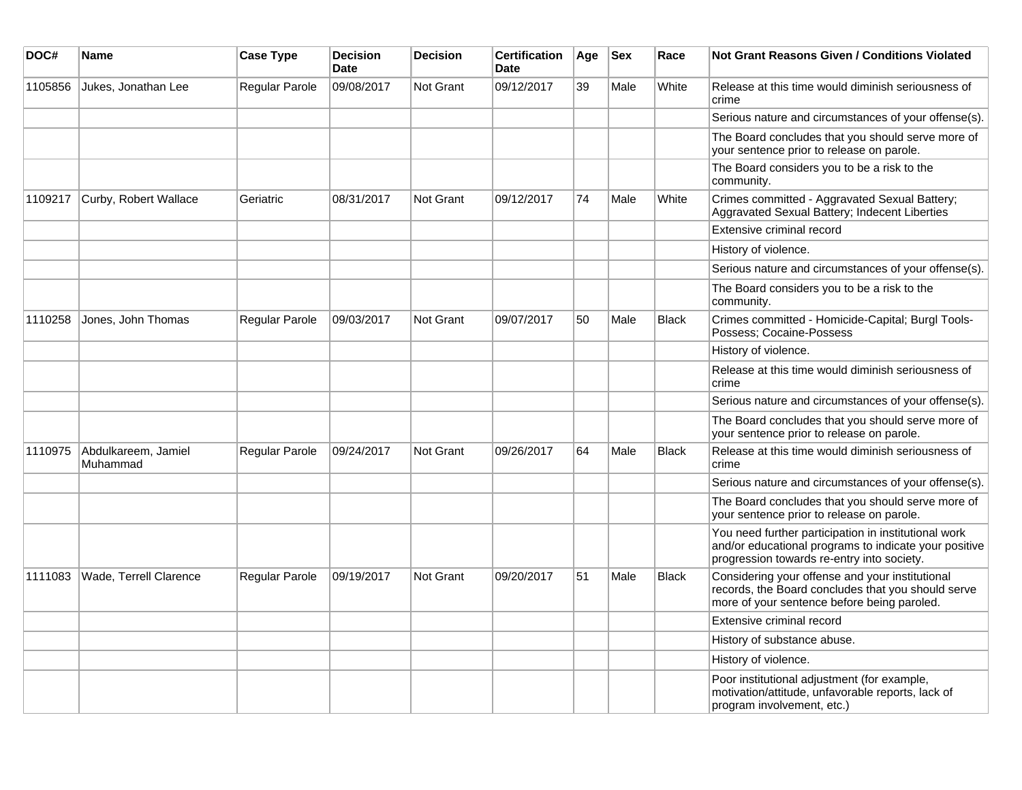| DOC#    | Name                            | <b>Case Type</b>      | <b>Decision</b><br><b>Date</b> | <b>Decision</b>  | <b>Certification</b><br><b>Date</b> | Age | <b>Sex</b> | Race         | Not Grant Reasons Given / Conditions Violated                                                                                                               |
|---------|---------------------------------|-----------------------|--------------------------------|------------------|-------------------------------------|-----|------------|--------------|-------------------------------------------------------------------------------------------------------------------------------------------------------------|
| 1105856 | Jukes, Jonathan Lee             | <b>Regular Parole</b> | 09/08/2017                     | Not Grant        | 09/12/2017                          | 39  | Male       | White        | Release at this time would diminish seriousness of<br>crime                                                                                                 |
|         |                                 |                       |                                |                  |                                     |     |            |              | Serious nature and circumstances of your offense(s).                                                                                                        |
|         |                                 |                       |                                |                  |                                     |     |            |              | The Board concludes that you should serve more of<br>your sentence prior to release on parole.                                                              |
|         |                                 |                       |                                |                  |                                     |     |            |              | The Board considers you to be a risk to the<br>community.                                                                                                   |
| 1109217 | Curby, Robert Wallace           | Geriatric             | 08/31/2017                     | <b>Not Grant</b> | 09/12/2017                          | 74  | Male       | White        | Crimes committed - Aggravated Sexual Battery;<br>Aggravated Sexual Battery; Indecent Liberties                                                              |
|         |                                 |                       |                                |                  |                                     |     |            |              | Extensive criminal record                                                                                                                                   |
|         |                                 |                       |                                |                  |                                     |     |            |              | History of violence.                                                                                                                                        |
|         |                                 |                       |                                |                  |                                     |     |            |              | Serious nature and circumstances of your offense(s).                                                                                                        |
|         |                                 |                       |                                |                  |                                     |     |            |              | The Board considers you to be a risk to the<br>community.                                                                                                   |
| 1110258 | Jones, John Thomas              | <b>Regular Parole</b> | 09/03/2017                     | Not Grant        | 09/07/2017                          | 50  | Male       | <b>Black</b> | Crimes committed - Homicide-Capital; Burgl Tools-<br>Possess: Cocaine-Possess                                                                               |
|         |                                 |                       |                                |                  |                                     |     |            |              | History of violence.                                                                                                                                        |
|         |                                 |                       |                                |                  |                                     |     |            |              | Release at this time would diminish seriousness of<br>crime                                                                                                 |
|         |                                 |                       |                                |                  |                                     |     |            |              | Serious nature and circumstances of your offense(s).                                                                                                        |
|         |                                 |                       |                                |                  |                                     |     |            |              | The Board concludes that you should serve more of<br>your sentence prior to release on parole.                                                              |
| 1110975 | Abdulkareem, Jamiel<br>Muhammad | Regular Parole        | 09/24/2017                     | Not Grant        | 09/26/2017                          | 64  | Male       | <b>Black</b> | Release at this time would diminish seriousness of<br>crime                                                                                                 |
|         |                                 |                       |                                |                  |                                     |     |            |              | Serious nature and circumstances of your offense(s).                                                                                                        |
|         |                                 |                       |                                |                  |                                     |     |            |              | The Board concludes that you should serve more of<br>your sentence prior to release on parole.                                                              |
|         |                                 |                       |                                |                  |                                     |     |            |              | You need further participation in institutional work<br>and/or educational programs to indicate your positive<br>progression towards re-entry into society. |
| 1111083 | Wade, Terrell Clarence          | <b>Regular Parole</b> | 09/19/2017                     | Not Grant        | 09/20/2017                          | 51  | Male       | <b>Black</b> | Considering your offense and your institutional<br>records, the Board concludes that you should serve<br>more of your sentence before being paroled.        |
|         |                                 |                       |                                |                  |                                     |     |            |              | Extensive criminal record                                                                                                                                   |
|         |                                 |                       |                                |                  |                                     |     |            |              | History of substance abuse.                                                                                                                                 |
|         |                                 |                       |                                |                  |                                     |     |            |              | History of violence.                                                                                                                                        |
|         |                                 |                       |                                |                  |                                     |     |            |              | Poor institutional adjustment (for example,<br>motivation/attitude, unfavorable reports, lack of<br>program involvement, etc.)                              |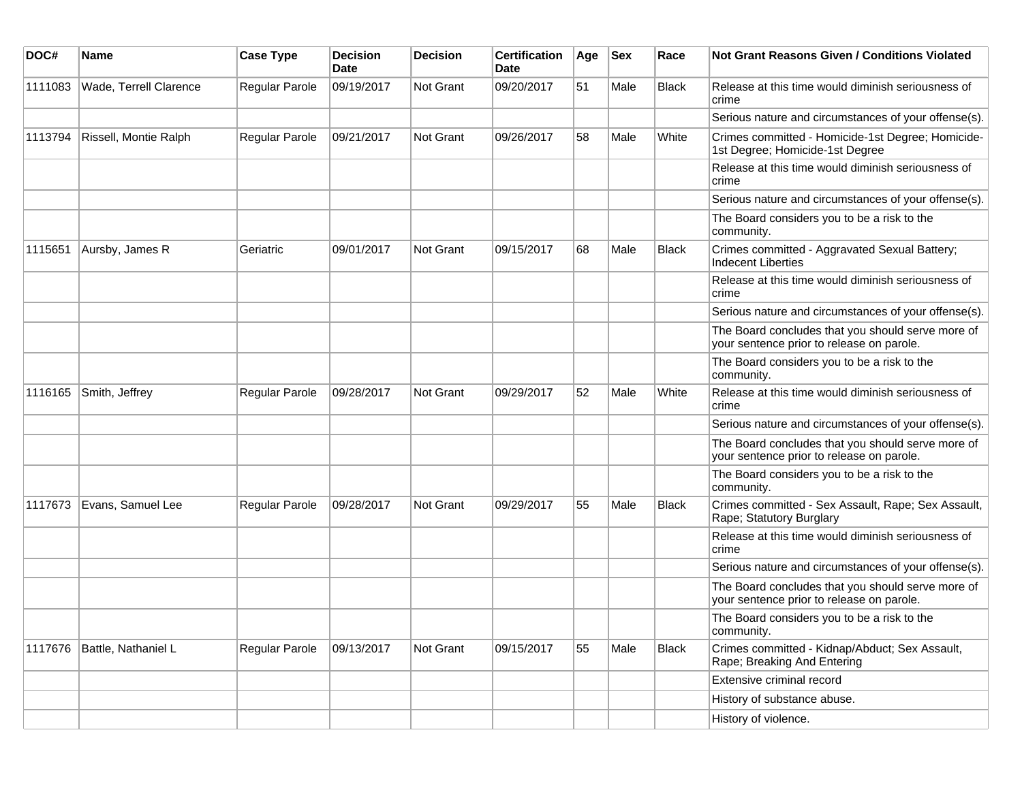| DOC#    | Name                   | <b>Case Type</b> | <b>Decision</b><br><b>Date</b> | <b>Decision</b>  | <b>Certification</b><br>Date | Age | <b>Sex</b> | Race         | Not Grant Reasons Given / Conditions Violated                                                  |
|---------|------------------------|------------------|--------------------------------|------------------|------------------------------|-----|------------|--------------|------------------------------------------------------------------------------------------------|
| 1111083 | Wade, Terrell Clarence | Regular Parole   | 09/19/2017                     | <b>Not Grant</b> | 09/20/2017                   | 51  | Male       | <b>Black</b> | Release at this time would diminish seriousness of<br>crime                                    |
|         |                        |                  |                                |                  |                              |     |            |              | Serious nature and circumstances of your offense(s).                                           |
| 1113794 | Rissell, Montie Ralph  | Regular Parole   | 09/21/2017                     | Not Grant        | 09/26/2017                   | 58  | Male       | White        | Crimes committed - Homicide-1st Degree; Homicide-<br>1st Degree; Homicide-1st Degree           |
|         |                        |                  |                                |                  |                              |     |            |              | Release at this time would diminish seriousness of<br>crime                                    |
|         |                        |                  |                                |                  |                              |     |            |              | Serious nature and circumstances of your offense(s).                                           |
|         |                        |                  |                                |                  |                              |     |            |              | The Board considers you to be a risk to the<br>community.                                      |
| 1115651 | Aursby, James R        | Geriatric        | 09/01/2017                     | <b>Not Grant</b> | 09/15/2017                   | 68  | Male       | <b>Black</b> | Crimes committed - Aggravated Sexual Battery;<br><b>Indecent Liberties</b>                     |
|         |                        |                  |                                |                  |                              |     |            |              | Release at this time would diminish seriousness of<br>crime                                    |
|         |                        |                  |                                |                  |                              |     |            |              | Serious nature and circumstances of your offense(s).                                           |
|         |                        |                  |                                |                  |                              |     |            |              | The Board concludes that you should serve more of<br>your sentence prior to release on parole. |
|         |                        |                  |                                |                  |                              |     |            |              | The Board considers you to be a risk to the<br>community.                                      |
| 1116165 | Smith, Jeffrey         | Regular Parole   | 09/28/2017                     | Not Grant        | 09/29/2017                   | 52  | Male       | White        | Release at this time would diminish seriousness of<br>crime                                    |
|         |                        |                  |                                |                  |                              |     |            |              | Serious nature and circumstances of your offense(s).                                           |
|         |                        |                  |                                |                  |                              |     |            |              | The Board concludes that you should serve more of<br>your sentence prior to release on parole. |
|         |                        |                  |                                |                  |                              |     |            |              | The Board considers you to be a risk to the<br>community.                                      |
| 1117673 | Evans, Samuel Lee      | Regular Parole   | 09/28/2017                     | <b>Not Grant</b> | 09/29/2017                   | 55  | Male       | Black        | Crimes committed - Sex Assault, Rape; Sex Assault,<br>Rape; Statutory Burglary                 |
|         |                        |                  |                                |                  |                              |     |            |              | Release at this time would diminish seriousness of<br>crime                                    |
|         |                        |                  |                                |                  |                              |     |            |              | Serious nature and circumstances of your offense(s).                                           |
|         |                        |                  |                                |                  |                              |     |            |              | The Board concludes that you should serve more of<br>your sentence prior to release on parole. |
|         |                        |                  |                                |                  |                              |     |            |              | The Board considers you to be a risk to the<br>community.                                      |
| 1117676 | Battle, Nathaniel L    | Regular Parole   | 09/13/2017                     | Not Grant        | 09/15/2017                   | 55  | Male       | Black        | Crimes committed - Kidnap/Abduct; Sex Assault,<br>Rape; Breaking And Entering                  |
|         |                        |                  |                                |                  |                              |     |            |              | Extensive criminal record                                                                      |
|         |                        |                  |                                |                  |                              |     |            |              | History of substance abuse.                                                                    |
|         |                        |                  |                                |                  |                              |     |            |              | History of violence.                                                                           |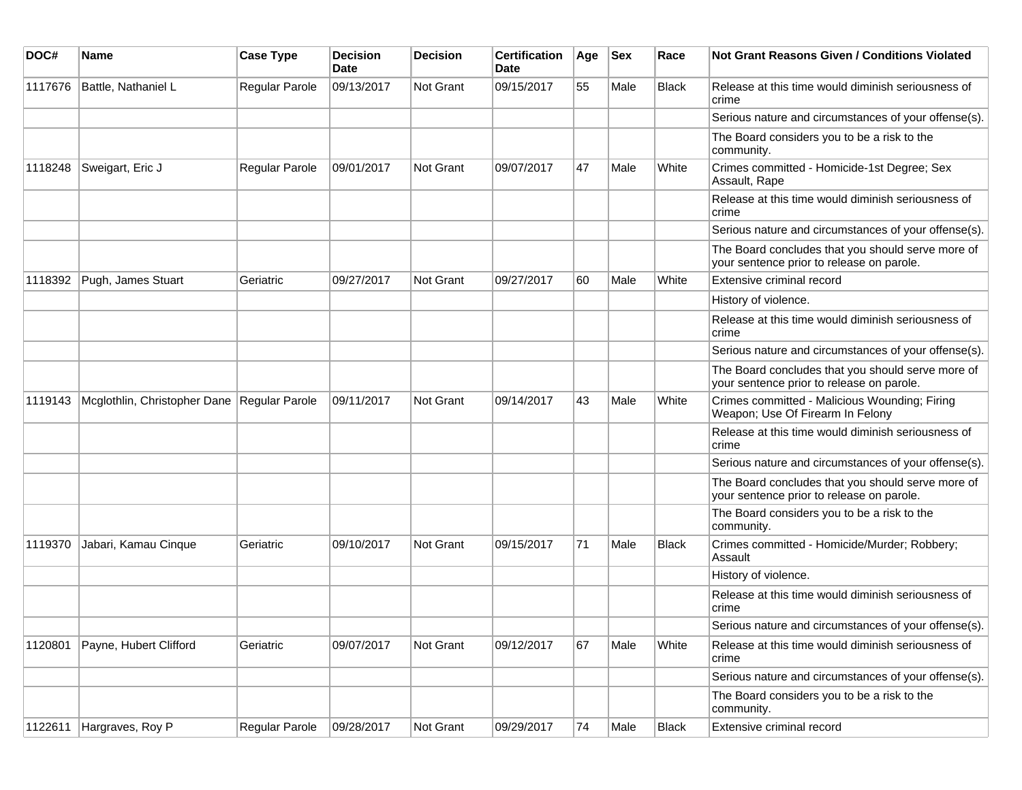| DOC#    | <b>Name</b>                                 | <b>Case Type</b> | <b>Decision</b><br>Date | <b>Decision</b> | <b>Certification</b><br><b>Date</b> | Age | <b>Sex</b> | Race         | Not Grant Reasons Given / Conditions Violated                                                  |
|---------|---------------------------------------------|------------------|-------------------------|-----------------|-------------------------------------|-----|------------|--------------|------------------------------------------------------------------------------------------------|
| 1117676 | Battle, Nathaniel L                         | Regular Parole   | 09/13/2017              | Not Grant       | 09/15/2017                          | 55  | Male       | <b>Black</b> | Release at this time would diminish seriousness of<br>crime                                    |
|         |                                             |                  |                         |                 |                                     |     |            |              | Serious nature and circumstances of your offense(s).                                           |
|         |                                             |                  |                         |                 |                                     |     |            |              | The Board considers you to be a risk to the<br>community.                                      |
| 1118248 | Sweigart, Eric J                            | Regular Parole   | 09/01/2017              | Not Grant       | 09/07/2017                          | 47  | Male       | White        | Crimes committed - Homicide-1st Degree; Sex<br>Assault, Rape                                   |
|         |                                             |                  |                         |                 |                                     |     |            |              | Release at this time would diminish seriousness of<br>crime                                    |
|         |                                             |                  |                         |                 |                                     |     |            |              | Serious nature and circumstances of your offense(s).                                           |
|         |                                             |                  |                         |                 |                                     |     |            |              | The Board concludes that you should serve more of<br>your sentence prior to release on parole. |
| 1118392 | Pugh, James Stuart                          | Geriatric        | 09/27/2017              | Not Grant       | 09/27/2017                          | 60  | Male       | White        | Extensive criminal record                                                                      |
|         |                                             |                  |                         |                 |                                     |     |            |              | History of violence.                                                                           |
|         |                                             |                  |                         |                 |                                     |     |            |              | Release at this time would diminish seriousness of<br>crime                                    |
|         |                                             |                  |                         |                 |                                     |     |            |              | Serious nature and circumstances of your offense(s).                                           |
|         |                                             |                  |                         |                 |                                     |     |            |              | The Board concludes that you should serve more of<br>your sentence prior to release on parole. |
| 1119143 | Mcglothlin, Christopher Dane Regular Parole |                  | 09/11/2017              | Not Grant       | 09/14/2017                          | 43  | Male       | White        | Crimes committed - Malicious Wounding; Firing<br>Weapon; Use Of Firearm In Felony              |
|         |                                             |                  |                         |                 |                                     |     |            |              | Release at this time would diminish seriousness of<br>crime                                    |
|         |                                             |                  |                         |                 |                                     |     |            |              | Serious nature and circumstances of your offense(s).                                           |
|         |                                             |                  |                         |                 |                                     |     |            |              | The Board concludes that you should serve more of<br>your sentence prior to release on parole. |
|         |                                             |                  |                         |                 |                                     |     |            |              | The Board considers you to be a risk to the<br>community.                                      |
| 1119370 | Jabari, Kamau Cinque                        | Geriatric        | 09/10/2017              | Not Grant       | 09/15/2017                          | 71  | Male       | <b>Black</b> | Crimes committed - Homicide/Murder; Robbery;<br>Assault                                        |
|         |                                             |                  |                         |                 |                                     |     |            |              | History of violence.                                                                           |
|         |                                             |                  |                         |                 |                                     |     |            |              | Release at this time would diminish seriousness of<br>crime                                    |
|         |                                             |                  |                         |                 |                                     |     |            |              | Serious nature and circumstances of your offense(s).                                           |
| 1120801 | Payne, Hubert Clifford                      | Geriatric        | 09/07/2017              | Not Grant       | 09/12/2017                          | 67  | Male       | White        | Release at this time would diminish seriousness of<br>crime                                    |
|         |                                             |                  |                         |                 |                                     |     |            |              | Serious nature and circumstances of your offense(s).                                           |
|         |                                             |                  |                         |                 |                                     |     |            |              | The Board considers you to be a risk to the<br>community.                                      |
| 1122611 | Hargraves, Roy P                            | Regular Parole   | 09/28/2017              | Not Grant       | 09/29/2017                          | 74  | Male       | <b>Black</b> | Extensive criminal record                                                                      |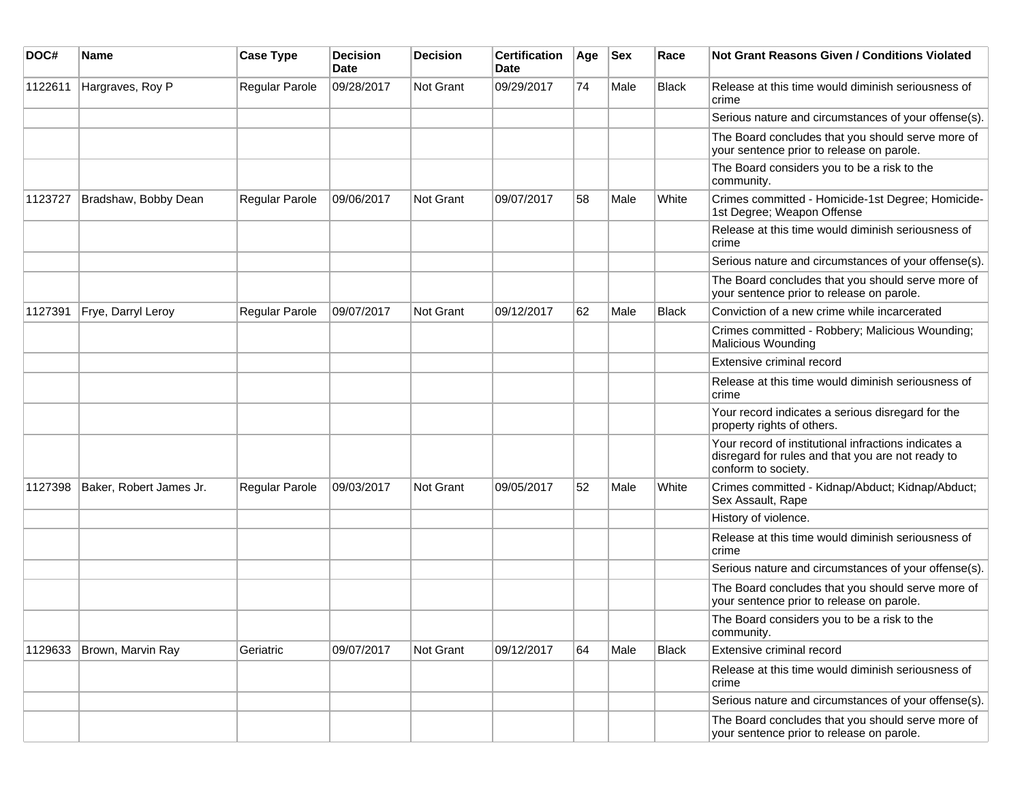| DOC#    | Name                    | <b>Case Type</b> | <b>Decision</b><br><b>Date</b> | <b>Decision</b>  | <b>Certification</b><br>Date | Age | <b>Sex</b> | Race         | Not Grant Reasons Given / Conditions Violated                                                                                    |
|---------|-------------------------|------------------|--------------------------------|------------------|------------------------------|-----|------------|--------------|----------------------------------------------------------------------------------------------------------------------------------|
| 1122611 | Hargraves, Roy P        | Regular Parole   | 09/28/2017                     | Not Grant        | 09/29/2017                   | 74  | Male       | Black        | Release at this time would diminish seriousness of<br>crime                                                                      |
|         |                         |                  |                                |                  |                              |     |            |              | Serious nature and circumstances of your offense(s).                                                                             |
|         |                         |                  |                                |                  |                              |     |            |              | The Board concludes that you should serve more of<br>your sentence prior to release on parole.                                   |
|         |                         |                  |                                |                  |                              |     |            |              | The Board considers you to be a risk to the<br>community.                                                                        |
| 1123727 | Bradshaw, Bobby Dean    | Regular Parole   | 09/06/2017                     | <b>Not Grant</b> | 09/07/2017                   | 58  | Male       | White        | Crimes committed - Homicide-1st Degree; Homicide-<br>1st Degree; Weapon Offense                                                  |
|         |                         |                  |                                |                  |                              |     |            |              | Release at this time would diminish seriousness of<br>crime                                                                      |
|         |                         |                  |                                |                  |                              |     |            |              | Serious nature and circumstances of your offense(s).                                                                             |
|         |                         |                  |                                |                  |                              |     |            |              | The Board concludes that you should serve more of<br>your sentence prior to release on parole.                                   |
| 1127391 | Frye, Darryl Leroy      | Regular Parole   | 09/07/2017                     | <b>Not Grant</b> | 09/12/2017                   | 62  | Male       | Black        | Conviction of a new crime while incarcerated                                                                                     |
|         |                         |                  |                                |                  |                              |     |            |              | Crimes committed - Robbery; Malicious Wounding;<br>Malicious Wounding                                                            |
|         |                         |                  |                                |                  |                              |     |            |              | Extensive criminal record                                                                                                        |
|         |                         |                  |                                |                  |                              |     |            |              | Release at this time would diminish seriousness of<br>crime                                                                      |
|         |                         |                  |                                |                  |                              |     |            |              | Your record indicates a serious disregard for the<br>property rights of others.                                                  |
|         |                         |                  |                                |                  |                              |     |            |              | Your record of institutional infractions indicates a<br>disregard for rules and that you are not ready to<br>conform to society. |
| 1127398 | Baker, Robert James Jr. | Regular Parole   | 09/03/2017                     | Not Grant        | 09/05/2017                   | 52  | Male       | White        | Crimes committed - Kidnap/Abduct; Kidnap/Abduct;<br>Sex Assault, Rape                                                            |
|         |                         |                  |                                |                  |                              |     |            |              | History of violence.                                                                                                             |
|         |                         |                  |                                |                  |                              |     |            |              | Release at this time would diminish seriousness of<br>crime                                                                      |
|         |                         |                  |                                |                  |                              |     |            |              | Serious nature and circumstances of your offense(s).                                                                             |
|         |                         |                  |                                |                  |                              |     |            |              | The Board concludes that you should serve more of<br>your sentence prior to release on parole.                                   |
|         |                         |                  |                                |                  |                              |     |            |              | The Board considers you to be a risk to the<br>community.                                                                        |
| 1129633 | Brown, Marvin Ray       | Geriatric        | 09/07/2017                     | Not Grant        | 09/12/2017                   | 64  | Male       | <b>Black</b> | Extensive criminal record                                                                                                        |
|         |                         |                  |                                |                  |                              |     |            |              | Release at this time would diminish seriousness of<br>crime                                                                      |
|         |                         |                  |                                |                  |                              |     |            |              | Serious nature and circumstances of your offense(s).                                                                             |
|         |                         |                  |                                |                  |                              |     |            |              | The Board concludes that you should serve more of<br>your sentence prior to release on parole.                                   |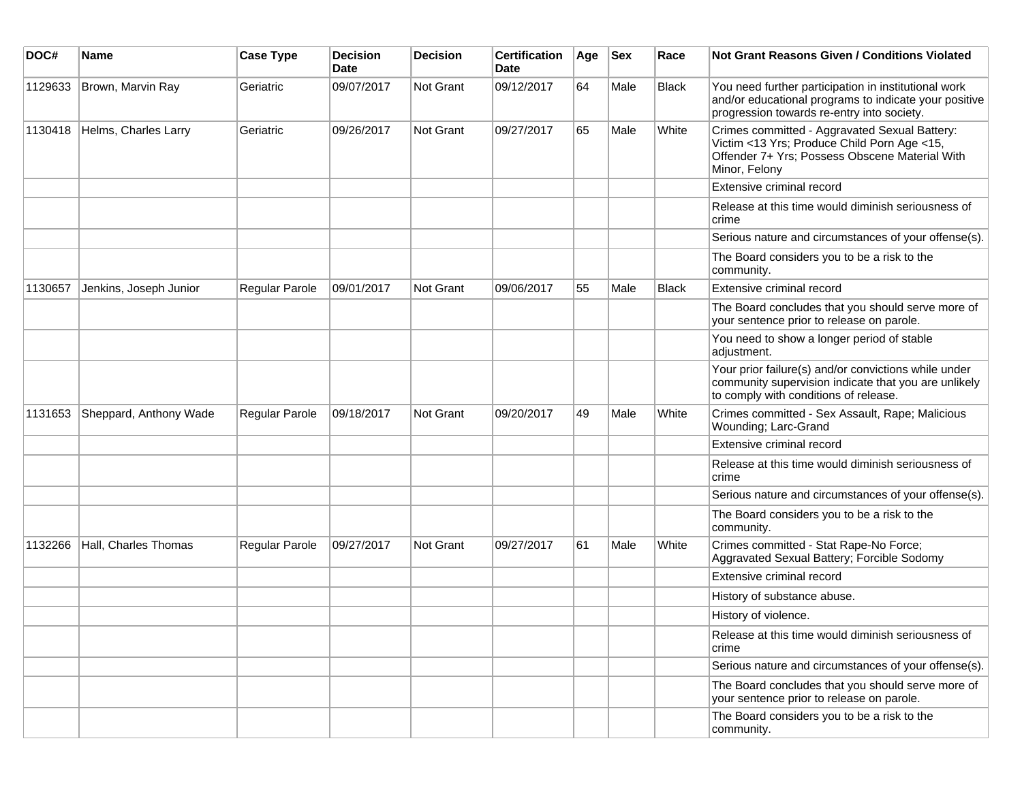| DOC#    | <b>Name</b>            | <b>Case Type</b> | <b>Decision</b><br><b>Date</b> | <b>Decision</b> | <b>Certification</b><br>Date | Age | <b>Sex</b> | Race         | <b>Not Grant Reasons Given / Conditions Violated</b>                                                                                                            |
|---------|------------------------|------------------|--------------------------------|-----------------|------------------------------|-----|------------|--------------|-----------------------------------------------------------------------------------------------------------------------------------------------------------------|
| 1129633 | Brown, Marvin Ray      | Geriatric        | 09/07/2017                     | Not Grant       | 09/12/2017                   | 64  | Male       | <b>Black</b> | You need further participation in institutional work<br>and/or educational programs to indicate your positive<br>progression towards re-entry into society.     |
| 1130418 | Helms, Charles Larry   | Geriatric        | 09/26/2017                     | Not Grant       | 09/27/2017                   | 65  | Male       | White        | Crimes committed - Aggravated Sexual Battery:<br>Victim <13 Yrs; Produce Child Porn Age <15,<br>Offender 7+ Yrs; Possess Obscene Material With<br>Minor, Felony |
|         |                        |                  |                                |                 |                              |     |            |              | Extensive criminal record                                                                                                                                       |
|         |                        |                  |                                |                 |                              |     |            |              | Release at this time would diminish seriousness of<br>crime                                                                                                     |
|         |                        |                  |                                |                 |                              |     |            |              | Serious nature and circumstances of your offense(s).                                                                                                            |
|         |                        |                  |                                |                 |                              |     |            |              | The Board considers you to be a risk to the<br>community.                                                                                                       |
| 1130657 | Jenkins, Joseph Junior | Regular Parole   | 09/01/2017                     | Not Grant       | 09/06/2017                   | 55  | Male       | Black        | Extensive criminal record                                                                                                                                       |
|         |                        |                  |                                |                 |                              |     |            |              | The Board concludes that you should serve more of<br>your sentence prior to release on parole.                                                                  |
|         |                        |                  |                                |                 |                              |     |            |              | You need to show a longer period of stable<br>adjustment.                                                                                                       |
|         |                        |                  |                                |                 |                              |     |            |              | Your prior failure(s) and/or convictions while under<br>community supervision indicate that you are unlikely<br>to comply with conditions of release.           |
| 1131653 | Sheppard, Anthony Wade | Regular Parole   | 09/18/2017                     | Not Grant       | 09/20/2017                   | 49  | Male       | White        | Crimes committed - Sex Assault, Rape; Malicious<br>Wounding; Larc-Grand                                                                                         |
|         |                        |                  |                                |                 |                              |     |            |              | Extensive criminal record                                                                                                                                       |
|         |                        |                  |                                |                 |                              |     |            |              | Release at this time would diminish seriousness of<br>crime                                                                                                     |
|         |                        |                  |                                |                 |                              |     |            |              | Serious nature and circumstances of your offense(s).                                                                                                            |
|         |                        |                  |                                |                 |                              |     |            |              | The Board considers you to be a risk to the<br>community.                                                                                                       |
| 1132266 | Hall, Charles Thomas   | Regular Parole   | 09/27/2017                     | Not Grant       | 09/27/2017                   | 61  | Male       | White        | Crimes committed - Stat Rape-No Force;<br>Aggravated Sexual Battery; Forcible Sodomy                                                                            |
|         |                        |                  |                                |                 |                              |     |            |              | Extensive criminal record                                                                                                                                       |
|         |                        |                  |                                |                 |                              |     |            |              | History of substance abuse.                                                                                                                                     |
|         |                        |                  |                                |                 |                              |     |            |              | History of violence.                                                                                                                                            |
|         |                        |                  |                                |                 |                              |     |            |              | Release at this time would diminish seriousness of<br>crime                                                                                                     |
|         |                        |                  |                                |                 |                              |     |            |              | Serious nature and circumstances of your offense(s).                                                                                                            |
|         |                        |                  |                                |                 |                              |     |            |              | The Board concludes that you should serve more of<br>your sentence prior to release on parole.                                                                  |
|         |                        |                  |                                |                 |                              |     |            |              | The Board considers you to be a risk to the<br>community.                                                                                                       |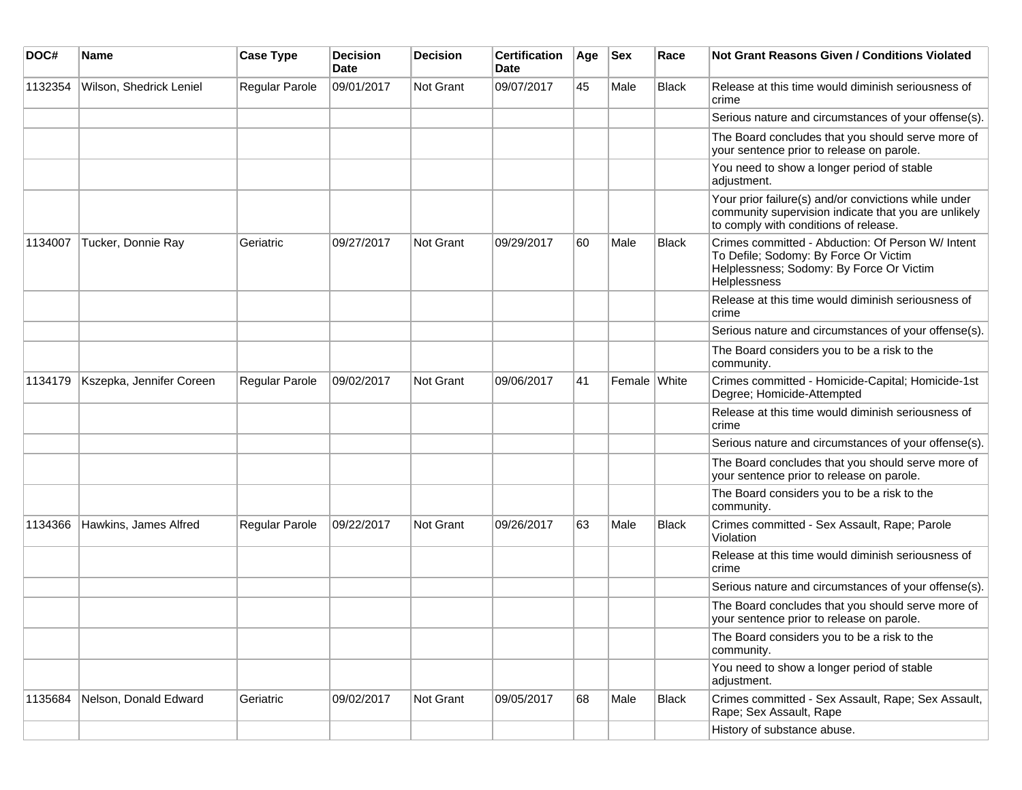| DOC#    | <b>Name</b>              | <b>Case Type</b>      | <b>Decision</b><br><b>Date</b> | <b>Decision</b> | <b>Certification</b><br><b>Date</b> | Age | <b>Sex</b>   | Race         | Not Grant Reasons Given / Conditions Violated                                                                                                          |
|---------|--------------------------|-----------------------|--------------------------------|-----------------|-------------------------------------|-----|--------------|--------------|--------------------------------------------------------------------------------------------------------------------------------------------------------|
| 1132354 | Wilson, Shedrick Leniel  | Regular Parole        | 09/01/2017                     | Not Grant       | 09/07/2017                          | 45  | Male         | Black        | Release at this time would diminish seriousness of<br>crime                                                                                            |
|         |                          |                       |                                |                 |                                     |     |              |              | Serious nature and circumstances of your offense(s).                                                                                                   |
|         |                          |                       |                                |                 |                                     |     |              |              | The Board concludes that you should serve more of<br>your sentence prior to release on parole.                                                         |
|         |                          |                       |                                |                 |                                     |     |              |              | You need to show a longer period of stable<br>adjustment.                                                                                              |
|         |                          |                       |                                |                 |                                     |     |              |              | Your prior failure(s) and/or convictions while under<br>community supervision indicate that you are unlikely<br>to comply with conditions of release.  |
| 1134007 | Tucker, Donnie Ray       | Geriatric             | 09/27/2017                     | Not Grant       | 09/29/2017                          | 60  | Male         | <b>Black</b> | Crimes committed - Abduction: Of Person W/ Intent<br>To Defile; Sodomy: By Force Or Victim<br>Helplessness; Sodomy: By Force Or Victim<br>Helplessness |
|         |                          |                       |                                |                 |                                     |     |              |              | Release at this time would diminish seriousness of<br>crime                                                                                            |
|         |                          |                       |                                |                 |                                     |     |              |              | Serious nature and circumstances of your offense(s).                                                                                                   |
|         |                          |                       |                                |                 |                                     |     |              |              | The Board considers you to be a risk to the<br>community.                                                                                              |
| 1134179 | Kszepka, Jennifer Coreen | <b>Regular Parole</b> | 09/02/2017                     | Not Grant       | 09/06/2017                          | 41  | Female White |              | Crimes committed - Homicide-Capital; Homicide-1st<br>Degree; Homicide-Attempted                                                                        |
|         |                          |                       |                                |                 |                                     |     |              |              | Release at this time would diminish seriousness of<br>crime                                                                                            |
|         |                          |                       |                                |                 |                                     |     |              |              | Serious nature and circumstances of your offense(s).                                                                                                   |
|         |                          |                       |                                |                 |                                     |     |              |              | The Board concludes that you should serve more of<br>your sentence prior to release on parole.                                                         |
|         |                          |                       |                                |                 |                                     |     |              |              | The Board considers you to be a risk to the<br>community.                                                                                              |
| 1134366 | Hawkins, James Alfred    | <b>Regular Parole</b> | 09/22/2017                     | Not Grant       | 09/26/2017                          | 63  | Male         | <b>Black</b> | Crimes committed - Sex Assault, Rape; Parole<br>Violation                                                                                              |
|         |                          |                       |                                |                 |                                     |     |              |              | Release at this time would diminish seriousness of<br>crime                                                                                            |
|         |                          |                       |                                |                 |                                     |     |              |              | Serious nature and circumstances of your offense(s).                                                                                                   |
|         |                          |                       |                                |                 |                                     |     |              |              | The Board concludes that you should serve more of<br>your sentence prior to release on parole.                                                         |
|         |                          |                       |                                |                 |                                     |     |              |              | The Board considers you to be a risk to the<br>community.                                                                                              |
|         |                          |                       |                                |                 |                                     |     |              |              | You need to show a longer period of stable<br>adjustment.                                                                                              |
| 1135684 | Nelson, Donald Edward    | Geriatric             | 09/02/2017                     | Not Grant       | 09/05/2017                          | 68  | Male         | <b>Black</b> | Crimes committed - Sex Assault, Rape; Sex Assault,<br>Rape; Sex Assault, Rape                                                                          |
|         |                          |                       |                                |                 |                                     |     |              |              | History of substance abuse.                                                                                                                            |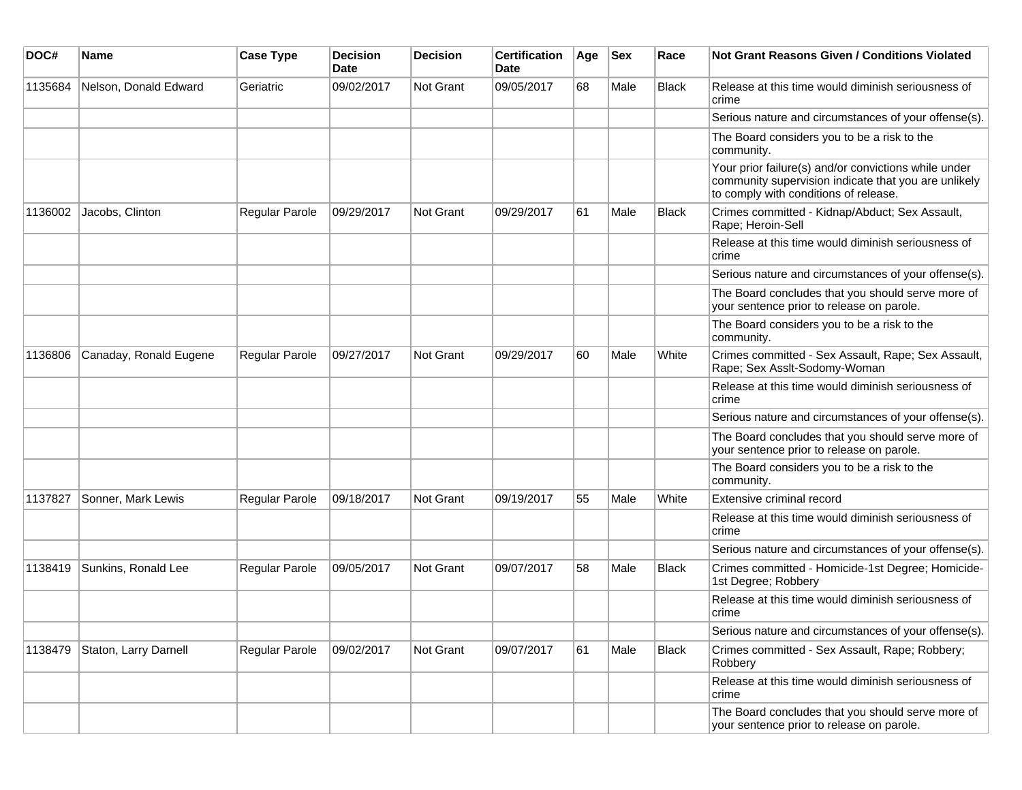| DOC#    | <b>Name</b>            | <b>Case Type</b>      | <b>Decision</b><br>Date | <b>Decision</b> | <b>Certification</b><br>Date | Age | <b>Sex</b> | Race         | Not Grant Reasons Given / Conditions Violated                                                                                                         |
|---------|------------------------|-----------------------|-------------------------|-----------------|------------------------------|-----|------------|--------------|-------------------------------------------------------------------------------------------------------------------------------------------------------|
| 1135684 | Nelson, Donald Edward  | Geriatric             | 09/02/2017              | Not Grant       | 09/05/2017                   | 68  | Male       | Black        | Release at this time would diminish seriousness of<br>crime                                                                                           |
|         |                        |                       |                         |                 |                              |     |            |              | Serious nature and circumstances of your offense(s).                                                                                                  |
|         |                        |                       |                         |                 |                              |     |            |              | The Board considers you to be a risk to the<br>community.                                                                                             |
|         |                        |                       |                         |                 |                              |     |            |              | Your prior failure(s) and/or convictions while under<br>community supervision indicate that you are unlikely<br>to comply with conditions of release. |
| 1136002 | Jacobs, Clinton        | Regular Parole        | 09/29/2017              | Not Grant       | 09/29/2017                   | 61  | Male       | Black        | Crimes committed - Kidnap/Abduct; Sex Assault,<br>Rape; Heroin-Sell                                                                                   |
|         |                        |                       |                         |                 |                              |     |            |              | Release at this time would diminish seriousness of<br>crime                                                                                           |
|         |                        |                       |                         |                 |                              |     |            |              | Serious nature and circumstances of your offense(s).                                                                                                  |
|         |                        |                       |                         |                 |                              |     |            |              | The Board concludes that you should serve more of<br>your sentence prior to release on parole.                                                        |
|         |                        |                       |                         |                 |                              |     |            |              | The Board considers you to be a risk to the<br>community.                                                                                             |
| 1136806 | Canaday, Ronald Eugene | <b>Regular Parole</b> | 09/27/2017              | Not Grant       | 09/29/2017                   | 60  | Male       | White        | Crimes committed - Sex Assault, Rape; Sex Assault,<br>Rape; Sex Asslt-Sodomy-Woman                                                                    |
|         |                        |                       |                         |                 |                              |     |            |              | Release at this time would diminish seriousness of<br>crime                                                                                           |
|         |                        |                       |                         |                 |                              |     |            |              | Serious nature and circumstances of your offense(s).                                                                                                  |
|         |                        |                       |                         |                 |                              |     |            |              | The Board concludes that you should serve more of<br>your sentence prior to release on parole.                                                        |
|         |                        |                       |                         |                 |                              |     |            |              | The Board considers you to be a risk to the<br>community.                                                                                             |
| 1137827 | Sonner, Mark Lewis     | Regular Parole        | 09/18/2017              | Not Grant       | 09/19/2017                   | 55  | Male       | White        | Extensive criminal record                                                                                                                             |
|         |                        |                       |                         |                 |                              |     |            |              | Release at this time would diminish seriousness of<br>crime                                                                                           |
|         |                        |                       |                         |                 |                              |     |            |              | Serious nature and circumstances of your offense(s).                                                                                                  |
| 1138419 | Sunkins, Ronald Lee    | <b>Regular Parole</b> | 09/05/2017              | Not Grant       | 09/07/2017                   | 58  | Male       | <b>Black</b> | Crimes committed - Homicide-1st Degree; Homicide-<br>1st Degree; Robbery                                                                              |
|         |                        |                       |                         |                 |                              |     |            |              | Release at this time would diminish seriousness of<br>crime                                                                                           |
|         |                        |                       |                         |                 |                              |     |            |              | Serious nature and circumstances of your offense(s).                                                                                                  |
| 1138479 | Staton, Larry Darnell  | Regular Parole        | 09/02/2017              | Not Grant       | 09/07/2017                   | 61  | Male       | <b>Black</b> | Crimes committed - Sex Assault, Rape; Robbery;<br>Robbery                                                                                             |
|         |                        |                       |                         |                 |                              |     |            |              | Release at this time would diminish seriousness of<br>crime                                                                                           |
|         |                        |                       |                         |                 |                              |     |            |              | The Board concludes that you should serve more of<br>your sentence prior to release on parole.                                                        |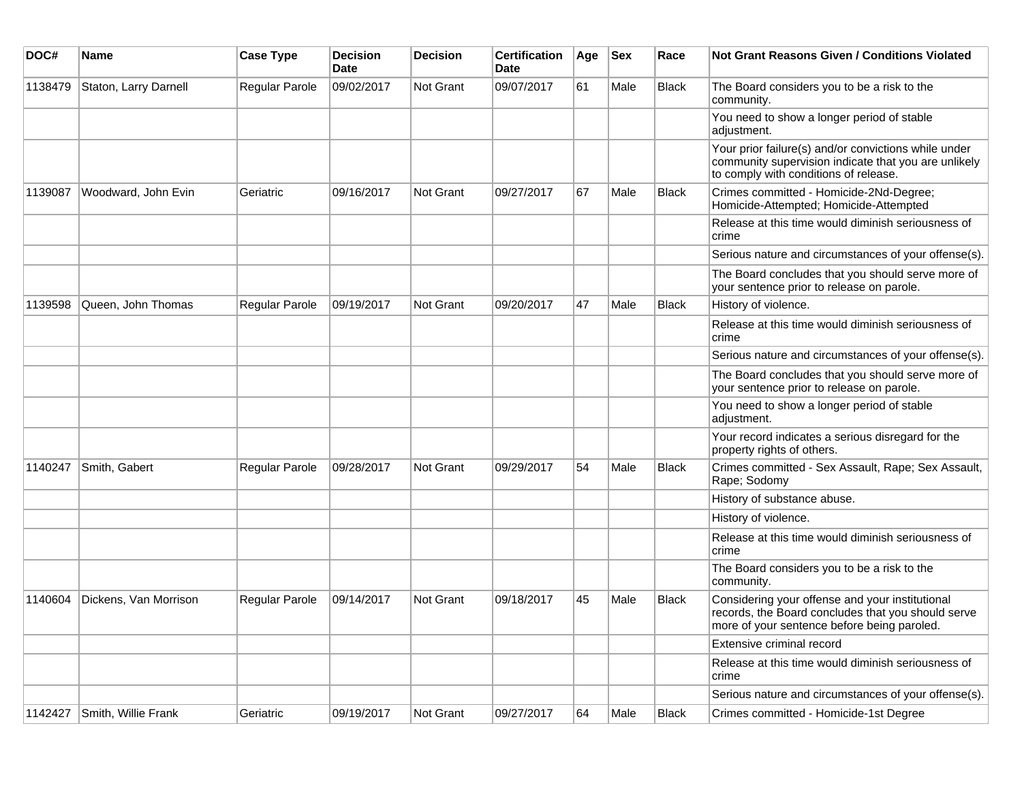| DOC#    | <b>Name</b>           | <b>Case Type</b> | <b>Decision</b><br><b>Date</b> | <b>Decision</b>  | <b>Certification</b><br>Date | Age | <b>Sex</b> | Race         | <b>Not Grant Reasons Given / Conditions Violated</b>                                                                                                  |
|---------|-----------------------|------------------|--------------------------------|------------------|------------------------------|-----|------------|--------------|-------------------------------------------------------------------------------------------------------------------------------------------------------|
| 1138479 | Staton, Larry Darnell | Regular Parole   | 09/02/2017                     | Not Grant        | 09/07/2017                   | 61  | Male       | Black        | The Board considers you to be a risk to the<br>community.                                                                                             |
|         |                       |                  |                                |                  |                              |     |            |              | You need to show a longer period of stable<br>adjustment.                                                                                             |
|         |                       |                  |                                |                  |                              |     |            |              | Your prior failure(s) and/or convictions while under<br>community supervision indicate that you are unlikely<br>to comply with conditions of release. |
| 1139087 | Woodward, John Evin   | Geriatric        | 09/16/2017                     | Not Grant        | 09/27/2017                   | 67  | Male       | <b>Black</b> | Crimes committed - Homicide-2Nd-Degree;<br>Homicide-Attempted; Homicide-Attempted                                                                     |
|         |                       |                  |                                |                  |                              |     |            |              | Release at this time would diminish seriousness of<br>crime                                                                                           |
|         |                       |                  |                                |                  |                              |     |            |              | Serious nature and circumstances of your offense(s).                                                                                                  |
|         |                       |                  |                                |                  |                              |     |            |              | The Board concludes that you should serve more of<br>your sentence prior to release on parole.                                                        |
| 1139598 | Queen, John Thomas    | Regular Parole   | 09/19/2017                     | <b>Not Grant</b> | 09/20/2017                   | 47  | Male       | <b>Black</b> | History of violence.                                                                                                                                  |
|         |                       |                  |                                |                  |                              |     |            |              | Release at this time would diminish seriousness of<br>crime                                                                                           |
|         |                       |                  |                                |                  |                              |     |            |              | Serious nature and circumstances of your offense(s).                                                                                                  |
|         |                       |                  |                                |                  |                              |     |            |              | The Board concludes that you should serve more of<br>your sentence prior to release on parole.                                                        |
|         |                       |                  |                                |                  |                              |     |            |              | You need to show a longer period of stable<br>adjustment.                                                                                             |
|         |                       |                  |                                |                  |                              |     |            |              | Your record indicates a serious disregard for the<br>property rights of others.                                                                       |
| 1140247 | Smith, Gabert         | Regular Parole   | 09/28/2017                     | <b>Not Grant</b> | 09/29/2017                   | 54  | Male       | <b>Black</b> | Crimes committed - Sex Assault, Rape; Sex Assault,<br>Rape; Sodomy                                                                                    |
|         |                       |                  |                                |                  |                              |     |            |              | History of substance abuse.                                                                                                                           |
|         |                       |                  |                                |                  |                              |     |            |              | History of violence.                                                                                                                                  |
|         |                       |                  |                                |                  |                              |     |            |              | Release at this time would diminish seriousness of<br>crime                                                                                           |
|         |                       |                  |                                |                  |                              |     |            |              | The Board considers you to be a risk to the<br>community.                                                                                             |
| 1140604 | Dickens, Van Morrison | Regular Parole   | 09/14/2017                     | <b>Not Grant</b> | 09/18/2017                   | 45  | Male       | <b>Black</b> | Considering your offense and your institutional<br>records, the Board concludes that you should serve<br>more of your sentence before being paroled.  |
|         |                       |                  |                                |                  |                              |     |            |              | Extensive criminal record                                                                                                                             |
|         |                       |                  |                                |                  |                              |     |            |              | Release at this time would diminish seriousness of<br>crime                                                                                           |
|         |                       |                  |                                |                  |                              |     |            |              | Serious nature and circumstances of your offense(s).                                                                                                  |
| 1142427 | Smith, Willie Frank   | Geriatric        | 09/19/2017                     | Not Grant        | 09/27/2017                   | 64  | Male       | Black        | Crimes committed - Homicide-1st Degree                                                                                                                |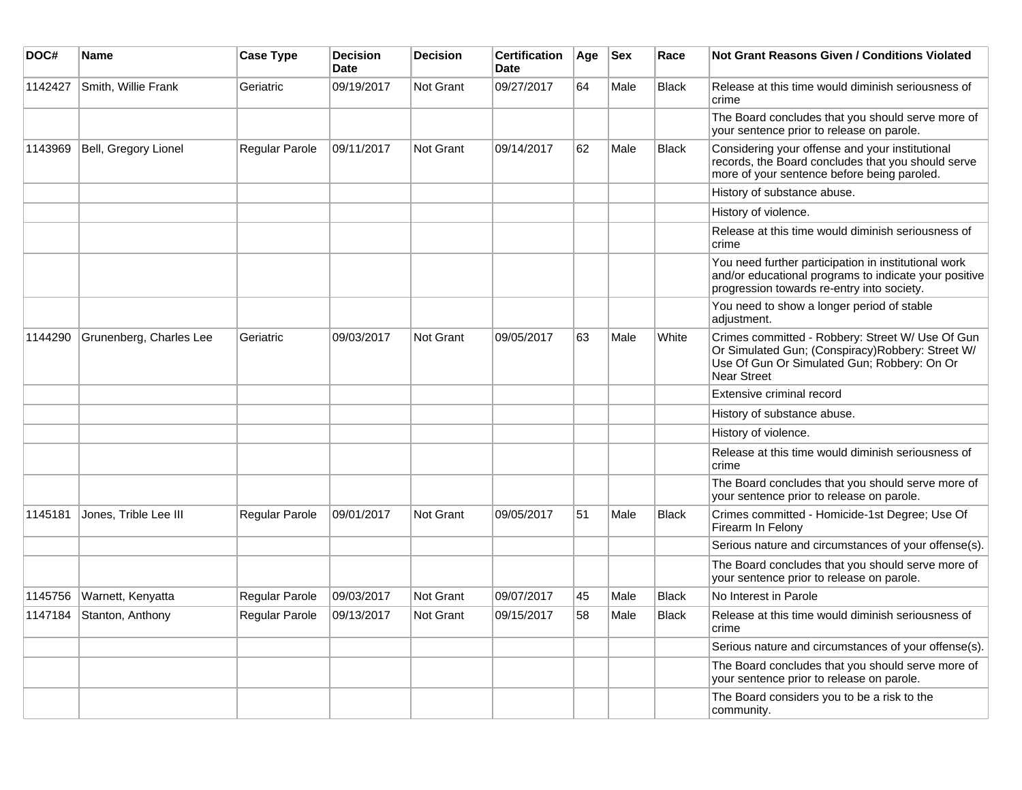| DOC#    | Name                    | <b>Case Type</b>      | <b>Decision</b><br><b>Date</b> | <b>Decision</b>  | <b>Certification</b><br><b>Date</b> | Age | <b>Sex</b> | Race         | <b>Not Grant Reasons Given / Conditions Violated</b>                                                                                                                      |
|---------|-------------------------|-----------------------|--------------------------------|------------------|-------------------------------------|-----|------------|--------------|---------------------------------------------------------------------------------------------------------------------------------------------------------------------------|
| 1142427 | Smith, Willie Frank     | Geriatric             | 09/19/2017                     | <b>Not Grant</b> | 09/27/2017                          | 64  | Male       | <b>Black</b> | Release at this time would diminish seriousness of<br>crime                                                                                                               |
|         |                         |                       |                                |                  |                                     |     |            |              | The Board concludes that you should serve more of<br>your sentence prior to release on parole.                                                                            |
| 1143969 | Bell, Gregory Lionel    | Regular Parole        | 09/11/2017                     | Not Grant        | 09/14/2017                          | 62  | Male       | <b>Black</b> | Considering your offense and your institutional<br>records, the Board concludes that you should serve<br>more of your sentence before being paroled.                      |
|         |                         |                       |                                |                  |                                     |     |            |              | History of substance abuse.                                                                                                                                               |
|         |                         |                       |                                |                  |                                     |     |            |              | History of violence.                                                                                                                                                      |
|         |                         |                       |                                |                  |                                     |     |            |              | Release at this time would diminish seriousness of<br>crime                                                                                                               |
|         |                         |                       |                                |                  |                                     |     |            |              | You need further participation in institutional work<br>and/or educational programs to indicate your positive<br>progression towards re-entry into society.               |
|         |                         |                       |                                |                  |                                     |     |            |              | You need to show a longer period of stable<br>adjustment.                                                                                                                 |
| 1144290 | Grunenberg, Charles Lee | Geriatric             | 09/03/2017                     | Not Grant        | 09/05/2017                          | 63  | Male       | White        | Crimes committed - Robbery: Street W/ Use Of Gun<br>Or Simulated Gun; (Conspiracy)Robbery: Street W/<br>Use Of Gun Or Simulated Gun; Robbery: On Or<br><b>Near Street</b> |
|         |                         |                       |                                |                  |                                     |     |            |              | Extensive criminal record                                                                                                                                                 |
|         |                         |                       |                                |                  |                                     |     |            |              | History of substance abuse.                                                                                                                                               |
|         |                         |                       |                                |                  |                                     |     |            |              | History of violence.                                                                                                                                                      |
|         |                         |                       |                                |                  |                                     |     |            |              | Release at this time would diminish seriousness of<br>crime                                                                                                               |
|         |                         |                       |                                |                  |                                     |     |            |              | The Board concludes that you should serve more of<br>your sentence prior to release on parole.                                                                            |
| 1145181 | Jones, Trible Lee III   | Regular Parole        | 09/01/2017                     | <b>Not Grant</b> | 09/05/2017                          | 51  | Male       | <b>Black</b> | Crimes committed - Homicide-1st Degree; Use Of<br>Firearm In Felony                                                                                                       |
|         |                         |                       |                                |                  |                                     |     |            |              | Serious nature and circumstances of your offense(s).                                                                                                                      |
|         |                         |                       |                                |                  |                                     |     |            |              | The Board concludes that you should serve more of<br>your sentence prior to release on parole.                                                                            |
| 1145756 | Warnett, Kenyatta       | <b>Regular Parole</b> | 09/03/2017                     | Not Grant        | 09/07/2017                          | 45  | Male       | <b>Black</b> | No Interest in Parole                                                                                                                                                     |
| 1147184 | Stanton, Anthony        | <b>Regular Parole</b> | 09/13/2017                     | <b>Not Grant</b> | 09/15/2017                          | 58  | Male       | <b>Black</b> | Release at this time would diminish seriousness of<br>crime                                                                                                               |
|         |                         |                       |                                |                  |                                     |     |            |              | Serious nature and circumstances of your offense(s).                                                                                                                      |
|         |                         |                       |                                |                  |                                     |     |            |              | The Board concludes that you should serve more of<br>your sentence prior to release on parole.                                                                            |
|         |                         |                       |                                |                  |                                     |     |            |              | The Board considers you to be a risk to the<br>community.                                                                                                                 |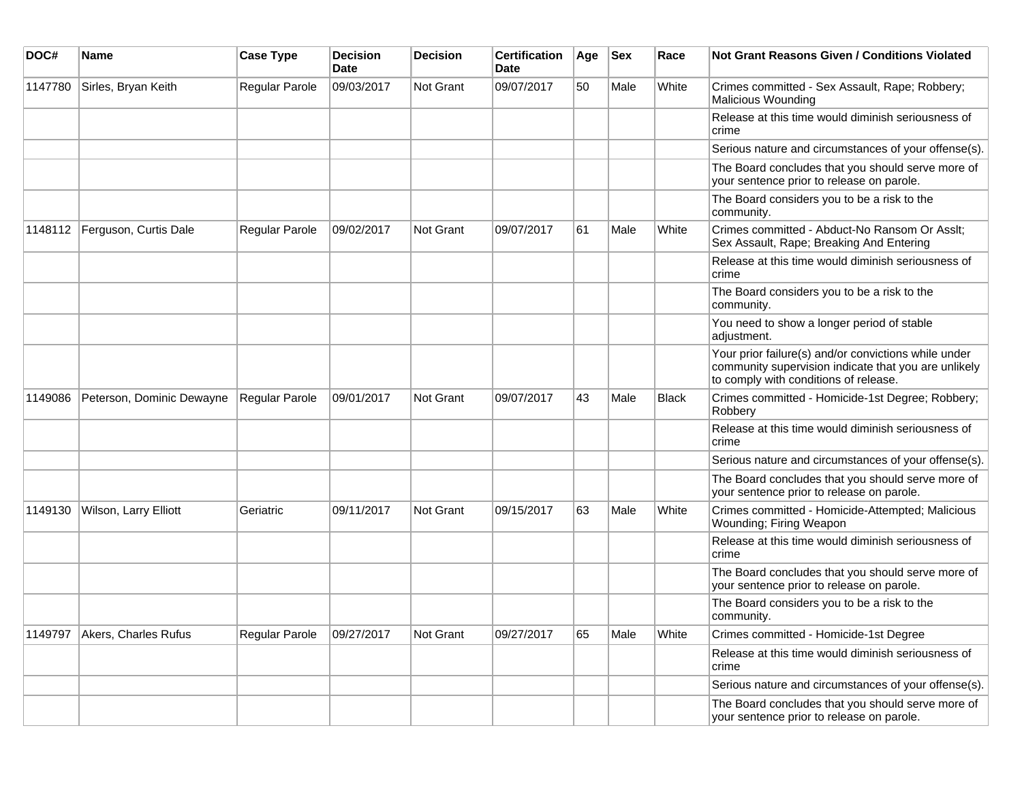| DOC#    | Name                      | <b>Case Type</b>      | <b>Decision</b><br><b>Date</b> | <b>Decision</b> | <b>Certification</b><br>Date | Age | <b>Sex</b> | Race         | Not Grant Reasons Given / Conditions Violated                                                                                                         |
|---------|---------------------------|-----------------------|--------------------------------|-----------------|------------------------------|-----|------------|--------------|-------------------------------------------------------------------------------------------------------------------------------------------------------|
| 1147780 | Sirles, Bryan Keith       | Regular Parole        | 09/03/2017                     | Not Grant       | 09/07/2017                   | 50  | Male       | White        | Crimes committed - Sex Assault, Rape; Robbery;<br><b>Malicious Wounding</b>                                                                           |
|         |                           |                       |                                |                 |                              |     |            |              | Release at this time would diminish seriousness of<br>crime                                                                                           |
|         |                           |                       |                                |                 |                              |     |            |              | Serious nature and circumstances of your offense(s).                                                                                                  |
|         |                           |                       |                                |                 |                              |     |            |              | The Board concludes that you should serve more of<br>your sentence prior to release on parole.                                                        |
|         |                           |                       |                                |                 |                              |     |            |              | The Board considers you to be a risk to the<br>community.                                                                                             |
| 1148112 | Ferguson, Curtis Dale     | Regular Parole        | 09/02/2017                     | Not Grant       | 09/07/2017                   | 61  | Male       | White        | Crimes committed - Abduct-No Ransom Or Asslt;<br>Sex Assault, Rape; Breaking And Entering                                                             |
|         |                           |                       |                                |                 |                              |     |            |              | Release at this time would diminish seriousness of<br>crime                                                                                           |
|         |                           |                       |                                |                 |                              |     |            |              | The Board considers you to be a risk to the<br>community.                                                                                             |
|         |                           |                       |                                |                 |                              |     |            |              | You need to show a longer period of stable<br>adjustment.                                                                                             |
|         |                           |                       |                                |                 |                              |     |            |              | Your prior failure(s) and/or convictions while under<br>community supervision indicate that you are unlikely<br>to comply with conditions of release. |
| 1149086 | Peterson, Dominic Dewayne | <b>Regular Parole</b> | 09/01/2017                     | Not Grant       | 09/07/2017                   | 43  | Male       | <b>Black</b> | Crimes committed - Homicide-1st Degree; Robbery;<br>Robbery                                                                                           |
|         |                           |                       |                                |                 |                              |     |            |              | Release at this time would diminish seriousness of<br>crime                                                                                           |
|         |                           |                       |                                |                 |                              |     |            |              | Serious nature and circumstances of your offense(s).                                                                                                  |
|         |                           |                       |                                |                 |                              |     |            |              | The Board concludes that you should serve more of<br>your sentence prior to release on parole.                                                        |
| 1149130 | Wilson, Larry Elliott     | Geriatric             | 09/11/2017                     | Not Grant       | 09/15/2017                   | 63  | Male       | White        | Crimes committed - Homicide-Attempted; Malicious<br>Wounding; Firing Weapon                                                                           |
|         |                           |                       |                                |                 |                              |     |            |              | Release at this time would diminish seriousness of<br>crime                                                                                           |
|         |                           |                       |                                |                 |                              |     |            |              | The Board concludes that you should serve more of<br>your sentence prior to release on parole.                                                        |
|         |                           |                       |                                |                 |                              |     |            |              | The Board considers you to be a risk to the<br>community.                                                                                             |
| 1149797 | Akers, Charles Rufus      | Regular Parole        | 09/27/2017                     | Not Grant       | 09/27/2017                   | 65  | Male       | White        | Crimes committed - Homicide-1st Degree                                                                                                                |
|         |                           |                       |                                |                 |                              |     |            |              | Release at this time would diminish seriousness of<br>crime                                                                                           |
|         |                           |                       |                                |                 |                              |     |            |              | Serious nature and circumstances of your offense(s).                                                                                                  |
|         |                           |                       |                                |                 |                              |     |            |              | The Board concludes that you should serve more of<br>your sentence prior to release on parole.                                                        |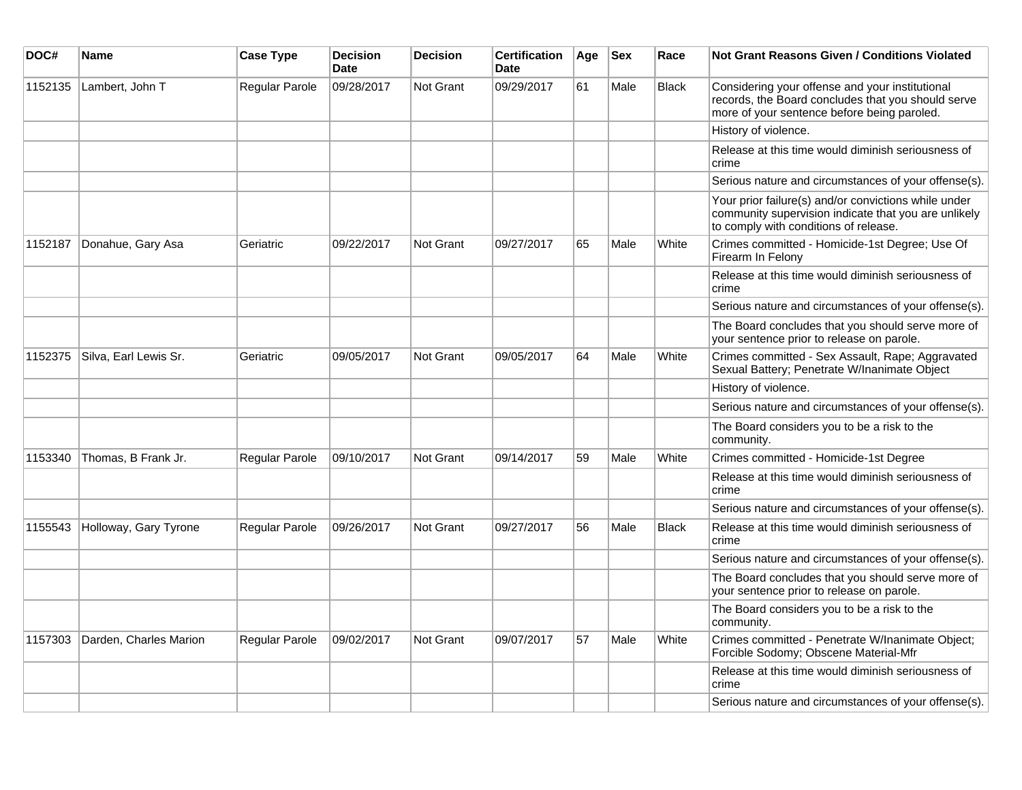| DOC#    | <b>Name</b>            | <b>Case Type</b> | <b>Decision</b><br><b>Date</b> | <b>Decision</b>  | <b>Certification</b><br><b>Date</b> | Age | <b>Sex</b> | Race         | Not Grant Reasons Given / Conditions Violated                                                                                                         |
|---------|------------------------|------------------|--------------------------------|------------------|-------------------------------------|-----|------------|--------------|-------------------------------------------------------------------------------------------------------------------------------------------------------|
| 1152135 | Lambert, John T        | Regular Parole   | 09/28/2017                     | Not Grant        | 09/29/2017                          | 61  | Male       | <b>Black</b> | Considering your offense and your institutional<br>records, the Board concludes that you should serve<br>more of your sentence before being paroled.  |
|         |                        |                  |                                |                  |                                     |     |            |              | History of violence.                                                                                                                                  |
|         |                        |                  |                                |                  |                                     |     |            |              | Release at this time would diminish seriousness of<br>crime                                                                                           |
|         |                        |                  |                                |                  |                                     |     |            |              | Serious nature and circumstances of your offense(s).                                                                                                  |
|         |                        |                  |                                |                  |                                     |     |            |              | Your prior failure(s) and/or convictions while under<br>community supervision indicate that you are unlikely<br>to comply with conditions of release. |
| 1152187 | Donahue, Gary Asa      | Geriatric        | 09/22/2017                     | <b>Not Grant</b> | 09/27/2017                          | 65  | Male       | White        | Crimes committed - Homicide-1st Degree; Use Of<br>Firearm In Felony                                                                                   |
|         |                        |                  |                                |                  |                                     |     |            |              | Release at this time would diminish seriousness of<br>crime                                                                                           |
|         |                        |                  |                                |                  |                                     |     |            |              | Serious nature and circumstances of your offense(s).                                                                                                  |
|         |                        |                  |                                |                  |                                     |     |            |              | The Board concludes that you should serve more of<br>your sentence prior to release on parole.                                                        |
| 1152375 | Silva, Earl Lewis Sr.  | Geriatric        | 09/05/2017                     | Not Grant        | 09/05/2017                          | 64  | Male       | White        | Crimes committed - Sex Assault, Rape; Aggravated<br>Sexual Battery; Penetrate W/Inanimate Object                                                      |
|         |                        |                  |                                |                  |                                     |     |            |              | History of violence.                                                                                                                                  |
|         |                        |                  |                                |                  |                                     |     |            |              | Serious nature and circumstances of your offense(s).                                                                                                  |
|         |                        |                  |                                |                  |                                     |     |            |              | The Board considers you to be a risk to the<br>community.                                                                                             |
| 1153340 | Thomas, B Frank Jr.    | Regular Parole   | 09/10/2017                     | <b>Not Grant</b> | 09/14/2017                          | 59  | Male       | White        | Crimes committed - Homicide-1st Degree                                                                                                                |
|         |                        |                  |                                |                  |                                     |     |            |              | Release at this time would diminish seriousness of<br>crime                                                                                           |
|         |                        |                  |                                |                  |                                     |     |            |              | Serious nature and circumstances of your offense(s).                                                                                                  |
| 1155543 | Holloway, Gary Tyrone  | Regular Parole   | 09/26/2017                     | <b>Not Grant</b> | 09/27/2017                          | 56  | Male       | <b>Black</b> | Release at this time would diminish seriousness of<br>crime                                                                                           |
|         |                        |                  |                                |                  |                                     |     |            |              | Serious nature and circumstances of your offense(s).                                                                                                  |
|         |                        |                  |                                |                  |                                     |     |            |              | The Board concludes that you should serve more of<br>your sentence prior to release on parole.                                                        |
|         |                        |                  |                                |                  |                                     |     |            |              | The Board considers you to be a risk to the<br>community.                                                                                             |
| 1157303 | Darden, Charles Marion | Regular Parole   | 09/02/2017                     | Not Grant        | 09/07/2017                          | 57  | Male       | White        | Crimes committed - Penetrate W/Inanimate Object;<br>Forcible Sodomy; Obscene Material-Mfr                                                             |
|         |                        |                  |                                |                  |                                     |     |            |              | Release at this time would diminish seriousness of<br>crime                                                                                           |
|         |                        |                  |                                |                  |                                     |     |            |              | Serious nature and circumstances of your offense(s).                                                                                                  |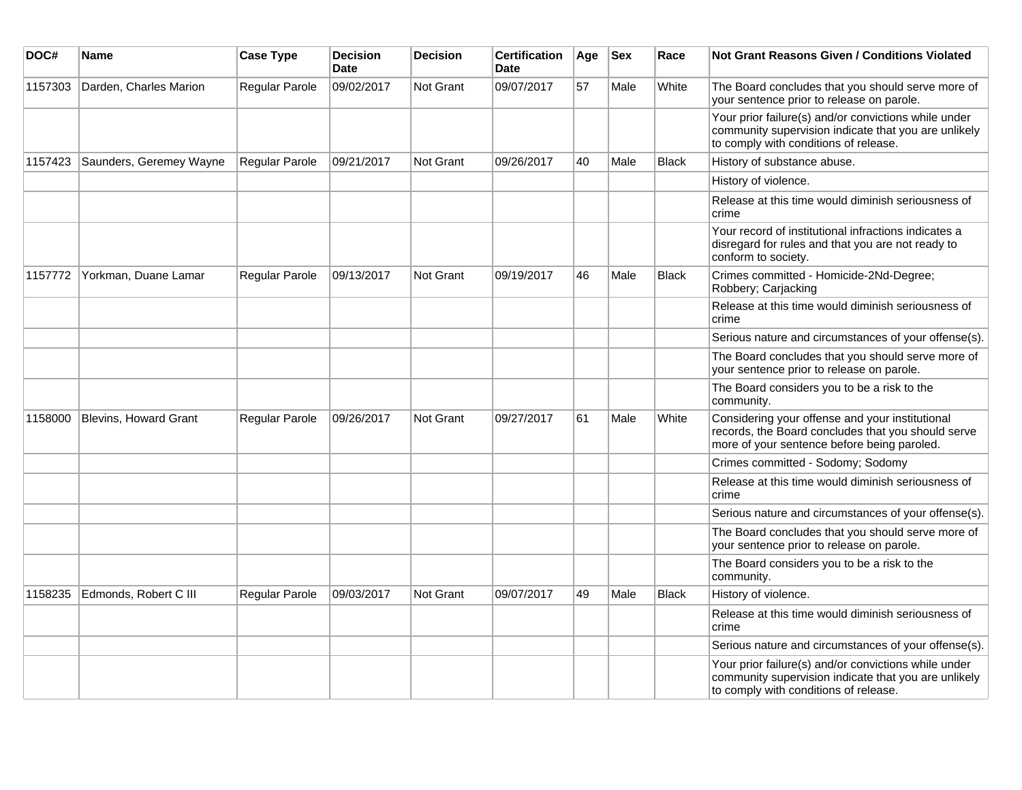| DOC#    | <b>Name</b>                  | <b>Case Type</b> | <b>Decision</b><br><b>Date</b> | <b>Decision</b>  | <b>Certification</b><br><b>Date</b> | Age | <b>Sex</b> | Race         | <b>Not Grant Reasons Given / Conditions Violated</b>                                                                                                  |
|---------|------------------------------|------------------|--------------------------------|------------------|-------------------------------------|-----|------------|--------------|-------------------------------------------------------------------------------------------------------------------------------------------------------|
| 1157303 | Darden, Charles Marion       | Regular Parole   | 09/02/2017                     | Not Grant        | 09/07/2017                          | 57  | Male       | White        | The Board concludes that you should serve more of<br>your sentence prior to release on parole.                                                        |
|         |                              |                  |                                |                  |                                     |     |            |              | Your prior failure(s) and/or convictions while under<br>community supervision indicate that you are unlikely<br>to comply with conditions of release. |
| 1157423 | Saunders, Geremey Wayne      | Regular Parole   | 09/21/2017                     | <b>Not Grant</b> | 09/26/2017                          | 40  | Male       | <b>Black</b> | History of substance abuse.                                                                                                                           |
|         |                              |                  |                                |                  |                                     |     |            |              | History of violence.                                                                                                                                  |
|         |                              |                  |                                |                  |                                     |     |            |              | Release at this time would diminish seriousness of<br>crime                                                                                           |
|         |                              |                  |                                |                  |                                     |     |            |              | Your record of institutional infractions indicates a<br>disregard for rules and that you are not ready to<br>conform to society.                      |
| 1157772 | Yorkman, Duane Lamar         | Regular Parole   | 09/13/2017                     | <b>Not Grant</b> | 09/19/2017                          | 46  | Male       | <b>Black</b> | Crimes committed - Homicide-2Nd-Degree;<br>Robbery; Carjacking                                                                                        |
|         |                              |                  |                                |                  |                                     |     |            |              | Release at this time would diminish seriousness of<br>crime                                                                                           |
|         |                              |                  |                                |                  |                                     |     |            |              | Serious nature and circumstances of your offense(s).                                                                                                  |
|         |                              |                  |                                |                  |                                     |     |            |              | The Board concludes that you should serve more of<br>your sentence prior to release on parole.                                                        |
|         |                              |                  |                                |                  |                                     |     |            |              | The Board considers you to be a risk to the<br>community.                                                                                             |
| 1158000 | <b>Blevins, Howard Grant</b> | Regular Parole   | 09/26/2017                     | Not Grant        | 09/27/2017                          | 61  | Male       | White        | Considering your offense and your institutional<br>records, the Board concludes that you should serve<br>more of your sentence before being paroled.  |
|         |                              |                  |                                |                  |                                     |     |            |              | Crimes committed - Sodomy; Sodomy                                                                                                                     |
|         |                              |                  |                                |                  |                                     |     |            |              | Release at this time would diminish seriousness of<br>crime                                                                                           |
|         |                              |                  |                                |                  |                                     |     |            |              | Serious nature and circumstances of your offense(s).                                                                                                  |
|         |                              |                  |                                |                  |                                     |     |            |              | The Board concludes that you should serve more of<br>your sentence prior to release on parole.                                                        |
|         |                              |                  |                                |                  |                                     |     |            |              | The Board considers you to be a risk to the<br>community.                                                                                             |
| 1158235 | Edmonds, Robert C III        | Regular Parole   | 09/03/2017                     | <b>Not Grant</b> | 09/07/2017                          | 49  | Male       | <b>Black</b> | History of violence.                                                                                                                                  |
|         |                              |                  |                                |                  |                                     |     |            |              | Release at this time would diminish seriousness of<br>crime                                                                                           |
|         |                              |                  |                                |                  |                                     |     |            |              | Serious nature and circumstances of your offense(s).                                                                                                  |
|         |                              |                  |                                |                  |                                     |     |            |              | Your prior failure(s) and/or convictions while under<br>community supervision indicate that you are unlikely<br>to comply with conditions of release. |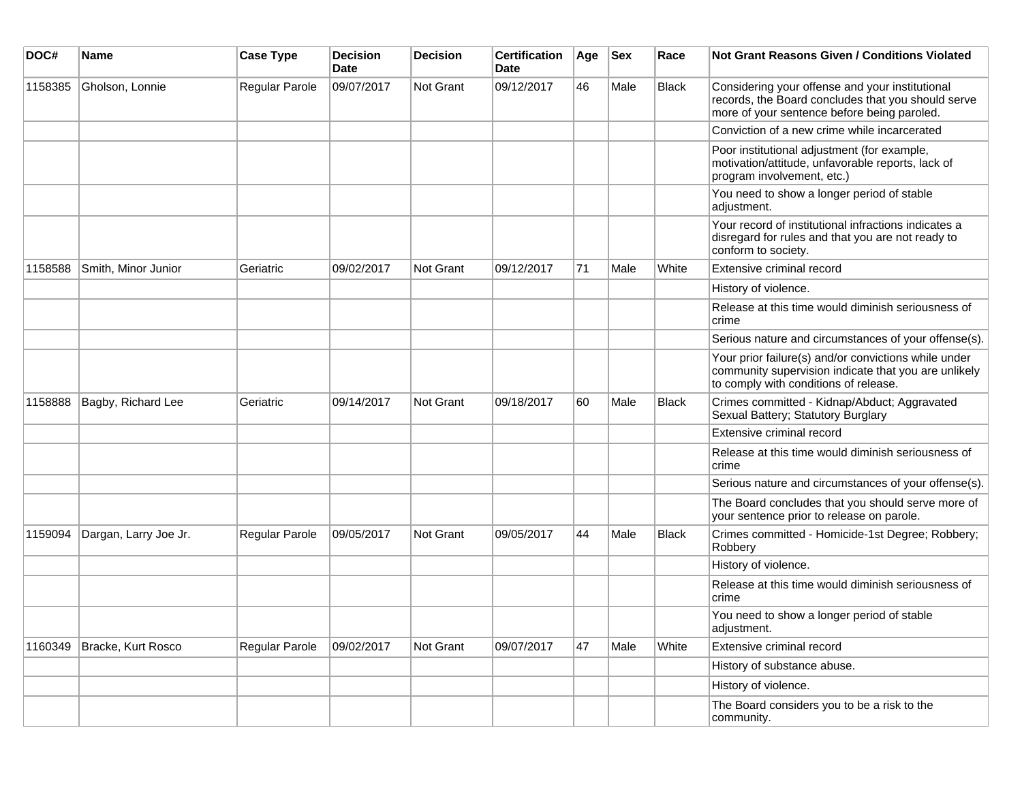| DOC#    | <b>Name</b>           | <b>Case Type</b> | <b>Decision</b><br><b>Date</b> | <b>Decision</b>  | <b>Certification</b><br>Date | Age | <b>Sex</b> | Race         | <b>Not Grant Reasons Given / Conditions Violated</b>                                                                                                  |
|---------|-----------------------|------------------|--------------------------------|------------------|------------------------------|-----|------------|--------------|-------------------------------------------------------------------------------------------------------------------------------------------------------|
| 1158385 | Gholson, Lonnie       | Regular Parole   | 09/07/2017                     | Not Grant        | 09/12/2017                   | 46  | Male       | Black        | Considering your offense and your institutional<br>records, the Board concludes that you should serve<br>more of your sentence before being paroled.  |
|         |                       |                  |                                |                  |                              |     |            |              | Conviction of a new crime while incarcerated                                                                                                          |
|         |                       |                  |                                |                  |                              |     |            |              | Poor institutional adjustment (for example,<br>motivation/attitude, unfavorable reports, lack of<br>program involvement, etc.)                        |
|         |                       |                  |                                |                  |                              |     |            |              | You need to show a longer period of stable<br>adjustment.                                                                                             |
|         |                       |                  |                                |                  |                              |     |            |              | Your record of institutional infractions indicates a<br>disregard for rules and that you are not ready to<br>conform to society.                      |
| 1158588 | Smith, Minor Junior   | Geriatric        | 09/02/2017                     | <b>Not Grant</b> | 09/12/2017                   | 71  | Male       | White        | Extensive criminal record                                                                                                                             |
|         |                       |                  |                                |                  |                              |     |            |              | History of violence.                                                                                                                                  |
|         |                       |                  |                                |                  |                              |     |            |              | Release at this time would diminish seriousness of<br>crime                                                                                           |
|         |                       |                  |                                |                  |                              |     |            |              | Serious nature and circumstances of your offense(s).                                                                                                  |
|         |                       |                  |                                |                  |                              |     |            |              | Your prior failure(s) and/or convictions while under<br>community supervision indicate that you are unlikely<br>to comply with conditions of release. |
| 1158888 | Bagby, Richard Lee    | Geriatric        | 09/14/2017                     | <b>Not Grant</b> | 09/18/2017                   | 60  | Male       | <b>Black</b> | Crimes committed - Kidnap/Abduct; Aggravated<br>Sexual Battery; Statutory Burglary                                                                    |
|         |                       |                  |                                |                  |                              |     |            |              | Extensive criminal record                                                                                                                             |
|         |                       |                  |                                |                  |                              |     |            |              | Release at this time would diminish seriousness of<br>crime                                                                                           |
|         |                       |                  |                                |                  |                              |     |            |              | Serious nature and circumstances of your offense(s).                                                                                                  |
|         |                       |                  |                                |                  |                              |     |            |              | The Board concludes that you should serve more of<br>your sentence prior to release on parole.                                                        |
| 1159094 | Dargan, Larry Joe Jr. | Regular Parole   | 09/05/2017                     | Not Grant        | 09/05/2017                   | 44  | Male       | Black        | Crimes committed - Homicide-1st Degree; Robbery;<br>Robbery                                                                                           |
|         |                       |                  |                                |                  |                              |     |            |              | History of violence.                                                                                                                                  |
|         |                       |                  |                                |                  |                              |     |            |              | Release at this time would diminish seriousness of<br>crime                                                                                           |
|         |                       |                  |                                |                  |                              |     |            |              | You need to show a longer period of stable<br>adjustment.                                                                                             |
| 1160349 | Bracke, Kurt Rosco    | Regular Parole   | 09/02/2017                     | Not Grant        | 09/07/2017                   | 47  | Male       | White        | Extensive criminal record                                                                                                                             |
|         |                       |                  |                                |                  |                              |     |            |              | History of substance abuse.                                                                                                                           |
|         |                       |                  |                                |                  |                              |     |            |              | History of violence.                                                                                                                                  |
|         |                       |                  |                                |                  |                              |     |            |              | The Board considers you to be a risk to the<br>community.                                                                                             |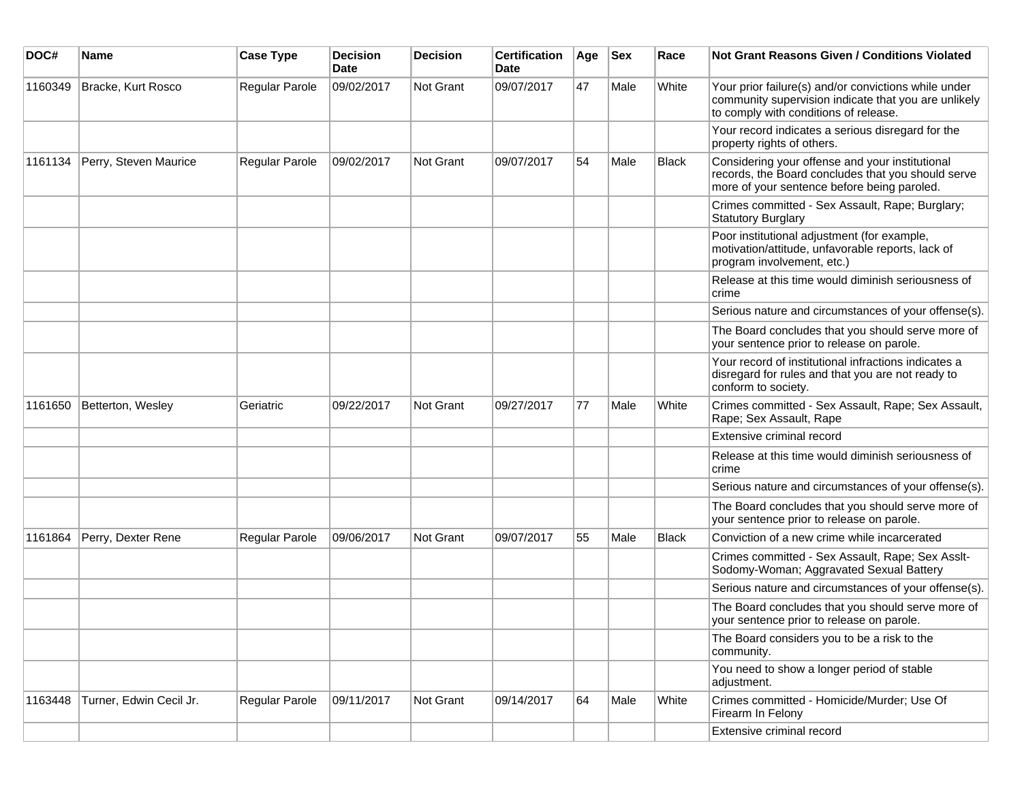| DOC#    | Name                    | <b>Case Type</b> | <b>Decision</b><br><b>Date</b> | <b>Decision</b> | <b>Certification</b><br>Date | Age | <b>Sex</b> | Race  | <b>Not Grant Reasons Given / Conditions Violated</b>                                                                                                  |
|---------|-------------------------|------------------|--------------------------------|-----------------|------------------------------|-----|------------|-------|-------------------------------------------------------------------------------------------------------------------------------------------------------|
| 1160349 | Bracke, Kurt Rosco      | Regular Parole   | 09/02/2017                     | Not Grant       | 09/07/2017                   | 47  | Male       | White | Your prior failure(s) and/or convictions while under<br>community supervision indicate that you are unlikely<br>to comply with conditions of release. |
|         |                         |                  |                                |                 |                              |     |            |       | Your record indicates a serious disregard for the<br>property rights of others.                                                                       |
| 1161134 | Perry, Steven Maurice   | Regular Parole   | 09/02/2017                     | Not Grant       | 09/07/2017                   | 54  | Male       | Black | Considering your offense and your institutional<br>records, the Board concludes that you should serve<br>more of your sentence before being paroled.  |
|         |                         |                  |                                |                 |                              |     |            |       | Crimes committed - Sex Assault, Rape; Burglary;<br><b>Statutory Burglary</b>                                                                          |
|         |                         |                  |                                |                 |                              |     |            |       | Poor institutional adjustment (for example,<br>motivation/attitude, unfavorable reports, lack of<br>program involvement, etc.)                        |
|         |                         |                  |                                |                 |                              |     |            |       | Release at this time would diminish seriousness of<br>crime                                                                                           |
|         |                         |                  |                                |                 |                              |     |            |       | Serious nature and circumstances of your offense(s).                                                                                                  |
|         |                         |                  |                                |                 |                              |     |            |       | The Board concludes that you should serve more of<br>your sentence prior to release on parole.                                                        |
|         |                         |                  |                                |                 |                              |     |            |       | Your record of institutional infractions indicates a<br>disregard for rules and that you are not ready to<br>conform to society.                      |
| 1161650 | Betterton, Wesley       | Geriatric        | 09/22/2017                     | Not Grant       | 09/27/2017                   | 77  | Male       | White | Crimes committed - Sex Assault, Rape; Sex Assault,<br>Rape; Sex Assault, Rape                                                                         |
|         |                         |                  |                                |                 |                              |     |            |       | Extensive criminal record                                                                                                                             |
|         |                         |                  |                                |                 |                              |     |            |       | Release at this time would diminish seriousness of<br>crime                                                                                           |
|         |                         |                  |                                |                 |                              |     |            |       | Serious nature and circumstances of your offense(s).                                                                                                  |
|         |                         |                  |                                |                 |                              |     |            |       | The Board concludes that you should serve more of<br>your sentence prior to release on parole.                                                        |
| 1161864 | Perry, Dexter Rene      | Regular Parole   | 09/06/2017                     | Not Grant       | 09/07/2017                   | 55  | Male       | Black | Conviction of a new crime while incarcerated                                                                                                          |
|         |                         |                  |                                |                 |                              |     |            |       | Crimes committed - Sex Assault, Rape; Sex Asslt-<br>Sodomy-Woman; Aggravated Sexual Battery                                                           |
|         |                         |                  |                                |                 |                              |     |            |       | Serious nature and circumstances of your offense(s).                                                                                                  |
|         |                         |                  |                                |                 |                              |     |            |       | The Board concludes that you should serve more of<br>your sentence prior to release on parole.                                                        |
|         |                         |                  |                                |                 |                              |     |            |       | The Board considers you to be a risk to the<br>community.                                                                                             |
|         |                         |                  |                                |                 |                              |     |            |       | You need to show a longer period of stable<br>adjustment.                                                                                             |
| 1163448 | Turner, Edwin Cecil Jr. | Regular Parole   | 09/11/2017                     | Not Grant       | 09/14/2017                   | 64  | Male       | White | Crimes committed - Homicide/Murder; Use Of<br>Firearm In Felony                                                                                       |
|         |                         |                  |                                |                 |                              |     |            |       | Extensive criminal record                                                                                                                             |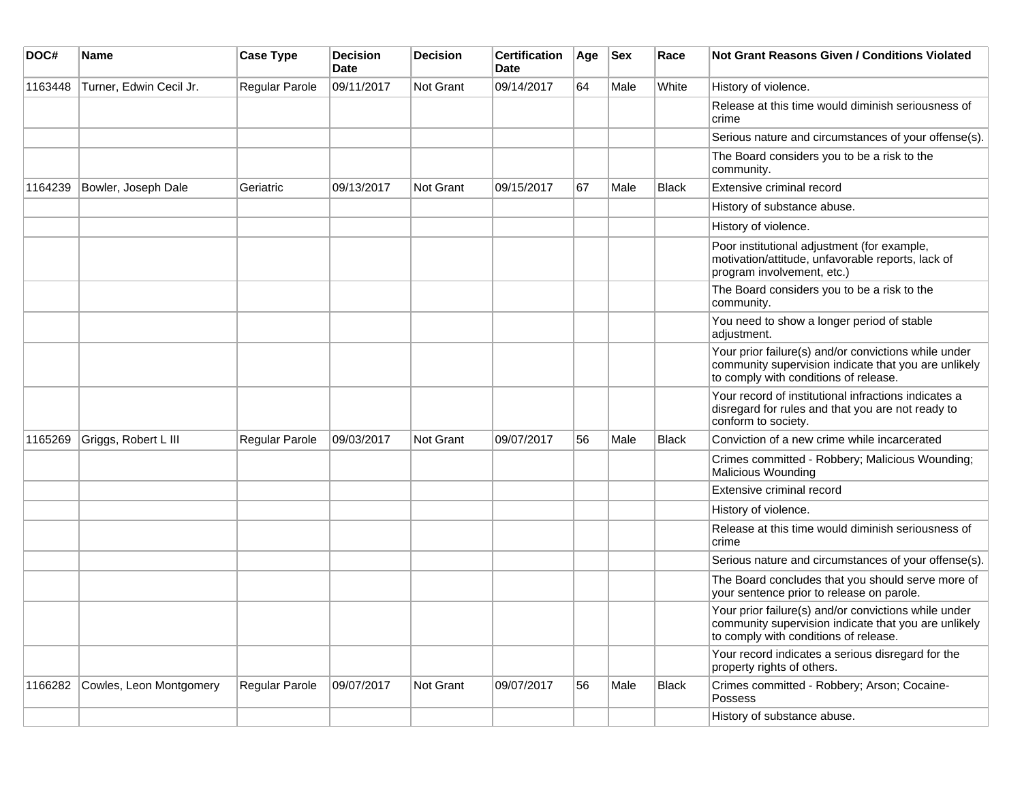| DOC#    | <b>Name</b>             | <b>Case Type</b>      | <b>Decision</b><br><b>Date</b> | <b>Decision</b> | <b>Certification</b><br>Date | Age | <b>Sex</b> | Race         | <b>Not Grant Reasons Given / Conditions Violated</b>                                                                                                  |
|---------|-------------------------|-----------------------|--------------------------------|-----------------|------------------------------|-----|------------|--------------|-------------------------------------------------------------------------------------------------------------------------------------------------------|
| 1163448 | Turner, Edwin Cecil Jr. | Regular Parole        | 09/11/2017                     | Not Grant       | 09/14/2017                   | 64  | Male       | White        | History of violence.                                                                                                                                  |
|         |                         |                       |                                |                 |                              |     |            |              | Release at this time would diminish seriousness of<br>crime                                                                                           |
|         |                         |                       |                                |                 |                              |     |            |              | Serious nature and circumstances of your offense(s).                                                                                                  |
|         |                         |                       |                                |                 |                              |     |            |              | The Board considers you to be a risk to the<br>community.                                                                                             |
| 1164239 | Bowler, Joseph Dale     | Geriatric             | 09/13/2017                     | Not Grant       | 09/15/2017                   | 67  | Male       | Black        | Extensive criminal record                                                                                                                             |
|         |                         |                       |                                |                 |                              |     |            |              | History of substance abuse.                                                                                                                           |
|         |                         |                       |                                |                 |                              |     |            |              | History of violence.                                                                                                                                  |
|         |                         |                       |                                |                 |                              |     |            |              | Poor institutional adjustment (for example,<br>motivation/attitude, unfavorable reports, lack of<br>program involvement, etc.)                        |
|         |                         |                       |                                |                 |                              |     |            |              | The Board considers you to be a risk to the<br>community.                                                                                             |
|         |                         |                       |                                |                 |                              |     |            |              | You need to show a longer period of stable<br>adjustment.                                                                                             |
|         |                         |                       |                                |                 |                              |     |            |              | Your prior failure(s) and/or convictions while under<br>community supervision indicate that you are unlikely<br>to comply with conditions of release. |
|         |                         |                       |                                |                 |                              |     |            |              | Your record of institutional infractions indicates a<br>disregard for rules and that you are not ready to<br>conform to society.                      |
| 1165269 | Griggs, Robert L III    | <b>Regular Parole</b> | 09/03/2017                     | Not Grant       | 09/07/2017                   | 56  | Male       | <b>Black</b> | Conviction of a new crime while incarcerated                                                                                                          |
|         |                         |                       |                                |                 |                              |     |            |              | Crimes committed - Robbery; Malicious Wounding;<br><b>Malicious Wounding</b>                                                                          |
|         |                         |                       |                                |                 |                              |     |            |              | Extensive criminal record                                                                                                                             |
|         |                         |                       |                                |                 |                              |     |            |              | History of violence.                                                                                                                                  |
|         |                         |                       |                                |                 |                              |     |            |              | Release at this time would diminish seriousness of<br>crime                                                                                           |
|         |                         |                       |                                |                 |                              |     |            |              | Serious nature and circumstances of your offense(s).                                                                                                  |
|         |                         |                       |                                |                 |                              |     |            |              | The Board concludes that you should serve more of<br>your sentence prior to release on parole.                                                        |
|         |                         |                       |                                |                 |                              |     |            |              | Your prior failure(s) and/or convictions while under<br>community supervision indicate that you are unlikely<br>to comply with conditions of release. |
|         |                         |                       |                                |                 |                              |     |            |              | Your record indicates a serious disregard for the<br>property rights of others.                                                                       |
| 1166282 | Cowles, Leon Montgomery | Regular Parole        | 09/07/2017                     | Not Grant       | 09/07/2017                   | 56  | Male       | Black        | Crimes committed - Robbery; Arson; Cocaine-<br>Possess                                                                                                |
|         |                         |                       |                                |                 |                              |     |            |              | History of substance abuse.                                                                                                                           |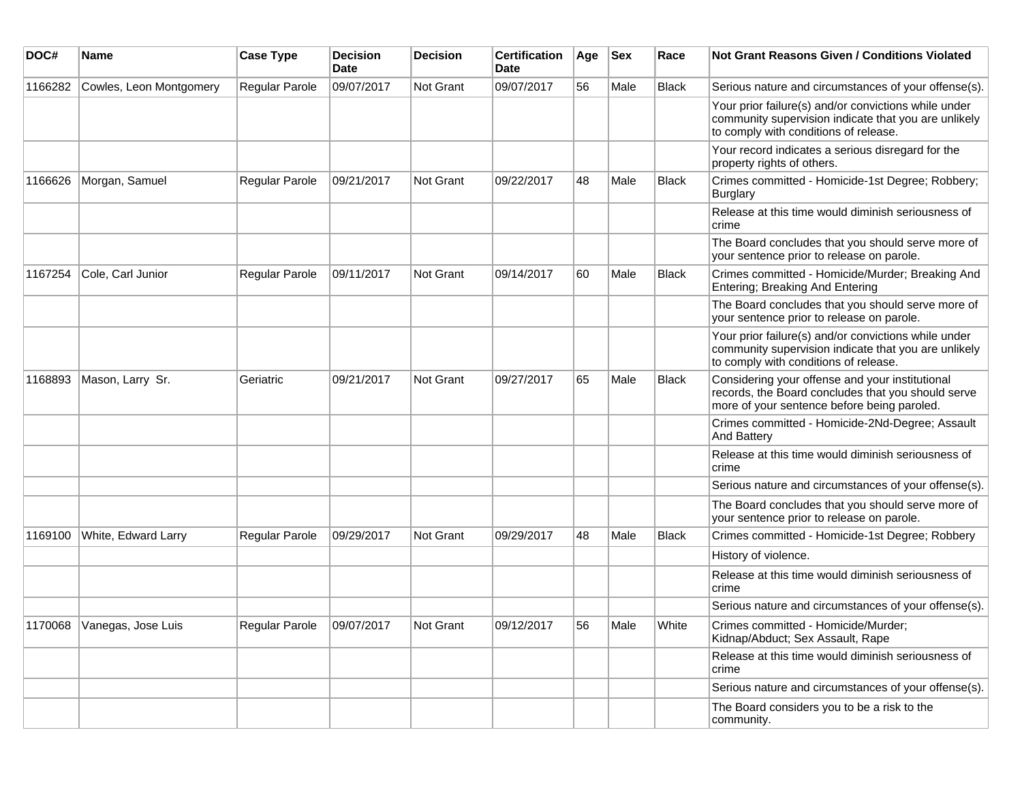| DOC#    | <b>Name</b>                | <b>Case Type</b>          | <b>Decision</b><br>Date | Decision  | <b>Certification</b><br>Date | Age | <b>Sex</b> | Race         | Not Grant Reasons Given / Conditions Violated                                                                                                         |
|---------|----------------------------|---------------------------|-------------------------|-----------|------------------------------|-----|------------|--------------|-------------------------------------------------------------------------------------------------------------------------------------------------------|
| 1166282 | Cowles, Leon Montgomery    | Regular Parole            | 09/07/2017              | Not Grant | 09/07/2017                   | 56  | Male       | <b>Black</b> | Serious nature and circumstances of your offense(s).                                                                                                  |
|         |                            |                           |                         |           |                              |     |            |              | Your prior failure(s) and/or convictions while under<br>community supervision indicate that you are unlikely<br>to comply with conditions of release. |
|         |                            |                           |                         |           |                              |     |            |              | Your record indicates a serious disregard for the<br>property rights of others.                                                                       |
| 1166626 | Morgan, Samuel             | <b>Regular Parole</b>     | 09/21/2017              | Not Grant | 09/22/2017                   | 48  | Male       | <b>Black</b> | Crimes committed - Homicide-1st Degree; Robbery;<br>Burglary                                                                                          |
|         |                            |                           |                         |           |                              |     |            |              | Release at this time would diminish seriousness of<br>crime                                                                                           |
|         |                            |                           |                         |           |                              |     |            |              | The Board concludes that you should serve more of<br>your sentence prior to release on parole.                                                        |
| 1167254 | Cole, Carl Junior          | Regular Parole            | 09/11/2017              | Not Grant | 09/14/2017                   | 60  | Male       | <b>Black</b> | Crimes committed - Homicide/Murder; Breaking And<br>Entering; Breaking And Entering                                                                   |
|         |                            |                           |                         |           |                              |     |            |              | The Board concludes that you should serve more of<br>your sentence prior to release on parole.                                                        |
|         |                            |                           |                         |           |                              |     |            |              | Your prior failure(s) and/or convictions while under<br>community supervision indicate that you are unlikely<br>to comply with conditions of release. |
| 1168893 | Mason, Larry Sr.           | Geriatric                 | 09/21/2017              | Not Grant | 09/27/2017                   | 65  | Male       | <b>Black</b> | Considering your offense and your institutional<br>records, the Board concludes that you should serve<br>more of your sentence before being paroled.  |
|         |                            |                           |                         |           |                              |     |            |              | Crimes committed - Homicide-2Nd-Degree; Assault<br>And Battery                                                                                        |
|         |                            |                           |                         |           |                              |     |            |              | Release at this time would diminish seriousness of<br>crime                                                                                           |
|         |                            |                           |                         |           |                              |     |            |              | Serious nature and circumstances of your offense(s).                                                                                                  |
|         |                            |                           |                         |           |                              |     |            |              | The Board concludes that you should serve more of<br>your sentence prior to release on parole.                                                        |
| 1169100 | White, Edward Larry        | <b>Regular Parole</b>     | 09/29/2017              | Not Grant | 09/29/2017                   | 48  | Male       | <b>Black</b> | Crimes committed - Homicide-1st Degree; Robbery                                                                                                       |
|         |                            |                           |                         |           |                              |     |            |              | History of violence.                                                                                                                                  |
|         |                            |                           |                         |           |                              |     |            |              | Release at this time would diminish seriousness of<br>crime                                                                                           |
|         |                            |                           |                         |           |                              |     |            |              | Serious nature and circumstances of your offense(s).                                                                                                  |
|         | 1170068 Vanegas, Jose Luis | Regular Parole 09/07/2017 |                         | Not Grant | 09/12/2017                   | 56  | Male       | White        | Crimes committed - Homicide/Murder;<br>Kidnap/Abduct; Sex Assault, Rape                                                                               |
|         |                            |                           |                         |           |                              |     |            |              | Release at this time would diminish seriousness of<br>crime                                                                                           |
|         |                            |                           |                         |           |                              |     |            |              | Serious nature and circumstances of your offense(s).                                                                                                  |
|         |                            |                           |                         |           |                              |     |            |              | The Board considers you to be a risk to the<br>community.                                                                                             |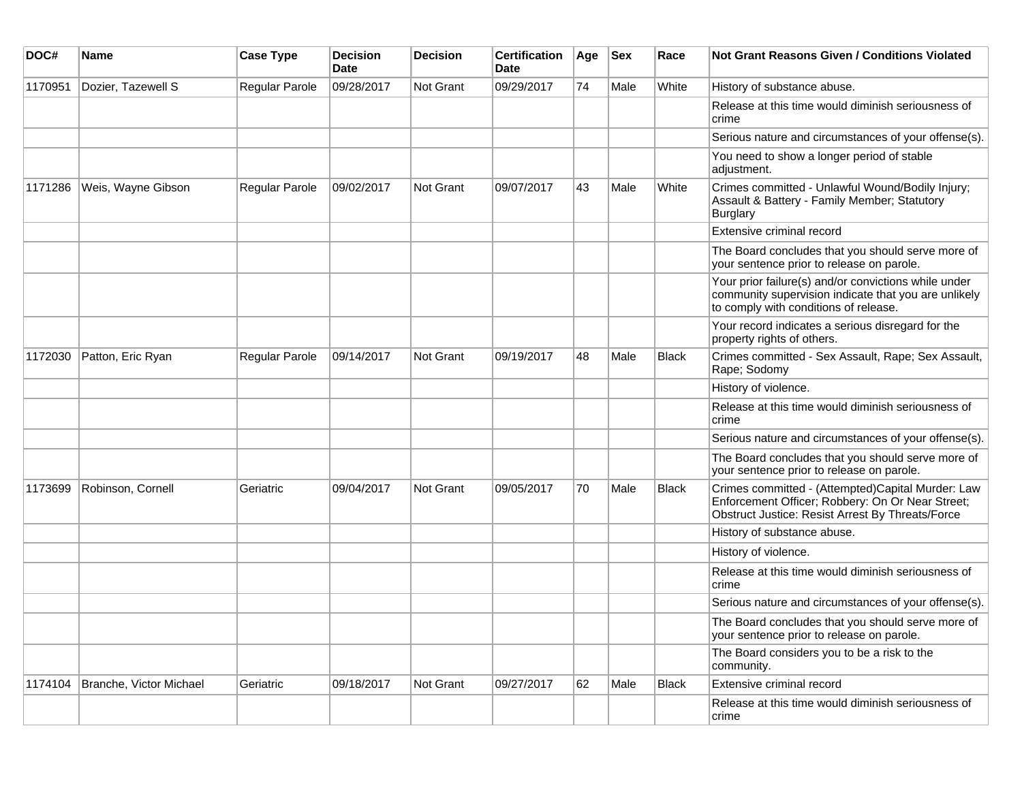| DOC#    | Name                    | <b>Case Type</b>      | <b>Decision</b><br>Date | <b>Decision</b> | <b>Certification</b><br>Date | Age | $ $ Sex | Race         | <b>Not Grant Reasons Given / Conditions Violated</b>                                                                                                      |
|---------|-------------------------|-----------------------|-------------------------|-----------------|------------------------------|-----|---------|--------------|-----------------------------------------------------------------------------------------------------------------------------------------------------------|
| 1170951 | Dozier, Tazewell S      | Regular Parole        | 09/28/2017              | Not Grant       | 09/29/2017                   | 74  | Male    | White        | History of substance abuse.                                                                                                                               |
|         |                         |                       |                         |                 |                              |     |         |              | Release at this time would diminish seriousness of<br>crime                                                                                               |
|         |                         |                       |                         |                 |                              |     |         |              | Serious nature and circumstances of your offense(s).                                                                                                      |
|         |                         |                       |                         |                 |                              |     |         |              | You need to show a longer period of stable<br>adjustment.                                                                                                 |
| 1171286 | Weis, Wayne Gibson      | <b>Regular Parole</b> | 09/02/2017              | Not Grant       | 09/07/2017                   | 43  | Male    | White        | Crimes committed - Unlawful Wound/Bodily Injury;<br>Assault & Battery - Family Member; Statutory<br>Burglary                                              |
|         |                         |                       |                         |                 |                              |     |         |              | Extensive criminal record                                                                                                                                 |
|         |                         |                       |                         |                 |                              |     |         |              | The Board concludes that you should serve more of<br>your sentence prior to release on parole.                                                            |
|         |                         |                       |                         |                 |                              |     |         |              | Your prior failure(s) and/or convictions while under<br>community supervision indicate that you are unlikely<br>to comply with conditions of release.     |
|         |                         |                       |                         |                 |                              |     |         |              | Your record indicates a serious disregard for the<br>property rights of others.                                                                           |
| 1172030 | Patton, Eric Ryan       | Regular Parole        | 09/14/2017              | Not Grant       | 09/19/2017                   | 48  | Male    | <b>Black</b> | Crimes committed - Sex Assault, Rape; Sex Assault,<br>Rape; Sodomy                                                                                        |
|         |                         |                       |                         |                 |                              |     |         |              | History of violence.                                                                                                                                      |
|         |                         |                       |                         |                 |                              |     |         |              | Release at this time would diminish seriousness of<br>crime                                                                                               |
|         |                         |                       |                         |                 |                              |     |         |              | Serious nature and circumstances of your offense(s).                                                                                                      |
|         |                         |                       |                         |                 |                              |     |         |              | The Board concludes that you should serve more of<br>your sentence prior to release on parole.                                                            |
| 1173699 | Robinson, Cornell       | Geriatric             | 09/04/2017              | Not Grant       | 09/05/2017                   | 70  | Male    | <b>Black</b> | Crimes committed - (Attempted)Capital Murder: Law<br>Enforcement Officer; Robbery: On Or Near Street;<br>Obstruct Justice: Resist Arrest By Threats/Force |
|         |                         |                       |                         |                 |                              |     |         |              | History of substance abuse.                                                                                                                               |
|         |                         |                       |                         |                 |                              |     |         |              | History of violence.                                                                                                                                      |
|         |                         |                       |                         |                 |                              |     |         |              | Release at this time would diminish seriousness of<br>crime                                                                                               |
|         |                         |                       |                         |                 |                              |     |         |              | Serious nature and circumstances of your offense(s).                                                                                                      |
|         |                         |                       |                         |                 |                              |     |         |              | The Board concludes that you should serve more of<br>your sentence prior to release on parole.                                                            |
|         |                         |                       |                         |                 |                              |     |         |              | The Board considers you to be a risk to the<br>community.                                                                                                 |
| 1174104 | Branche, Victor Michael | Geriatric             | 09/18/2017              | Not Grant       | 09/27/2017                   | 62  | Male    | Black        | Extensive criminal record                                                                                                                                 |
|         |                         |                       |                         |                 |                              |     |         |              | Release at this time would diminish seriousness of<br>crime                                                                                               |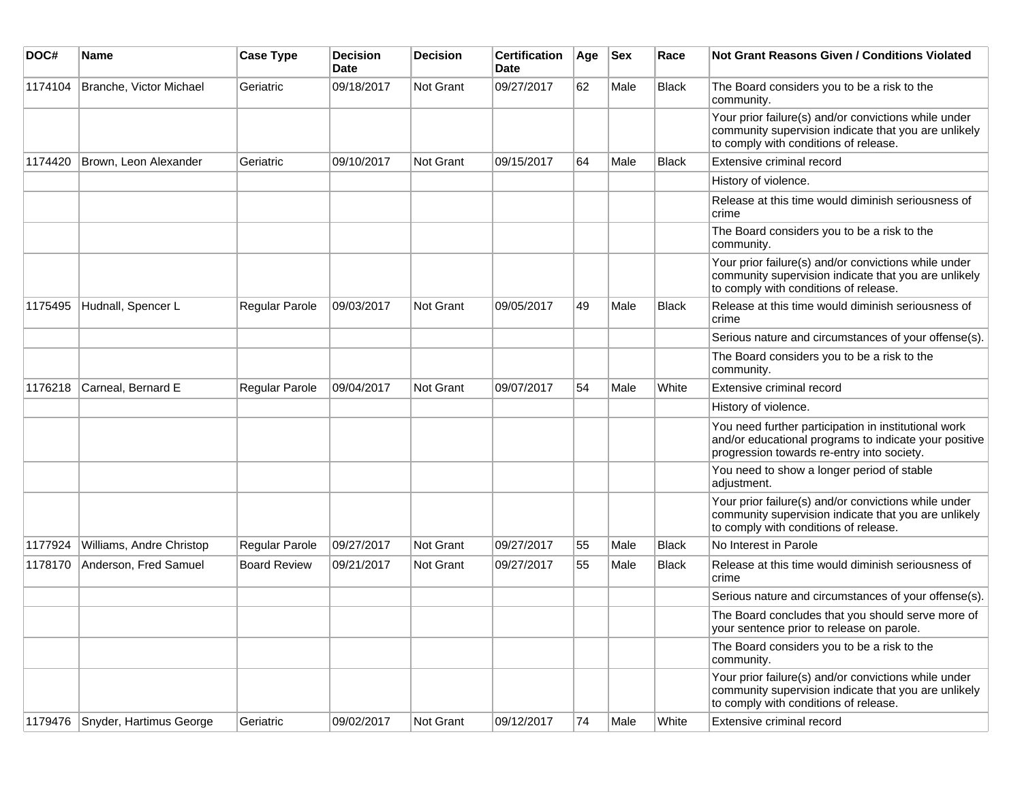| DOC#    | <b>Name</b>              | <b>Case Type</b>    | Decision<br><b>Date</b> | <b>Decision</b>  | <b>Certification</b><br>Date | Age | <b>Sex</b> | Race         | <b>Not Grant Reasons Given / Conditions Violated</b>                                                                                                        |
|---------|--------------------------|---------------------|-------------------------|------------------|------------------------------|-----|------------|--------------|-------------------------------------------------------------------------------------------------------------------------------------------------------------|
| 1174104 | Branche, Victor Michael  | Geriatric           | 09/18/2017              | <b>Not Grant</b> | 09/27/2017                   | 62  | Male       | <b>Black</b> | The Board considers you to be a risk to the<br>community.                                                                                                   |
|         |                          |                     |                         |                  |                              |     |            |              | Your prior failure(s) and/or convictions while under<br>community supervision indicate that you are unlikely<br>to comply with conditions of release.       |
| 1174420 | Brown, Leon Alexander    | Geriatric           | 09/10/2017              | <b>Not Grant</b> | 09/15/2017                   | 64  | Male       | <b>Black</b> | Extensive criminal record                                                                                                                                   |
|         |                          |                     |                         |                  |                              |     |            |              | History of violence.                                                                                                                                        |
|         |                          |                     |                         |                  |                              |     |            |              | Release at this time would diminish seriousness of<br>crime                                                                                                 |
|         |                          |                     |                         |                  |                              |     |            |              | The Board considers you to be a risk to the<br>community.                                                                                                   |
|         |                          |                     |                         |                  |                              |     |            |              | Your prior failure(s) and/or convictions while under<br>community supervision indicate that you are unlikely<br>to comply with conditions of release.       |
| 1175495 | Hudnall, Spencer L       | Regular Parole      | 09/03/2017              | <b>Not Grant</b> | 09/05/2017                   | 49  | Male       | <b>Black</b> | Release at this time would diminish seriousness of<br>crime                                                                                                 |
|         |                          |                     |                         |                  |                              |     |            |              | Serious nature and circumstances of your offense(s).                                                                                                        |
|         |                          |                     |                         |                  |                              |     |            |              | The Board considers you to be a risk to the<br>community.                                                                                                   |
| 1176218 | Carneal, Bernard E       | Regular Parole      | 09/04/2017              | Not Grant        | 09/07/2017                   | 54  | Male       | White        | Extensive criminal record                                                                                                                                   |
|         |                          |                     |                         |                  |                              |     |            |              | History of violence.                                                                                                                                        |
|         |                          |                     |                         |                  |                              |     |            |              | You need further participation in institutional work<br>and/or educational programs to indicate your positive<br>progression towards re-entry into society. |
|         |                          |                     |                         |                  |                              |     |            |              | You need to show a longer period of stable<br>adjustment.                                                                                                   |
|         |                          |                     |                         |                  |                              |     |            |              | Your prior failure(s) and/or convictions while under<br>community supervision indicate that you are unlikely<br>to comply with conditions of release.       |
| 1177924 | Williams, Andre Christop | Regular Parole      | 09/27/2017              | Not Grant        | 09/27/2017                   | 55  | Male       | <b>Black</b> | No Interest in Parole                                                                                                                                       |
| 1178170 | Anderson, Fred Samuel    | <b>Board Review</b> | 09/21/2017              | <b>Not Grant</b> | 09/27/2017                   | 55  | Male       | <b>Black</b> | Release at this time would diminish seriousness of<br>crime                                                                                                 |
|         |                          |                     |                         |                  |                              |     |            |              | Serious nature and circumstances of your offense(s).                                                                                                        |
|         |                          |                     |                         |                  |                              |     |            |              | The Board concludes that you should serve more of<br>your sentence prior to release on parole.                                                              |
|         |                          |                     |                         |                  |                              |     |            |              | The Board considers you to be a risk to the<br>community.                                                                                                   |
|         |                          |                     |                         |                  |                              |     |            |              | Your prior failure(s) and/or convictions while under<br>community supervision indicate that you are unlikely<br>to comply with conditions of release.       |
| 1179476 | Snyder, Hartimus George  | Geriatric           | 09/02/2017              | Not Grant        | 09/12/2017                   | 74  | Male       | White        | Extensive criminal record                                                                                                                                   |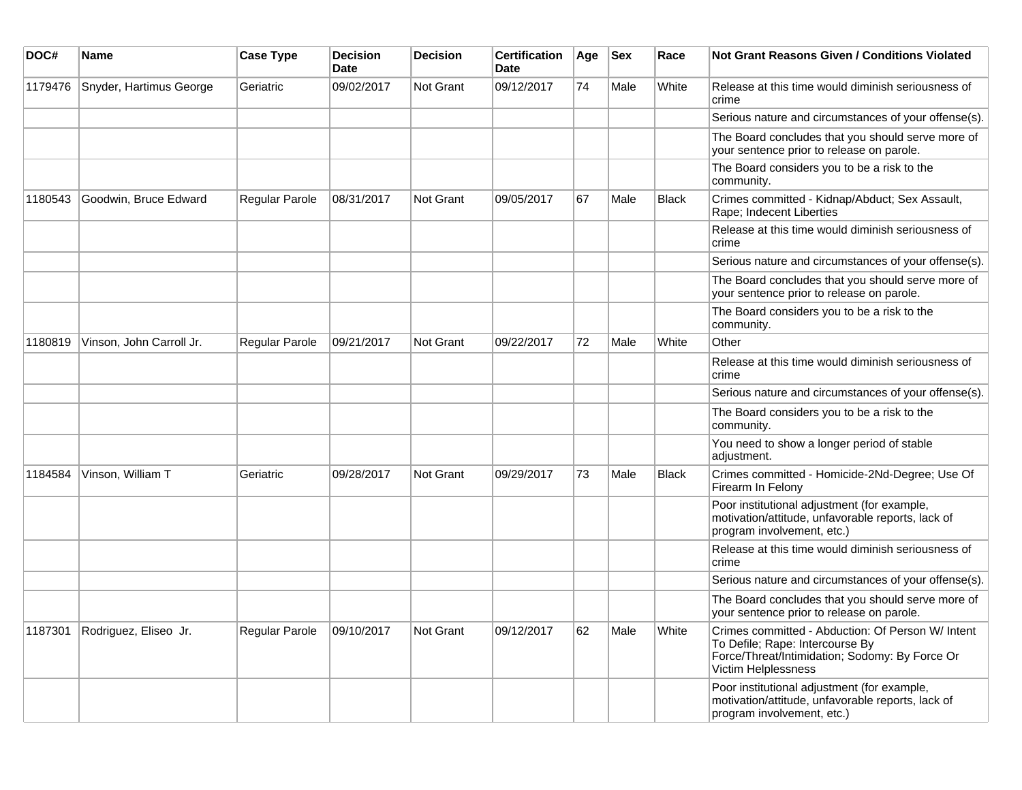| DOC#    | <b>Name</b>              | <b>Case Type</b> | <b>Decision</b><br><b>Date</b> | <b>Decision</b>  | <b>Certification</b><br><b>Date</b> | Age | <b>Sex</b> | Race         | <b>Not Grant Reasons Given / Conditions Violated</b>                                                                                                          |
|---------|--------------------------|------------------|--------------------------------|------------------|-------------------------------------|-----|------------|--------------|---------------------------------------------------------------------------------------------------------------------------------------------------------------|
| 1179476 | Snyder, Hartimus George  | Geriatric        | 09/02/2017                     | Not Grant        | 09/12/2017                          | 74  | Male       | White        | Release at this time would diminish seriousness of<br>crime                                                                                                   |
|         |                          |                  |                                |                  |                                     |     |            |              | Serious nature and circumstances of your offense(s).                                                                                                          |
|         |                          |                  |                                |                  |                                     |     |            |              | The Board concludes that you should serve more of<br>your sentence prior to release on parole.                                                                |
|         |                          |                  |                                |                  |                                     |     |            |              | The Board considers you to be a risk to the<br>community.                                                                                                     |
| 1180543 | Goodwin, Bruce Edward    | Regular Parole   | 08/31/2017                     | <b>Not Grant</b> | 09/05/2017                          | 67  | Male       | <b>Black</b> | Crimes committed - Kidnap/Abduct; Sex Assault,<br>Rape; Indecent Liberties                                                                                    |
|         |                          |                  |                                |                  |                                     |     |            |              | Release at this time would diminish seriousness of<br>crime                                                                                                   |
|         |                          |                  |                                |                  |                                     |     |            |              | Serious nature and circumstances of your offense(s).                                                                                                          |
|         |                          |                  |                                |                  |                                     |     |            |              | The Board concludes that you should serve more of<br>your sentence prior to release on parole.                                                                |
|         |                          |                  |                                |                  |                                     |     |            |              | The Board considers you to be a risk to the<br>community.                                                                                                     |
| 1180819 | Vinson, John Carroll Jr. | Regular Parole   | 09/21/2017                     | Not Grant        | 09/22/2017                          | 72  | Male       | White        | Other                                                                                                                                                         |
|         |                          |                  |                                |                  |                                     |     |            |              | Release at this time would diminish seriousness of<br>crime                                                                                                   |
|         |                          |                  |                                |                  |                                     |     |            |              | Serious nature and circumstances of your offense(s).                                                                                                          |
|         |                          |                  |                                |                  |                                     |     |            |              | The Board considers you to be a risk to the<br>community.                                                                                                     |
|         |                          |                  |                                |                  |                                     |     |            |              | You need to show a longer period of stable<br>adjustment.                                                                                                     |
| 1184584 | Vinson, William T        | Geriatric        | 09/28/2017                     | <b>Not Grant</b> | 09/29/2017                          | 73  | Male       | <b>Black</b> | Crimes committed - Homicide-2Nd-Degree; Use Of<br>Firearm In Felony                                                                                           |
|         |                          |                  |                                |                  |                                     |     |            |              | Poor institutional adjustment (for example,<br>motivation/attitude, unfavorable reports, lack of<br>program involvement, etc.)                                |
|         |                          |                  |                                |                  |                                     |     |            |              | Release at this time would diminish seriousness of<br>crime                                                                                                   |
|         |                          |                  |                                |                  |                                     |     |            |              | Serious nature and circumstances of your offense(s).                                                                                                          |
|         |                          |                  |                                |                  |                                     |     |            |              | The Board concludes that you should serve more of<br>your sentence prior to release on parole.                                                                |
| 1187301 | Rodriguez, Eliseo Jr.    | Regular Parole   | 09/10/2017                     | Not Grant        | 09/12/2017                          | 62  | Male       | White        | Crimes committed - Abduction: Of Person W/ Intent<br>To Defile; Rape: Intercourse By<br>Force/Threat/Intimidation; Sodomy: By Force Or<br>Victim Helplessness |
|         |                          |                  |                                |                  |                                     |     |            |              | Poor institutional adjustment (for example,<br>motivation/attitude, unfavorable reports, lack of<br>program involvement, etc.)                                |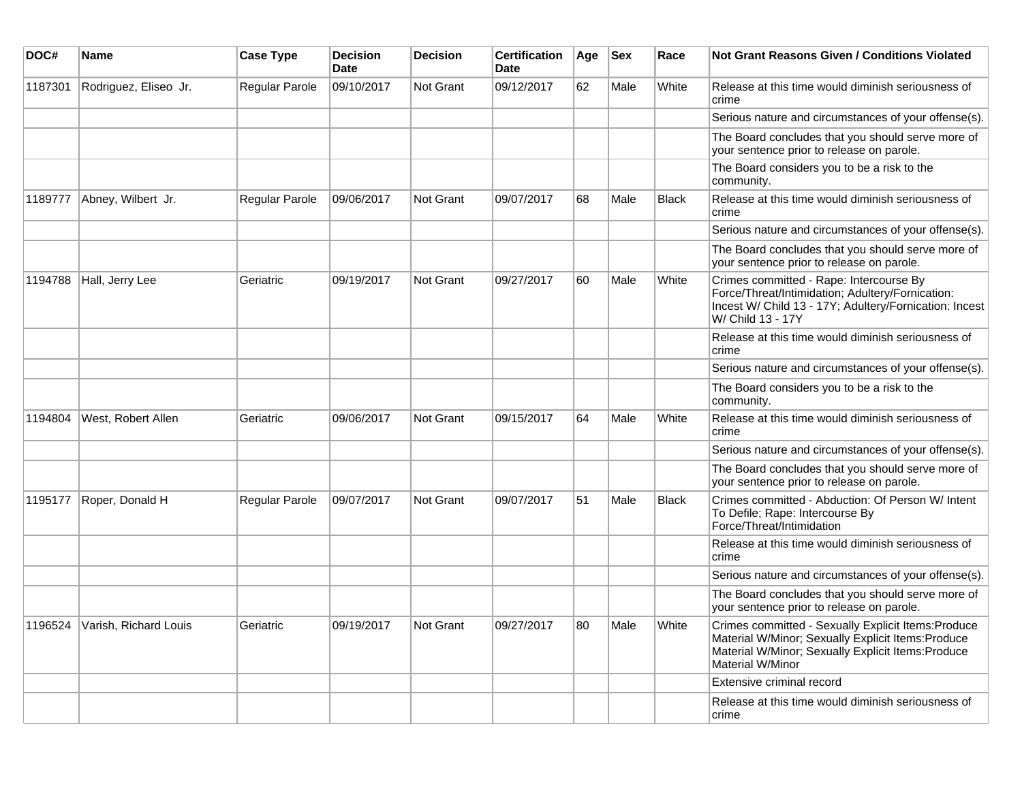| DOC#    | <b>Name</b>                   | <b>Case Type</b> | <b>Decision</b><br><b>Date</b> | <b>Decision</b>  | <b>Certification</b><br>Date | Age | <b>Sex</b> | Race         | Not Grant Reasons Given / Conditions Violated                                                                                                                                       |
|---------|-------------------------------|------------------|--------------------------------|------------------|------------------------------|-----|------------|--------------|-------------------------------------------------------------------------------------------------------------------------------------------------------------------------------------|
| 1187301 | Rodriguez, Eliseo Jr.         | Regular Parole   | 09/10/2017                     | Not Grant        | 09/12/2017                   | 62  | Male       | White        | Release at this time would diminish seriousness of<br>crime                                                                                                                         |
|         |                               |                  |                                |                  |                              |     |            |              | Serious nature and circumstances of your offense(s).                                                                                                                                |
|         |                               |                  |                                |                  |                              |     |            |              | The Board concludes that you should serve more of<br>your sentence prior to release on parole.                                                                                      |
|         |                               |                  |                                |                  |                              |     |            |              | The Board considers you to be a risk to the<br>community.                                                                                                                           |
| 1189777 | Abney, Wilbert Jr.            | Regular Parole   | 09/06/2017                     | <b>Not Grant</b> | 09/07/2017                   | 68  | Male       | <b>Black</b> | Release at this time would diminish seriousness of<br>crime                                                                                                                         |
|         |                               |                  |                                |                  |                              |     |            |              | Serious nature and circumstances of your offense(s).                                                                                                                                |
|         |                               |                  |                                |                  |                              |     |            |              | The Board concludes that you should serve more of<br>your sentence prior to release on parole.                                                                                      |
| 1194788 | Hall, Jerry Lee               | Geriatric        | 09/19/2017                     | <b>Not Grant</b> | 09/27/2017                   | 60  | Male       | White        | Crimes committed - Rape: Intercourse By<br>Force/Threat/Intimidation; Adultery/Fornication:<br>Incest W/ Child 13 - 17Y; Adultery/Fornication: Incest<br>W/ Child 13 - 17Y          |
|         |                               |                  |                                |                  |                              |     |            |              | Release at this time would diminish seriousness of<br>crime                                                                                                                         |
|         |                               |                  |                                |                  |                              |     |            |              | Serious nature and circumstances of your offense(s).                                                                                                                                |
|         |                               |                  |                                |                  |                              |     |            |              | The Board considers you to be a risk to the<br>community.                                                                                                                           |
| 1194804 | West, Robert Allen            | Geriatric        | 09/06/2017                     | <b>Not Grant</b> | 09/15/2017                   | 64  | Male       | White        | Release at this time would diminish seriousness of<br>crime                                                                                                                         |
|         |                               |                  |                                |                  |                              |     |            |              | Serious nature and circumstances of your offense(s).                                                                                                                                |
|         |                               |                  |                                |                  |                              |     |            |              | The Board concludes that you should serve more of<br>your sentence prior to release on parole.                                                                                      |
| 1195177 | Roper, Donald H               | Regular Parole   | 09/07/2017                     | Not Grant        | 09/07/2017                   | 51  | Male       | <b>Black</b> | Crimes committed - Abduction: Of Person W/ Intent<br>To Defile; Rape: Intercourse By<br>Force/Threat/Intimidation                                                                   |
|         |                               |                  |                                |                  |                              |     |            |              | Release at this time would diminish seriousness of<br>crime                                                                                                                         |
|         |                               |                  |                                |                  |                              |     |            |              | Serious nature and circumstances of your offense(s).                                                                                                                                |
|         |                               |                  |                                |                  |                              |     |            |              | The Board concludes that you should serve more of<br>your sentence prior to release on parole.                                                                                      |
|         | 1196524 Varish, Richard Louis | Geriatric        | 09/19/2017                     | Not Grant        | 09/27/2017                   | 80  | Male       | White        | Crimes committed - Sexually Explicit Items: Produce<br>Material W/Minor; Sexually Explicit Items: Produce<br>Material W/Minor; Sexually Explicit Items: Produce<br>Material W/Minor |
|         |                               |                  |                                |                  |                              |     |            |              | Extensive criminal record                                                                                                                                                           |
|         |                               |                  |                                |                  |                              |     |            |              | Release at this time would diminish seriousness of<br>crime                                                                                                                         |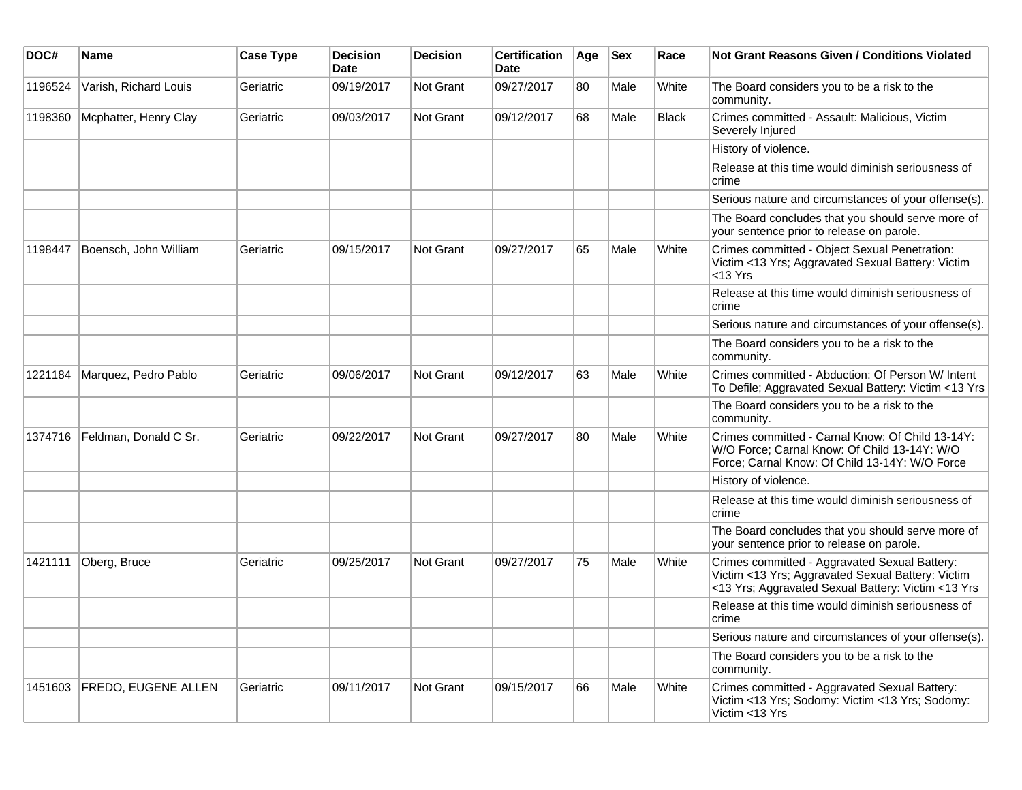| DOC#    | <b>Name</b>                 | <b>Case Type</b> | <b>Decision</b><br><b>Date</b> | <b>Decision</b> | <b>Certification</b><br>Date | Age | <b>Sex</b> | Race  | <b>Not Grant Reasons Given / Conditions Violated</b>                                                                                                     |
|---------|-----------------------------|------------------|--------------------------------|-----------------|------------------------------|-----|------------|-------|----------------------------------------------------------------------------------------------------------------------------------------------------------|
| 1196524 | Varish, Richard Louis       | Geriatric        | 09/19/2017                     | Not Grant       | 09/27/2017                   | 80  | Male       | White | The Board considers you to be a risk to the<br>community.                                                                                                |
| 1198360 | Mcphatter, Henry Clay       | Geriatric        | 09/03/2017                     | Not Grant       | 09/12/2017                   | 68  | Male       | Black | Crimes committed - Assault: Malicious, Victim<br>Severely Injured                                                                                        |
|         |                             |                  |                                |                 |                              |     |            |       | History of violence.                                                                                                                                     |
|         |                             |                  |                                |                 |                              |     |            |       | Release at this time would diminish seriousness of<br>crime                                                                                              |
|         |                             |                  |                                |                 |                              |     |            |       | Serious nature and circumstances of your offense(s).                                                                                                     |
|         |                             |                  |                                |                 |                              |     |            |       | The Board concludes that you should serve more of<br>your sentence prior to release on parole.                                                           |
| 1198447 | Boensch, John William       | Geriatric        | 09/15/2017                     | Not Grant       | 09/27/2017                   | 65  | Male       | White | Crimes committed - Object Sexual Penetration:<br>Victim <13 Yrs; Aggravated Sexual Battery: Victim<br>$<$ 13 Yrs                                         |
|         |                             |                  |                                |                 |                              |     |            |       | Release at this time would diminish seriousness of<br>crime                                                                                              |
|         |                             |                  |                                |                 |                              |     |            |       | Serious nature and circumstances of your offense(s).                                                                                                     |
|         |                             |                  |                                |                 |                              |     |            |       | The Board considers you to be a risk to the<br>community.                                                                                                |
| 1221184 | Marquez, Pedro Pablo        | Geriatric        | 09/06/2017                     | Not Grant       | 09/12/2017                   | 63  | Male       | White | Crimes committed - Abduction: Of Person W/ Intent<br>To Defile; Aggravated Sexual Battery: Victim <13 Yrs                                                |
|         |                             |                  |                                |                 |                              |     |            |       | The Board considers you to be a risk to the<br>community.                                                                                                |
| 1374716 | Feldman, Donald C Sr.       | Geriatric        | 09/22/2017                     | Not Grant       | 09/27/2017                   | 80  | Male       | White | Crimes committed - Carnal Know: Of Child 13-14Y:<br>W/O Force; Carnal Know: Of Child 13-14Y: W/O<br>Force; Carnal Know: Of Child 13-14Y: W/O Force       |
|         |                             |                  |                                |                 |                              |     |            |       | History of violence.                                                                                                                                     |
|         |                             |                  |                                |                 |                              |     |            |       | Release at this time would diminish seriousness of<br>crime                                                                                              |
|         |                             |                  |                                |                 |                              |     |            |       | The Board concludes that you should serve more of<br>your sentence prior to release on parole.                                                           |
| 1421111 | Oberg, Bruce                | Geriatric        | 09/25/2017                     | Not Grant       | 09/27/2017                   | 75  | Male       | White | Crimes committed - Aggravated Sexual Battery:<br>Victim <13 Yrs; Aggravated Sexual Battery: Victim<br><13 Yrs; Aggravated Sexual Battery: Victim <13 Yrs |
|         |                             |                  |                                |                 |                              |     |            |       | Release at this time would diminish seriousness of<br>crime                                                                                              |
|         |                             |                  |                                |                 |                              |     |            |       | Serious nature and circumstances of your offense(s).                                                                                                     |
|         |                             |                  |                                |                 |                              |     |            |       | The Board considers you to be a risk to the<br>community.                                                                                                |
|         | 1451603 FREDO, EUGENE ALLEN | Geriatric        | 09/11/2017                     | Not Grant       | 09/15/2017                   | 66  | Male       | White | Crimes committed - Aggravated Sexual Battery:<br>Victim <13 Yrs; Sodomy: Victim <13 Yrs; Sodomy:<br>Victim <13 Yrs                                       |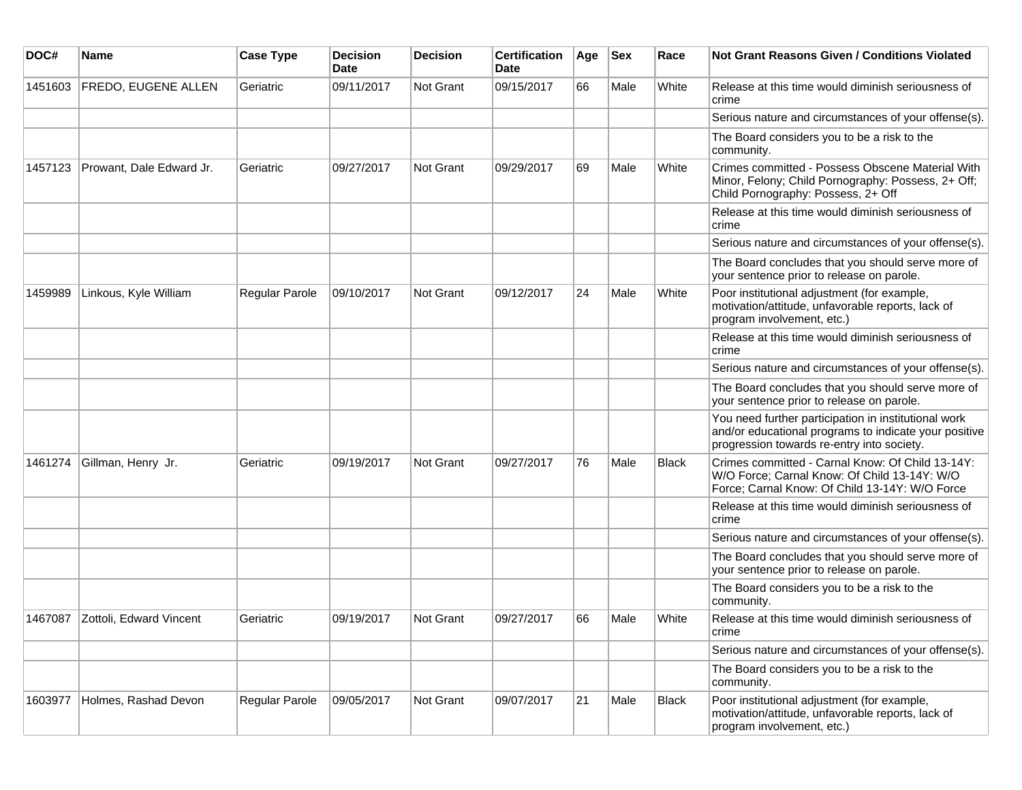| DOC#    | <b>Name</b>                     | <b>Case Type</b> | <b>Decision</b><br><b>Date</b> | <b>Decision</b> | <b>Certification</b><br>Date | Age | <b>Sex</b> | Race         | Not Grant Reasons Given / Conditions Violated                                                                                                               |
|---------|---------------------------------|------------------|--------------------------------|-----------------|------------------------------|-----|------------|--------------|-------------------------------------------------------------------------------------------------------------------------------------------------------------|
| 1451603 | <b>FREDO, EUGENE ALLEN</b>      | Geriatric        | 09/11/2017                     | Not Grant       | 09/15/2017                   | 66  | Male       | White        | Release at this time would diminish seriousness of<br>crime                                                                                                 |
|         |                                 |                  |                                |                 |                              |     |            |              | Serious nature and circumstances of your offense(s).                                                                                                        |
|         |                                 |                  |                                |                 |                              |     |            |              | The Board considers you to be a risk to the<br>community.                                                                                                   |
| 1457123 | Prowant, Dale Edward Jr.        | Geriatric        | 09/27/2017                     | Not Grant       | 09/29/2017                   | 69  | Male       | White        | Crimes committed - Possess Obscene Material With<br>Minor, Felony; Child Pornography: Possess, 2+ Off;<br>Child Pornography: Possess, 2+ Off                |
|         |                                 |                  |                                |                 |                              |     |            |              | Release at this time would diminish seriousness of<br>crime                                                                                                 |
|         |                                 |                  |                                |                 |                              |     |            |              | Serious nature and circumstances of your offense(s).                                                                                                        |
|         |                                 |                  |                                |                 |                              |     |            |              | The Board concludes that you should serve more of<br>your sentence prior to release on parole.                                                              |
| 1459989 | Linkous, Kyle William           | Regular Parole   | 09/10/2017                     | Not Grant       | 09/12/2017                   | 24  | Male       | White        | Poor institutional adjustment (for example,<br>motivation/attitude, unfavorable reports, lack of<br>program involvement, etc.)                              |
|         |                                 |                  |                                |                 |                              |     |            |              | Release at this time would diminish seriousness of<br>crime                                                                                                 |
|         |                                 |                  |                                |                 |                              |     |            |              | Serious nature and circumstances of your offense(s).                                                                                                        |
|         |                                 |                  |                                |                 |                              |     |            |              | The Board concludes that you should serve more of<br>your sentence prior to release on parole.                                                              |
|         |                                 |                  |                                |                 |                              |     |            |              | You need further participation in institutional work<br>and/or educational programs to indicate your positive<br>progression towards re-entry into society. |
| 1461274 | Gillman, Henry Jr.              | Geriatric        | 09/19/2017                     | Not Grant       | 09/27/2017                   | 76  | Male       | Black        | Crimes committed - Carnal Know: Of Child 13-14Y:<br>W/O Force; Carnal Know: Of Child 13-14Y: W/O<br>Force; Carnal Know: Of Child 13-14Y: W/O Force          |
|         |                                 |                  |                                |                 |                              |     |            |              | Release at this time would diminish seriousness of<br>crime                                                                                                 |
|         |                                 |                  |                                |                 |                              |     |            |              | Serious nature and circumstances of your offense(s).                                                                                                        |
|         |                                 |                  |                                |                 |                              |     |            |              | The Board concludes that you should serve more of<br>your sentence prior to release on parole.                                                              |
|         |                                 |                  |                                |                 |                              |     |            |              | The Board considers you to be a risk to the<br>community.                                                                                                   |
|         | 1467087 Zottoli, Edward Vincent | Geriatric        | 09/19/2017                     | Not Grant       | 09/27/2017                   | 66  | Male       | <b>White</b> | Release at this time would diminish seriousness of<br>crime                                                                                                 |
|         |                                 |                  |                                |                 |                              |     |            |              | Serious nature and circumstances of your offense(s).                                                                                                        |
|         |                                 |                  |                                |                 |                              |     |            |              | The Board considers you to be a risk to the<br>community.                                                                                                   |
| 1603977 | Holmes, Rashad Devon            | Regular Parole   | 09/05/2017                     | Not Grant       | 09/07/2017                   | 21  | Male       | Black        | Poor institutional adjustment (for example,<br>motivation/attitude, unfavorable reports, lack of<br>program involvement, etc.)                              |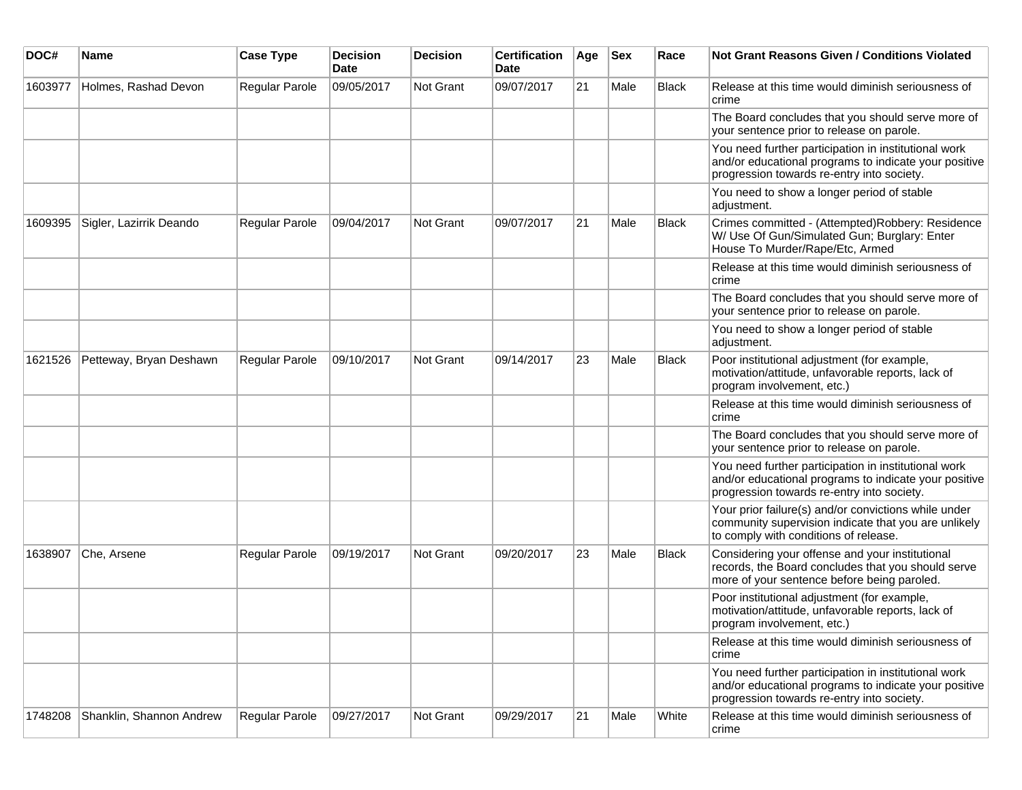| DOC#    | Name                     | <b>Case Type</b> | <b>Decision</b><br>Date | <b>Decision</b> | <b>Certification</b><br>Date | Age | <b>Sex</b> | Race  | Not Grant Reasons Given / Conditions Violated                                                                                                               |
|---------|--------------------------|------------------|-------------------------|-----------------|------------------------------|-----|------------|-------|-------------------------------------------------------------------------------------------------------------------------------------------------------------|
| 1603977 | Holmes, Rashad Devon     | Regular Parole   | 09/05/2017              | Not Grant       | 09/07/2017                   | 21  | Male       | Black | Release at this time would diminish seriousness of<br>crime                                                                                                 |
|         |                          |                  |                         |                 |                              |     |            |       | The Board concludes that you should serve more of<br>your sentence prior to release on parole.                                                              |
|         |                          |                  |                         |                 |                              |     |            |       | You need further participation in institutional work<br>and/or educational programs to indicate your positive<br>progression towards re-entry into society. |
|         |                          |                  |                         |                 |                              |     |            |       | You need to show a longer period of stable<br>adjustment.                                                                                                   |
| 1609395 | Sigler, Lazirrik Deando  | Regular Parole   | 09/04/2017              | Not Grant       | 09/07/2017                   | 21  | Male       | Black | Crimes committed - (Attempted)Robbery: Residence<br>W/ Use Of Gun/Simulated Gun; Burglary: Enter<br>House To Murder/Rape/Etc, Armed                         |
|         |                          |                  |                         |                 |                              |     |            |       | Release at this time would diminish seriousness of<br>crime                                                                                                 |
|         |                          |                  |                         |                 |                              |     |            |       | The Board concludes that you should serve more of<br>your sentence prior to release on parole.                                                              |
|         |                          |                  |                         |                 |                              |     |            |       | You need to show a longer period of stable<br>adjustment.                                                                                                   |
| 1621526 | Petteway, Bryan Deshawn  | Regular Parole   | 09/10/2017              | Not Grant       | 09/14/2017                   | 23  | Male       | Black | Poor institutional adjustment (for example,<br>motivation/attitude, unfavorable reports, lack of<br>program involvement, etc.)                              |
|         |                          |                  |                         |                 |                              |     |            |       | Release at this time would diminish seriousness of<br>crime                                                                                                 |
|         |                          |                  |                         |                 |                              |     |            |       | The Board concludes that you should serve more of<br>your sentence prior to release on parole.                                                              |
|         |                          |                  |                         |                 |                              |     |            |       | You need further participation in institutional work<br>and/or educational programs to indicate your positive<br>progression towards re-entry into society. |
|         |                          |                  |                         |                 |                              |     |            |       | Your prior failure(s) and/or convictions while under<br>community supervision indicate that you are unlikely<br>to comply with conditions of release.       |
| 1638907 | Che, Arsene              | Regular Parole   | 09/19/2017              | Not Grant       | 09/20/2017                   | 23  | Male       | Black | Considering your offense and your institutional<br>records, the Board concludes that you should serve<br>more of your sentence before being paroled.        |
|         |                          |                  |                         |                 |                              |     |            |       | Poor institutional adjustment (for example,<br>motivation/attitude, unfavorable reports, lack of<br>program involvement, etc.)                              |
|         |                          |                  |                         |                 |                              |     |            |       | Release at this time would diminish seriousness of<br>crime                                                                                                 |
|         |                          |                  |                         |                 |                              |     |            |       | You need further participation in institutional work<br>and/or educational programs to indicate your positive<br>progression towards re-entry into society. |
| 1748208 | Shanklin, Shannon Andrew | Regular Parole   | 09/27/2017              | Not Grant       | 09/29/2017                   | 21  | Male       | White | Release at this time would diminish seriousness of<br>crime                                                                                                 |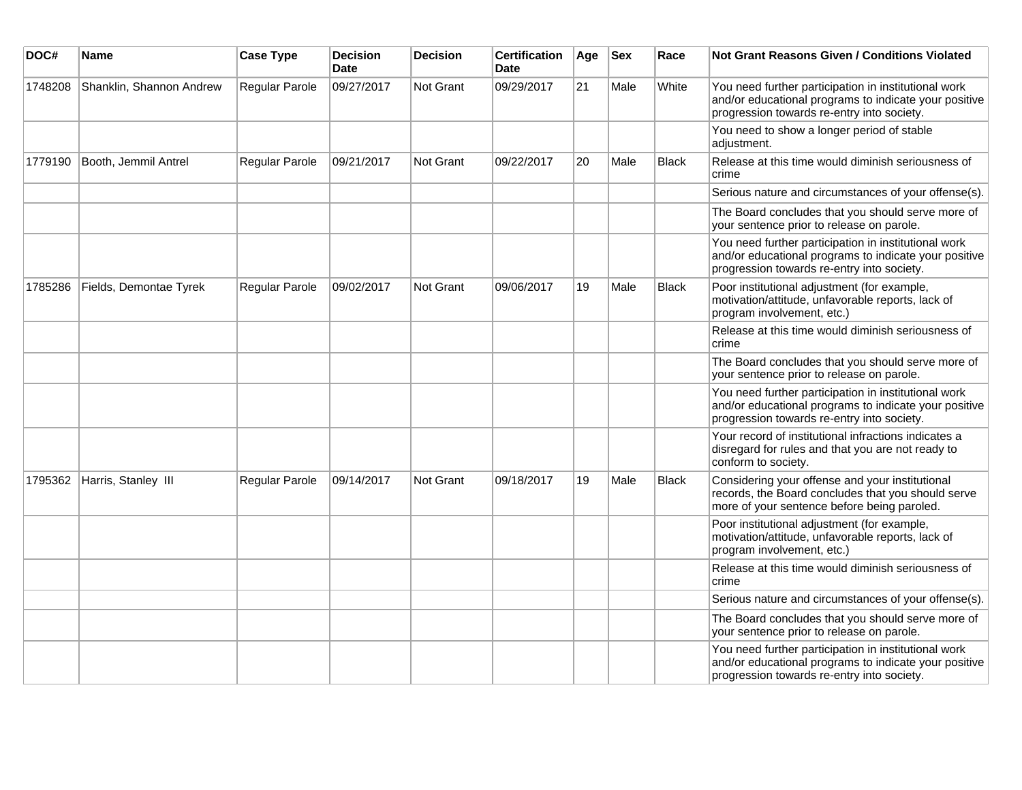| DOC#    | <b>Name</b>              | <b>Case Type</b> | <b>Decision</b><br><b>Date</b> | <b>Decision</b>  | <b>Certification</b><br>Date | Age | <b>Sex</b> | Race         | <b>Not Grant Reasons Given / Conditions Violated</b>                                                                                                        |
|---------|--------------------------|------------------|--------------------------------|------------------|------------------------------|-----|------------|--------------|-------------------------------------------------------------------------------------------------------------------------------------------------------------|
| 1748208 | Shanklin, Shannon Andrew | Regular Parole   | 09/27/2017                     | Not Grant        | 09/29/2017                   | 21  | Male       | White        | You need further participation in institutional work<br>and/or educational programs to indicate your positive<br>progression towards re-entry into society. |
|         |                          |                  |                                |                  |                              |     |            |              | You need to show a longer period of stable<br>adjustment.                                                                                                   |
| 1779190 | Booth, Jemmil Antrel     | Regular Parole   | 09/21/2017                     | Not Grant        | 09/22/2017                   | 20  | Male       | <b>Black</b> | Release at this time would diminish seriousness of<br>crime                                                                                                 |
|         |                          |                  |                                |                  |                              |     |            |              | Serious nature and circumstances of your offense(s).                                                                                                        |
|         |                          |                  |                                |                  |                              |     |            |              | The Board concludes that you should serve more of<br>your sentence prior to release on parole.                                                              |
|         |                          |                  |                                |                  |                              |     |            |              | You need further participation in institutional work<br>and/or educational programs to indicate your positive<br>progression towards re-entry into society. |
| 1785286 | Fields, Demontae Tyrek   | Regular Parole   | 09/02/2017                     | <b>Not Grant</b> | 09/06/2017                   | 19  | Male       | <b>Black</b> | Poor institutional adjustment (for example,<br>motivation/attitude, unfavorable reports, lack of<br>program involvement, etc.)                              |
|         |                          |                  |                                |                  |                              |     |            |              | Release at this time would diminish seriousness of<br>crime                                                                                                 |
|         |                          |                  |                                |                  |                              |     |            |              | The Board concludes that you should serve more of<br>your sentence prior to release on parole.                                                              |
|         |                          |                  |                                |                  |                              |     |            |              | You need further participation in institutional work<br>and/or educational programs to indicate your positive<br>progression towards re-entry into society. |
|         |                          |                  |                                |                  |                              |     |            |              | Your record of institutional infractions indicates a<br>disregard for rules and that you are not ready to<br>conform to society.                            |
| 1795362 | Harris, Stanley III      | Regular Parole   | 09/14/2017                     | Not Grant        | 09/18/2017                   | 19  | Male       | Black        | Considering your offense and your institutional<br>records, the Board concludes that you should serve<br>more of your sentence before being paroled.        |
|         |                          |                  |                                |                  |                              |     |            |              | Poor institutional adjustment (for example,<br>motivation/attitude, unfavorable reports, lack of<br>program involvement, etc.)                              |
|         |                          |                  |                                |                  |                              |     |            |              | Release at this time would diminish seriousness of<br>crime                                                                                                 |
|         |                          |                  |                                |                  |                              |     |            |              | Serious nature and circumstances of your offense(s).                                                                                                        |
|         |                          |                  |                                |                  |                              |     |            |              | The Board concludes that you should serve more of<br>your sentence prior to release on parole.                                                              |
|         |                          |                  |                                |                  |                              |     |            |              | You need further participation in institutional work<br>and/or educational programs to indicate your positive<br>progression towards re-entry into society. |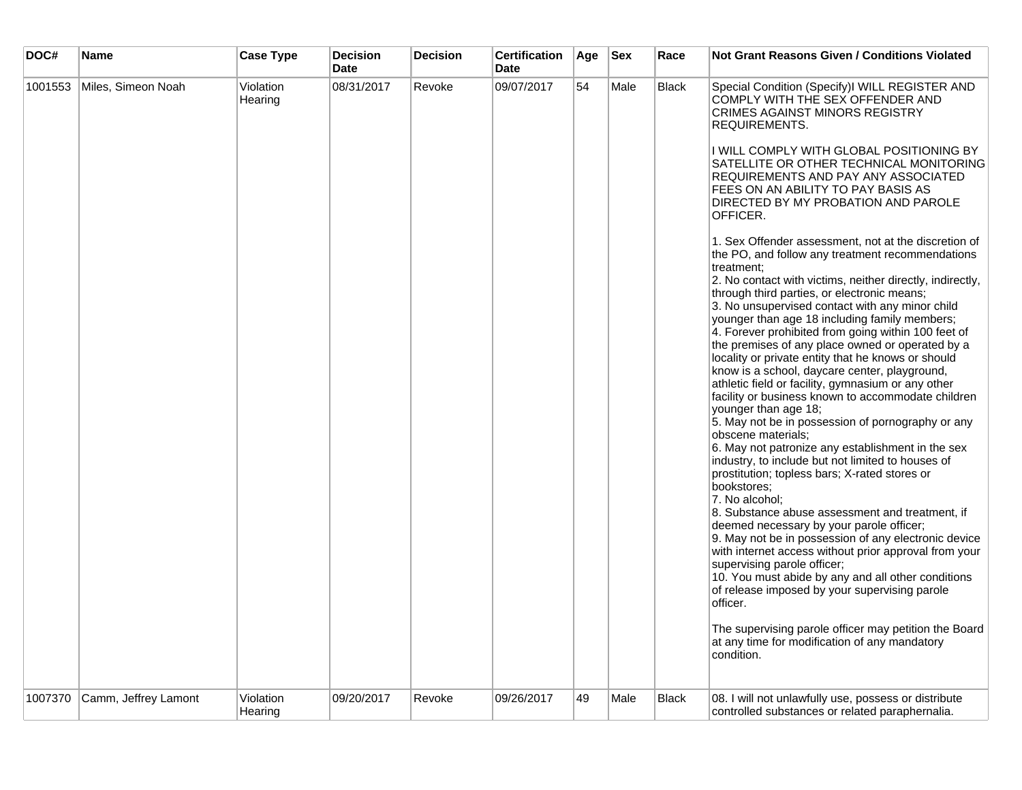| DOC#    | <b>Name</b>          | <b>Case Type</b>     | <b>Decision</b><br><b>Date</b> | <b>Decision</b> | <b>Certification</b><br><b>Date</b> | Age | <b>Sex</b> | Race         | <b>Not Grant Reasons Given / Conditions Violated</b>                                                                                                                                                                                                                                                                                                                                                                                                                                                                                                                                                                                                                                                                                                                                                                                                                                                                                                                                                                                                                                                                                                                                                                                                                                                                                |
|---------|----------------------|----------------------|--------------------------------|-----------------|-------------------------------------|-----|------------|--------------|-------------------------------------------------------------------------------------------------------------------------------------------------------------------------------------------------------------------------------------------------------------------------------------------------------------------------------------------------------------------------------------------------------------------------------------------------------------------------------------------------------------------------------------------------------------------------------------------------------------------------------------------------------------------------------------------------------------------------------------------------------------------------------------------------------------------------------------------------------------------------------------------------------------------------------------------------------------------------------------------------------------------------------------------------------------------------------------------------------------------------------------------------------------------------------------------------------------------------------------------------------------------------------------------------------------------------------------|
| 1001553 | Miles, Simeon Noah   | Violation<br>Hearing | 08/31/2017                     | Revoke          | 09/07/2017                          | 54  | Male       | Black        | Special Condition (Specify)I WILL REGISTER AND<br>COMPLY WITH THE SEX OFFENDER AND<br><b>CRIMES AGAINST MINORS REGISTRY</b><br>REQUIREMENTS.<br>I WILL COMPLY WITH GLOBAL POSITIONING BY<br>SATELLITE OR OTHER TECHNICAL MONITORING<br>REQUIREMENTS AND PAY ANY ASSOCIATED<br>FEES ON AN ABILITY TO PAY BASIS AS<br>DIRECTED BY MY PROBATION AND PAROLE<br>OFFICER.<br>1. Sex Offender assessment, not at the discretion of<br>the PO, and follow any treatment recommendations<br>treatment:                                                                                                                                                                                                                                                                                                                                                                                                                                                                                                                                                                                                                                                                                                                                                                                                                                       |
| 1007370 | Camm, Jeffrey Lamont |                      | 09/20/2017                     | Revoke          | 09/26/2017                          | 49  | Male       | <b>Black</b> | 2. No contact with victims, neither directly, indirectly,<br>through third parties, or electronic means;<br>3. No unsupervised contact with any minor child<br>younger than age 18 including family members;<br>4. Forever prohibited from going within 100 feet of<br>the premises of any place owned or operated by a<br>locality or private entity that he knows or should<br>know is a school, daycare center, playground,<br>athletic field or facility, gymnasium or any other<br>facility or business known to accommodate children<br>younger than age 18;<br>5. May not be in possession of pornography or any<br>obscene materials;<br>6. May not patronize any establishment in the sex<br>industry, to include but not limited to houses of<br>prostitution; topless bars; X-rated stores or<br>bookstores:<br>7. No alcohol;<br>8. Substance abuse assessment and treatment, if<br>deemed necessary by your parole officer;<br>9. May not be in possession of any electronic device<br>with internet access without prior approval from your<br>supervising parole officer;<br>10. You must abide by any and all other conditions<br>of release imposed by your supervising parole<br>officer.<br>The supervising parole officer may petition the Board<br>at any time for modification of any mandatory<br>condition. |
|         |                      | Violation<br>Hearing |                                |                 |                                     |     |            |              | 08. I will not unlawfully use, possess or distribute<br>controlled substances or related paraphernalia.                                                                                                                                                                                                                                                                                                                                                                                                                                                                                                                                                                                                                                                                                                                                                                                                                                                                                                                                                                                                                                                                                                                                                                                                                             |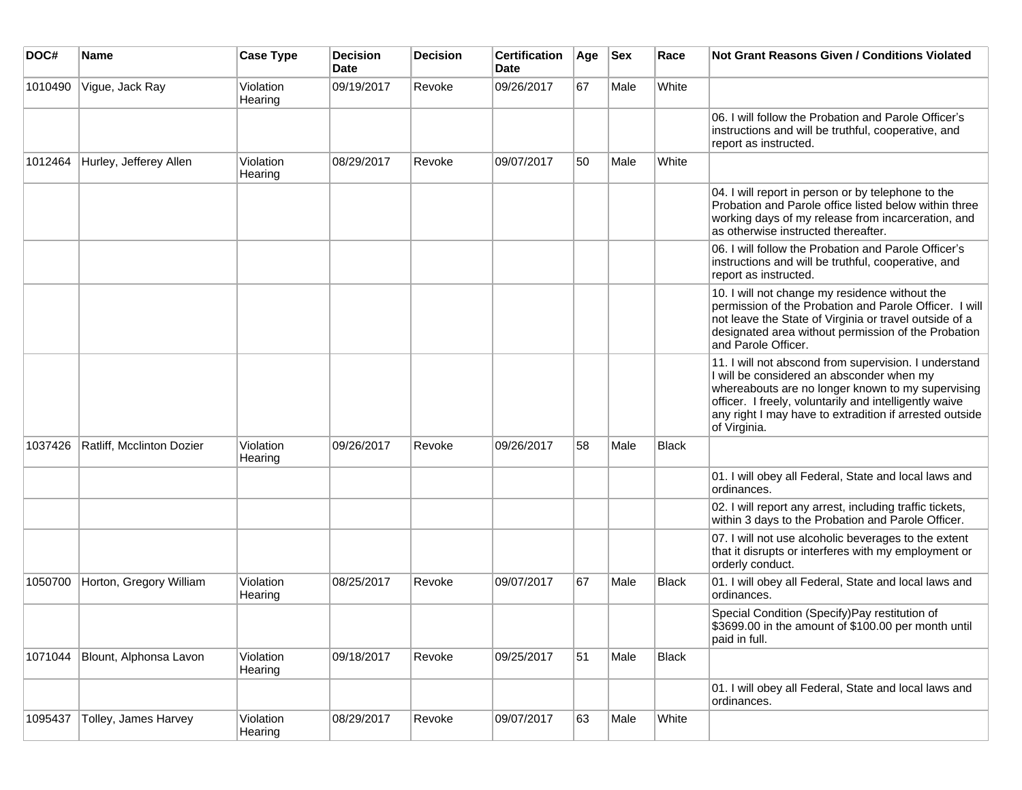| DOC#    | <b>Name</b>               | <b>Case Type</b>     | <b>Decision</b><br><b>Date</b> | <b>Decision</b> | <b>Certification</b><br><b>Date</b> | Age | <b>Sex</b> | Race  | <b>Not Grant Reasons Given / Conditions Violated</b>                                                                                                                                                                                                                                         |
|---------|---------------------------|----------------------|--------------------------------|-----------------|-------------------------------------|-----|------------|-------|----------------------------------------------------------------------------------------------------------------------------------------------------------------------------------------------------------------------------------------------------------------------------------------------|
| 1010490 | Vigue, Jack Ray           | Violation<br>Hearing | 09/19/2017                     | Revoke          | 09/26/2017                          | 67  | Male       | White |                                                                                                                                                                                                                                                                                              |
|         |                           |                      |                                |                 |                                     |     |            |       | 06. I will follow the Probation and Parole Officer's<br>instructions and will be truthful, cooperative, and<br>report as instructed.                                                                                                                                                         |
| 1012464 | Hurley, Jefferey Allen    | Violation<br>Hearing | 08/29/2017                     | Revoke          | 09/07/2017                          | 50  | Male       | White |                                                                                                                                                                                                                                                                                              |
|         |                           |                      |                                |                 |                                     |     |            |       | 04. I will report in person or by telephone to the<br>Probation and Parole office listed below within three<br>working days of my release from incarceration, and<br>as otherwise instructed thereafter.                                                                                     |
|         |                           |                      |                                |                 |                                     |     |            |       | 06. I will follow the Probation and Parole Officer's<br>instructions and will be truthful, cooperative, and<br>report as instructed.                                                                                                                                                         |
|         |                           |                      |                                |                 |                                     |     |            |       | 10. I will not change my residence without the<br>permission of the Probation and Parole Officer. I will<br>not leave the State of Virginia or travel outside of a<br>designated area without permission of the Probation<br>and Parole Officer.                                             |
|         |                           |                      |                                |                 |                                     |     |            |       | 11. I will not abscond from supervision. I understand<br>I will be considered an absconder when my<br>whereabouts are no longer known to my supervising<br>officer. I freely, voluntarily and intelligently waive<br>any right I may have to extradition if arrested outside<br>of Virginia. |
| 1037426 | Ratliff, Mcclinton Dozier | Violation<br>Hearing | 09/26/2017                     | Revoke          | 09/26/2017                          | 58  | Male       | Black |                                                                                                                                                                                                                                                                                              |
|         |                           |                      |                                |                 |                                     |     |            |       | 01. I will obey all Federal, State and local laws and<br>ordinances.                                                                                                                                                                                                                         |
|         |                           |                      |                                |                 |                                     |     |            |       | 02. I will report any arrest, including traffic tickets,<br>within 3 days to the Probation and Parole Officer.                                                                                                                                                                               |
|         |                           |                      |                                |                 |                                     |     |            |       | 07. I will not use alcoholic beverages to the extent<br>that it disrupts or interferes with my employment or<br>orderly conduct.                                                                                                                                                             |
| 1050700 | Horton, Gregory William   | Violation<br>Hearing | 08/25/2017                     | Revoke          | 09/07/2017                          | 67  | Male       | Black | 01. I will obey all Federal, State and local laws and<br>ordinances.                                                                                                                                                                                                                         |
|         |                           |                      |                                |                 |                                     |     |            |       | Special Condition (Specify) Pay restitution of<br>\$3699.00 in the amount of \$100.00 per month until<br>paid in full.                                                                                                                                                                       |
| 1071044 | Blount, Alphonsa Lavon    | Violation<br>Hearing | 09/18/2017                     | Revoke          | 09/25/2017                          | 51  | Male       | Black |                                                                                                                                                                                                                                                                                              |
|         |                           |                      |                                |                 |                                     |     |            |       | 01. I will obey all Federal, State and local laws and<br>ordinances.                                                                                                                                                                                                                         |
| 1095437 | Tolley, James Harvey      | Violation<br>Hearing | 08/29/2017                     | Revoke          | 09/07/2017                          | 63  | Male       | White |                                                                                                                                                                                                                                                                                              |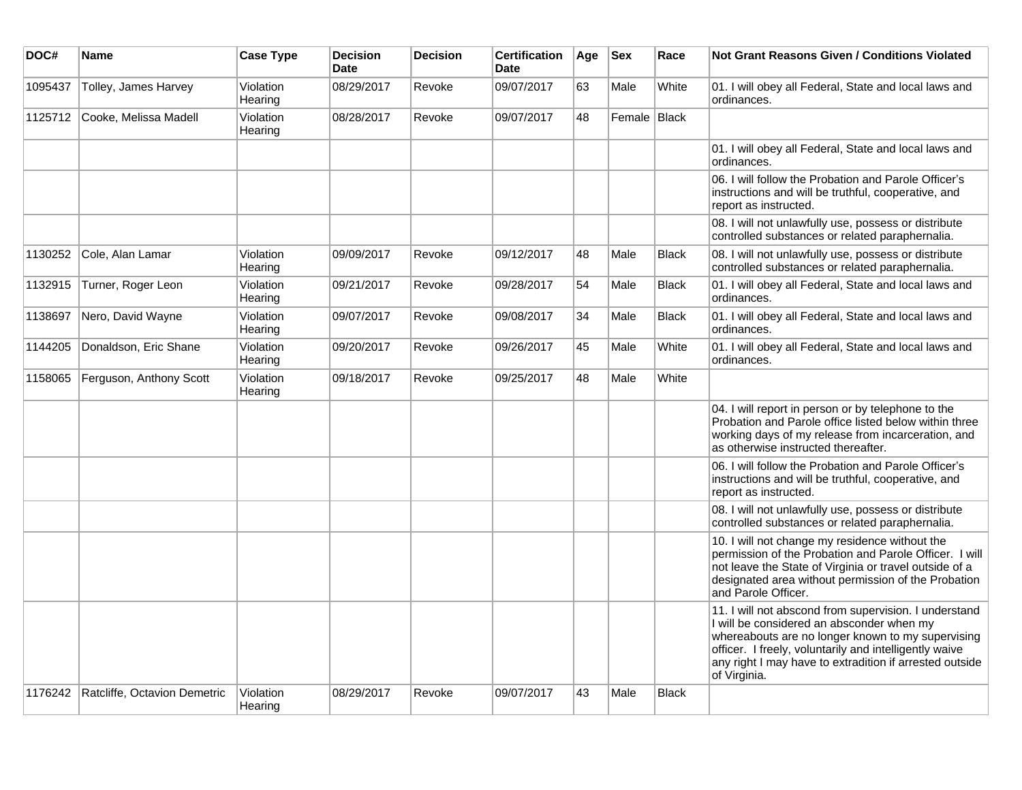| DOC#    | <b>Name</b>                  | <b>Case Type</b>     | <b>Decision</b><br><b>Date</b> | <b>Decision</b> | <b>Certification</b><br>Date | Age | <b>Sex</b>   | Race         | <b>Not Grant Reasons Given / Conditions Violated</b>                                                                                                                                                                                                                                         |
|---------|------------------------------|----------------------|--------------------------------|-----------------|------------------------------|-----|--------------|--------------|----------------------------------------------------------------------------------------------------------------------------------------------------------------------------------------------------------------------------------------------------------------------------------------------|
| 1095437 | Tolley, James Harvey         | Violation<br>Hearing | 08/29/2017                     | Revoke          | 09/07/2017                   | 63  | Male         | White        | 01. I will obey all Federal, State and local laws and<br>ordinances.                                                                                                                                                                                                                         |
| 1125712 | Cooke, Melissa Madell        | Violation<br>Hearing | 08/28/2017                     | Revoke          | 09/07/2017                   | 48  | Female Black |              |                                                                                                                                                                                                                                                                                              |
|         |                              |                      |                                |                 |                              |     |              |              | 01. I will obey all Federal, State and local laws and<br>ordinances.                                                                                                                                                                                                                         |
|         |                              |                      |                                |                 |                              |     |              |              | 06. I will follow the Probation and Parole Officer's<br>instructions and will be truthful, cooperative, and<br>report as instructed.                                                                                                                                                         |
|         |                              |                      |                                |                 |                              |     |              |              | 08. I will not unlawfully use, possess or distribute<br>controlled substances or related paraphernalia.                                                                                                                                                                                      |
| 1130252 | Cole, Alan Lamar             | Violation<br>Hearing | 09/09/2017                     | Revoke          | 09/12/2017                   | 48  | Male         | <b>Black</b> | 08. I will not unlawfully use, possess or distribute<br>controlled substances or related paraphernalia.                                                                                                                                                                                      |
| 1132915 | Turner, Roger Leon           | Violation<br>Hearing | 09/21/2017                     | Revoke          | 09/28/2017                   | 54  | Male         | <b>Black</b> | 01. I will obey all Federal, State and local laws and<br>ordinances.                                                                                                                                                                                                                         |
| 1138697 | Nero, David Wayne            | Violation<br>Hearing | 09/07/2017                     | Revoke          | 09/08/2017                   | 34  | Male         | <b>Black</b> | 01. I will obey all Federal, State and local laws and<br>ordinances.                                                                                                                                                                                                                         |
| 1144205 | Donaldson, Eric Shane        | Violation<br>Hearing | 09/20/2017                     | Revoke          | 09/26/2017                   | 45  | Male         | White        | 01. I will obey all Federal, State and local laws and<br>ordinances.                                                                                                                                                                                                                         |
| 1158065 | Ferguson, Anthony Scott      | Violation<br>Hearing | 09/18/2017                     | Revoke          | 09/25/2017                   | 48  | Male         | White        |                                                                                                                                                                                                                                                                                              |
|         |                              |                      |                                |                 |                              |     |              |              | 04. I will report in person or by telephone to the<br>Probation and Parole office listed below within three<br>working days of my release from incarceration, and<br>as otherwise instructed thereafter.                                                                                     |
|         |                              |                      |                                |                 |                              |     |              |              | 06. I will follow the Probation and Parole Officer's<br>instructions and will be truthful, cooperative, and<br>report as instructed.                                                                                                                                                         |
|         |                              |                      |                                |                 |                              |     |              |              | 08. I will not unlawfully use, possess or distribute<br>controlled substances or related paraphernalia.                                                                                                                                                                                      |
|         |                              |                      |                                |                 |                              |     |              |              | 10. I will not change my residence without the<br>permission of the Probation and Parole Officer. I will<br>not leave the State of Virginia or travel outside of a<br>designated area without permission of the Probation<br>and Parole Officer.                                             |
|         |                              |                      |                                |                 |                              |     |              |              | 11. I will not abscond from supervision. I understand<br>I will be considered an absconder when my<br>whereabouts are no longer known to my supervising<br>officer. I freely, voluntarily and intelligently waive<br>any right I may have to extradition if arrested outside<br>of Virginia. |
| 1176242 | Ratcliffe, Octavion Demetric | Violation<br>Hearing | 08/29/2017                     | Revoke          | 09/07/2017                   | 43  | Male         | <b>Black</b> |                                                                                                                                                                                                                                                                                              |